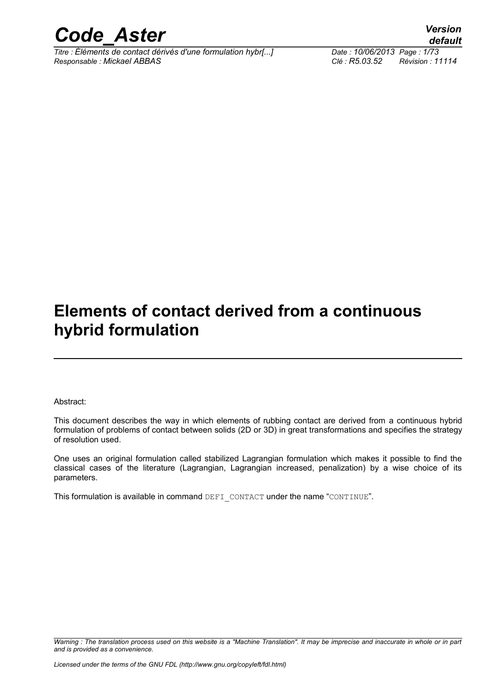

*Titre : Éléments de contact dérivés d'une formulation hybr[...] Date : 10/06/2013 Page : 1/73 Responsable : Mickael ABBAS Clé : R5.03.52 Révision : 11114*

### **Elements of contact derived from a continuous hybrid formulation**

Abstract:

This document describes the way in which elements of rubbing contact are derived from a continuous hybrid formulation of problems of contact between solids (2D or 3D) in great transformations and specifies the strategy of resolution used.

One uses an original formulation called stabilized Lagrangian formulation which makes it possible to find the classical cases of the literature (Lagrangian, Lagrangian increased, penalization) by a wise choice of its parameters.

This formulation is available in command DEFI\_CONTACT under the name "CONTINUE".

*Warning : The translation process used on this website is a "Machine Translation". It may be imprecise and inaccurate in whole or in part and is provided as a convenience.*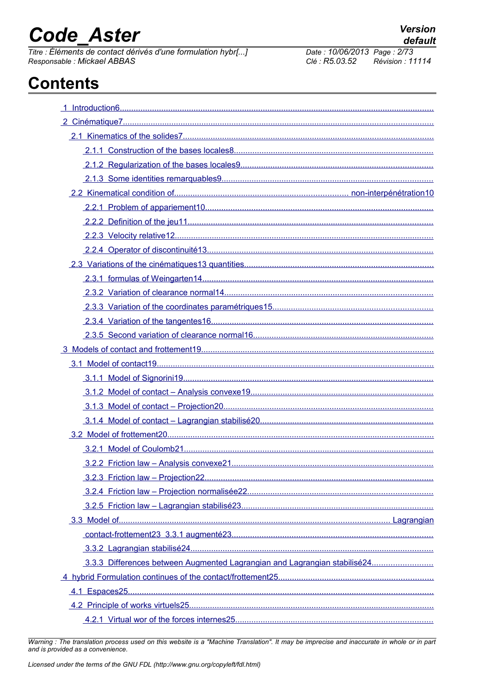# **Code Aster**

Titre : Éléments de contact dérivés d'une formulation hybr[...] Responsable : Mickael ABBAS

Révision : 11114

Clé : R5.03.52

**Version** 

### **Contents**

| 3.3.3 Differences between Augmented Lagrangian and Lagrangian stabilisé24 |
|---------------------------------------------------------------------------|
|                                                                           |
|                                                                           |
|                                                                           |
|                                                                           |

Warning: The translation process used on this website is a "Machine Translation". It may be imprecise and inaccurate in whole or in part and is provided as a convenience.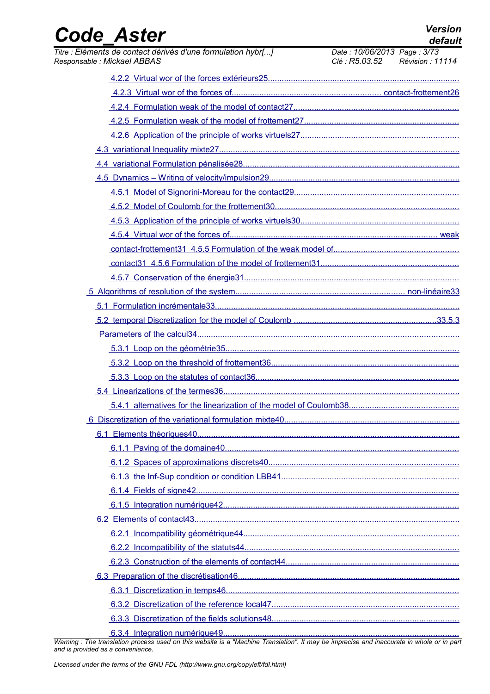| Titre : Éléments de contact dérivés d'une formulation hybr[]<br>Responsable : Mickael ABBAS | Date: 10/06/2013 Page: 3/73<br>Clé : R5.03.52 | Révision : 11114 |
|---------------------------------------------------------------------------------------------|-----------------------------------------------|------------------|
|                                                                                             |                                               |                  |
|                                                                                             |                                               |                  |
|                                                                                             |                                               |                  |
|                                                                                             |                                               |                  |
|                                                                                             |                                               |                  |
|                                                                                             |                                               |                  |
|                                                                                             |                                               |                  |
|                                                                                             |                                               |                  |
|                                                                                             |                                               |                  |
|                                                                                             |                                               |                  |
|                                                                                             |                                               |                  |
|                                                                                             |                                               |                  |
|                                                                                             |                                               |                  |
|                                                                                             |                                               |                  |
|                                                                                             |                                               |                  |
|                                                                                             |                                               |                  |
|                                                                                             |                                               |                  |
|                                                                                             |                                               |                  |
|                                                                                             |                                               |                  |
|                                                                                             |                                               |                  |
|                                                                                             |                                               |                  |
|                                                                                             |                                               |                  |
|                                                                                             |                                               |                  |
|                                                                                             |                                               |                  |
|                                                                                             |                                               |                  |
|                                                                                             |                                               |                  |
|                                                                                             |                                               |                  |
|                                                                                             |                                               |                  |
|                                                                                             |                                               |                  |
|                                                                                             |                                               |                  |
|                                                                                             |                                               |                  |
|                                                                                             |                                               |                  |
|                                                                                             |                                               |                  |
|                                                                                             |                                               |                  |
|                                                                                             |                                               |                  |
|                                                                                             |                                               |                  |
|                                                                                             |                                               |                  |
|                                                                                             |                                               |                  |
|                                                                                             |                                               |                  |
|                                                                                             |                                               |                  |

 [6.3.4 Integration numérique49 ......................................................................................................](#page-48-0) *Warning : The translation process used on this website is a "Machine Translation". It may be imprecise and inaccurate in whole or in part and is provided as a convenience.*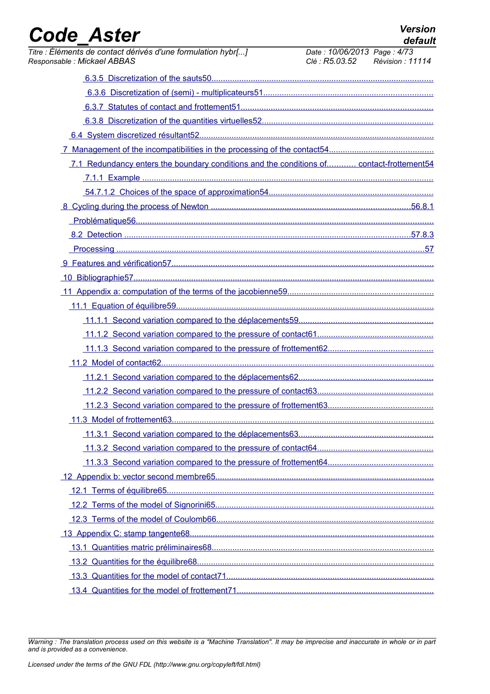| <b>Code Aster</b>                                                                           |                                              | <b>Version</b><br>default |
|---------------------------------------------------------------------------------------------|----------------------------------------------|---------------------------|
| Titre : Éléments de contact dérivés d'une formulation hybr[]<br>Responsable : Mickael ABBAS | Date: 10/06/2013 Page: 4/73<br>Clé: R5.03.52 | Révision : 11114          |
|                                                                                             |                                              |                           |
|                                                                                             |                                              |                           |
|                                                                                             |                                              |                           |
|                                                                                             |                                              |                           |
|                                                                                             |                                              |                           |
|                                                                                             |                                              |                           |
| 7.1 Redundancy enters the boundary conditions and the conditions of contact-frottement54    |                                              |                           |
|                                                                                             |                                              |                           |
|                                                                                             |                                              |                           |
|                                                                                             |                                              |                           |
|                                                                                             |                                              |                           |
|                                                                                             |                                              |                           |
|                                                                                             |                                              |                           |
|                                                                                             |                                              |                           |
|                                                                                             |                                              |                           |
|                                                                                             |                                              |                           |
|                                                                                             |                                              |                           |
|                                                                                             |                                              |                           |
|                                                                                             |                                              |                           |
|                                                                                             |                                              |                           |
|                                                                                             |                                              |                           |
|                                                                                             |                                              |                           |
|                                                                                             |                                              |                           |
|                                                                                             |                                              |                           |
|                                                                                             |                                              |                           |
|                                                                                             |                                              |                           |
|                                                                                             |                                              |                           |
|                                                                                             |                                              |                           |
|                                                                                             |                                              |                           |
|                                                                                             |                                              |                           |
|                                                                                             |                                              |                           |
|                                                                                             |                                              |                           |
|                                                                                             |                                              |                           |
|                                                                                             |                                              |                           |
|                                                                                             |                                              |                           |
|                                                                                             |                                              |                           |
|                                                                                             |                                              |                           |
|                                                                                             |                                              |                           |

*Warning : The translation process used on this website is a "Machine Translation". It may be imprecise and inaccurate in whole or in part and is provided as a convenience.*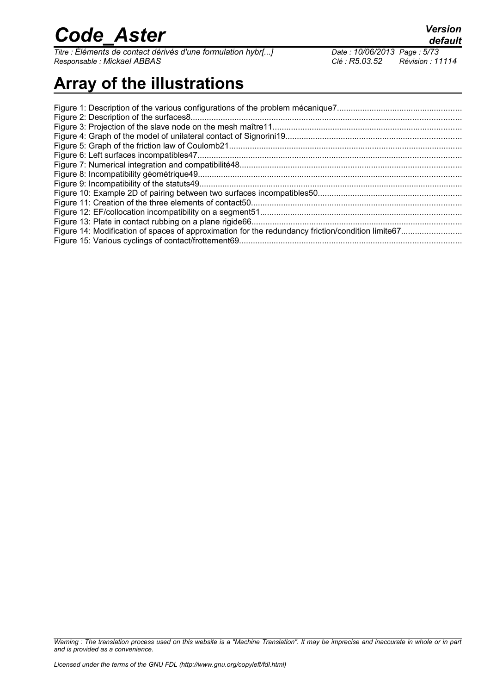*Titre : Éléments de contact dérivés d'une formulation hybr[...] Date : 10/06/2013 Page : 5/73 Responsable : Mickael ABBAS Clé : R5.03.52 Révision : 11114*

### **Array of the illustrations**

*Warning : The translation process used on this website is a "Machine Translation". It may be imprecise and inaccurate in whole or in part and is provided as a convenience.*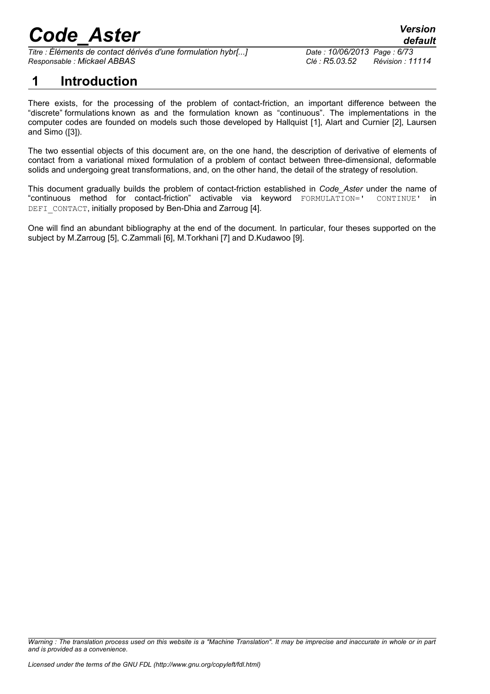*Titre : Éléments de contact dérivés d'une formulation hybr[...] Date : 10/06/2013 Page : 6/73 Responsable : Mickael ABBAS Clé : R5.03.52 Révision : 11114*

### <span id="page-5-0"></span> **1 Introduction**

There exists, for the processing of the problem of contact-friction, an important difference between the "discrete" formulations known as and the formulation known as "continuous". The implementations in the computer codes are founded on models such those developed by Hallquist [\[1\]](#page-56-4), Alart and Curnier [\[2\]](#page-56-10), Laursen and Simo ([\[3\]](#page-56-9)).

The two essential objects of this document are, on the one hand, the description of derivative of elements of contact from a variational mixed formulation of a problem of contact between three-dimensional, deformable solids and undergoing great transformations, and, on the other hand, the detail of the strategy of resolution.

This document gradually builds the problem of contact-friction established in *Code\_Aster* under the name of "continuous method for contact-friction" activable via keyword FORMULATION=' CONTINUE' in DEFI CONTACT, initially proposed by Ben-Dhia and Zarroug [\[4\]](#page-56-8).

One will find an abundant bibliography at the end of the document. In particular, four theses supported on the subject by M.Zarroug [\[5\]](#page-56-7), C.Zammali [\[6\]](#page-56-6), M.Torkhani [\[7\]](#page-56-5) and D.Kudawoo [\[9\]](#page-57-0).

*Warning : The translation process used on this website is a "Machine Translation". It may be imprecise and inaccurate in whole or in part and is provided as a convenience.*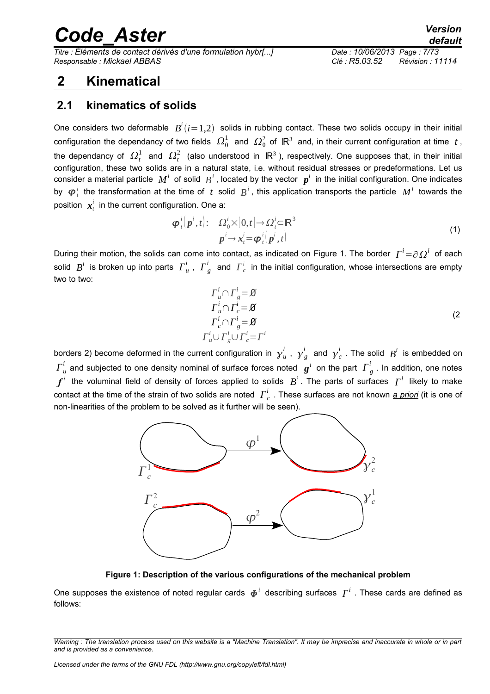*Titre : Éléments de contact dérivés d'une formulation hybr[...] Date : 10/06/2013 Page : 7/73 Responsable : Mickael ABBAS Clé : R5.03.52 Révision : 11114*

### *default*

### <span id="page-6-1"></span> **2 Kinematical**

### <span id="page-6-0"></span> **2.1 kinematics of solids**

One considers two deformable  $B^i(i=1,2)$  solids in rubbing contact. These two solids occupy in their initial configuration the dependancy of two fields  $\,\Omega^1_0\,$  and  $\,\Omega^2_0$  of  $\,\R^3\,$  and, in their current configuration at time  $\,$  t, the dependancy of  $\,\Omega_t^1\,$  and  $\,\Omega_t^2\,$  (also understood in  $\,\R^3$  ), respectively. One supposes that, in their initial configuration, these two solids are in a natural state, i.e. without residual stresses or predeformations. Let us consider a material particle  $\ M^i$  of solid  $\ B^i$  , located by the vector  $\ \bm p^i$  in the initial configuration. One indicates by  $\bm{\varphi}_t^i$  the transformation at the time of  $t$  solid  $B^i$ , this application transports the particle  $\bm{M}^i$  towards the position  $\mathbf{x}_t^i$  in the current configuration. One a:

$$
\boldsymbol{\varphi}_t^i(\boldsymbol{p}^i, t): \quad \Omega_0^i \times [0, t] \to \Omega_t^i \subset \mathbb{R}^3
$$
\n
$$
\boldsymbol{p}^i \to \boldsymbol{x}_t^i = \boldsymbol{\varphi}_t^i(\boldsymbol{p}^i, t) \tag{1}
$$

During their motion, the solids can come into contact, as indicated on [Figure 1.](#page-6-2) The border  $\ \Gamma^i\!=\!\partial\,\Omega^i\,$  of each solid  $B^i$  is broken up into parts  $\Gamma^i_u$  ,  $\Gamma^i_g$  and  $\Gamma^i_c$  in the initial configuration, whose intersections are empty two to two:

$$
\Gamma_u^i \cap \Gamma_g^i = \varnothing
$$
\n
$$
\Gamma_u^i \cap \Gamma_c^i = \varnothing
$$
\n
$$
\Gamma_c^i \cap \Gamma_g^i = \varnothing
$$
\n
$$
\Gamma_u^i \cup \Gamma_g^i \cup \Gamma_c^i = \Gamma^i
$$
\n(2)

borders 2) become deformed in the current configuration in  $y^i_u$  ,  $y^i_g$  and  $y^i_c$  . The solid  $B^i$  is embedded on  $\Gamma^i_u$  and subjected to one density nominal of surface forces noted  $\bm g^i$  on the part  $\varGamma^i_g$  . In addition, one notes  $f^i$  the voluminal field of density of forces applied to solids  $B^i$  . The parts of surfaces  $\overline{I}^i$  likely to make contact at the time of the strain of two solids are noted  $\overline{\Gamma}_c^i$  . These surfaces are not known <u>a priori</u> (it is one of non-linearities of the problem to be solved as it further will be seen).



<span id="page-6-2"></span>**Figure 1: Description of the various configurations of the mechanical problem**

One supposes the existence of noted regular cards  $\boldsymbol{\varPhi}^i$  describing surfaces  $\varGamma^i$  . These cards are defined as follows:

*Warning : The translation process used on this website is a "Machine Translation". It may be imprecise and inaccurate in whole or in part and is provided as a convenience.*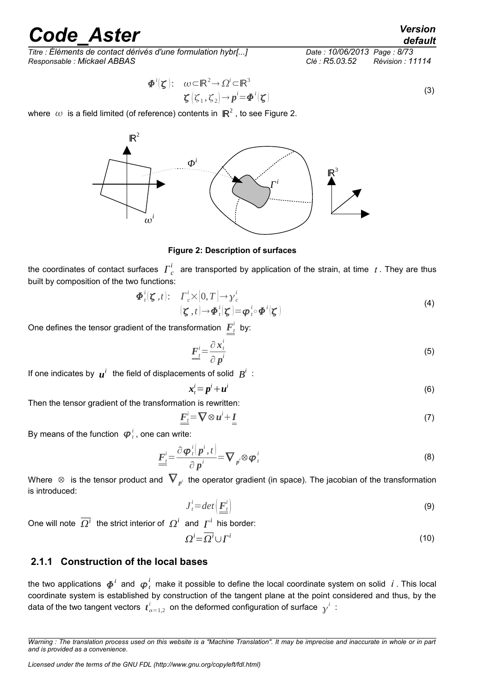*Titre : Éléments de contact dérivés d'une formulation hybr[...] Date : 10/06/2013 Page : 8/73 Responsable : Mickael ABBAS Clé : R5.03.52 Révision : 11114*

$$
\boldsymbol{\Phi}^{i}(\boldsymbol{\zeta}); \quad \boldsymbol{\omega} \subset \mathbb{R}^{2} \to \Omega^{i} \subset \mathbb{R}^{3} \\
 \boldsymbol{\zeta}(\boldsymbol{\zeta}_{1}, \boldsymbol{\zeta}_{2}) \to \boldsymbol{p}^{i} = \boldsymbol{\Phi}^{i}(\boldsymbol{\zeta})
$$
\n(3)

where  $\,\omega\,$  is a field limited (of reference) contents in  $\,\mathbb{R}^2$  , to see [Figure 2.](#page-7-1)



<span id="page-7-1"></span>**Figure 2: Description of surfaces**

the coordinates of contact surfaces  $\overline{\Gamma}_c^i$  are transported by application of the strain, at time  $\;t$  *.* They are thus built by composition of the two functions:

$$
\begin{array}{ll}\n\stackrel{i}{\left(\mathbf{\boldsymbol{\zeta}},t\right)}: & \Gamma^i_c \times [0,T] \to \mathbf{y}_c^i \\
& \left(\mathbf{\boldsymbol{\zeta}},t\right) \to \boldsymbol{\Phi}_t^i(\mathbf{\boldsymbol{\zeta}}) = \boldsymbol{\varphi}_t^i \circ \boldsymbol{\Phi}^i(\mathbf{\boldsymbol{\zeta}})\n\end{array} \tag{4}
$$

One defines the tensor gradient of the transformation  $|F_t^i|$  by:

*δ* 

$$
\underline{F}^i_{\underline{t}} = \frac{\partial x^i_t}{\partial p^i} \tag{5}
$$

If one indicates by  $\boldsymbol{u}^i$  the field of displacements of solid  $B^i$ :

$$
x_t^i = p^i + u^i \tag{6}
$$

Then the tensor gradient of the transformation is rewritten:

$$
\underline{F}_{\underline{t}}^i = \nabla \otimes u^i + \underline{I} \tag{7}
$$

By means of the function  $\left\langle \bm{\varphi}_t^i \right\rangle$ , one can write:

$$
\underline{\boldsymbol{F}}_t^i = \frac{\partial \boldsymbol{\varphi}_t^i(\boldsymbol{p}^i, t)}{\partial \boldsymbol{p}^i} = \nabla_{\boldsymbol{p}^i} \otimes \boldsymbol{\varphi}_t^i
$$
\n(8)

Where  $~\otimes~$  is the tensor product and  $~\nabla_{~p'}~$  the operator gradient (in space). The jacobian of the transformation is introduced:

<span id="page-7-2"></span>
$$
J_t^i = det\left(\underline{F_t^i}\right) \tag{9}
$$

One will note  $\overline{\Omega^i}$  the strict interior of  $\Omega^i$  and  $\overline{\Gamma}^i$  his border:

$$
\Omega^i = \overline{\Omega^i} \cup \Gamma^i \tag{10}
$$

#### <span id="page-7-0"></span> **2.1.1 Construction of the local bases**

the two applications  $\bm{\phi}^i$  and  $\bm{\phi}^i_t$  make it possible to define the local coordinate system on solid  $~i$  . This local coordinate system is established by construction of the tangent plane at the point considered and thus, by the data of the two tangent vectors  $\; \pmb{t}^i_{\alpha=1,2} \;$  on the deformed configuration of surface  $\; \gamma^i \;$  :

*Warning : The translation process used on this website is a "Machine Translation". It may be imprecise and inaccurate in whole or in part and is provided as a convenience.*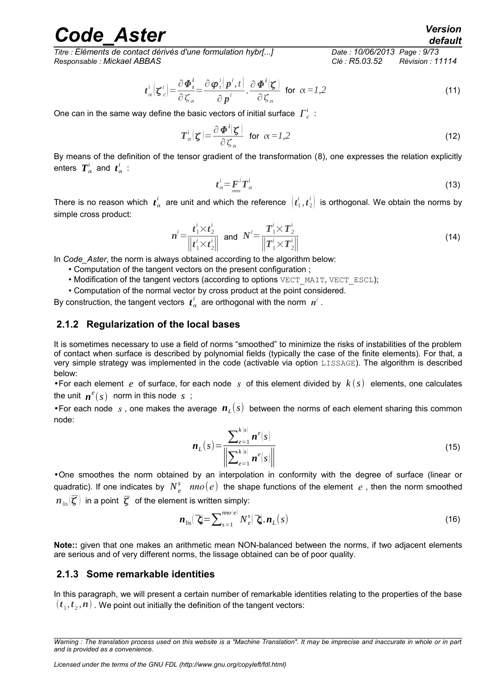*Titre : Éléments de contact dérivés d'une formulation hybr[...] Date : 10/06/2013 Page : 9/73 Responsable : Mickael ABBAS Clé : R5.03.52 Révision : 11114*

$$
\boldsymbol{t}_{\alpha}^{i}\left(\boldsymbol{\zeta}_{c}^{i}\right) = \frac{\partial \boldsymbol{\varPhi}_{t}^{i}}{\partial \boldsymbol{\zeta}_{\alpha}} = \frac{\partial \boldsymbol{\varphi}_{t}^{i}\left(\boldsymbol{p}^{i}, t\right)}{\partial \boldsymbol{p}^{i}} \cdot \frac{\partial \boldsymbol{\varPhi}^{i}\left(\boldsymbol{\zeta}\right)}{\partial \boldsymbol{\zeta}_{\alpha}} \quad \text{for } \alpha = 1, 2
$$
\n(11)

One can in the same way define the basic vectors of initial surface  $\overline{\varGamma}_{c}^{i}$  :

$$
T_{\alpha}^{i}(\zeta) = \frac{\partial \boldsymbol{\Phi}^{i}(\zeta)}{\partial \zeta_{\alpha}} \quad \text{for} \quad \alpha = 1,2
$$
 (12)

By means of the definition of the tensor gradient of the transformation [\(8\)](#page-7-2), one expresses the relation explicitly enters  $\boldsymbol{T}^i_\alpha$  and  $\boldsymbol{t}^i_\alpha$  :

$$
\boldsymbol{t}_{\alpha}^{i} = \underline{\boldsymbol{F}}^{i} \boldsymbol{T}_{\alpha}^{i} \tag{13}
$$

There is no reason which  $\bm{t}^i_\alpha$  are unit and which the reference  $\left(t^i_1,t^i_2\right)$  is orthogonal. We obtain the norms by simple cross product:

$$
n^{i} = \frac{t_{1}^{i} \times t_{2}^{i}}{\left\| t_{1}^{i} \times t_{2}^{i} \right\|} \text{ and } N^{i} = \frac{T_{1}^{i} \times T_{2}^{i}}{\left\| T_{1}^{i} \times T_{2}^{i} \right\|}
$$
(14)

In *Code\_Aster*, the norm is always obtained according to the algorithm below:

- Computation of the tangent vectors on the present configuration ;
- Modification of the tangent vectors (according to options  $VECT$  MAIT, VECT  $ESCL$ );
- Computation of the normal vector by cross product at the point considered.

By construction, the tangent vectors  $\bm{t}^i_\alpha$  are orthogonal with the norm  $\bm{n}^i$  .

#### <span id="page-8-1"></span> **2.1.2 Regularization of the local bases**

It is sometimes necessary to use a field of norms "smoothed" to minimize the risks of instabilities of the problem of contact when surface is described by polynomial fields (typically the case of the finite elements). For that, a very simple strategy was implemented in the code (activable via option LISSAGE). The algorithm is described below:

•For each element *e* of surface, for each node *s* of this element divided by  $k(s)$  elements, one calculates the unit  $n^e(s)$  norm in this node s;

•For each node *s* , one makes the average *n<sup>L</sup>* (*s*) between the norms of each element sharing this common node:

$$
\boldsymbol{n}_{L}(s) = \frac{\sum_{e=1}^{k(s)} \boldsymbol{n}^{e}(s)}{\left\| \sum_{e=1}^{k(s)} \boldsymbol{n}^{e}(s) \right\|}
$$
(15)

•One smoothes the norm obtained by an interpolation in conformity with the degree of surface (linear or quadratic). If one indicates by  $N_e^s$   $\emph{no}(e)$  the shape functions of the element  $e$  , then the norm smoothed  $n_{\text{lin}}(\overline{\zeta})$  in a point  $\overline{\zeta}$  of the element is written simply:

$$
\boldsymbol{n}_{\text{lis}}[\boldsymbol{\vec{\zeta}}] = \sum_{s=1}^{nno(e)} N_e^s(\boldsymbol{\vec{\zeta}}, \boldsymbol{n}_L(s))
$$
\n(16)

**Note::** given that one makes an arithmetic mean NON-balanced between the norms, if two adjacent elements are serious and of very different norms, the lissage obtained can be of poor quality.

#### <span id="page-8-0"></span> **2.1.3 Some remarkable identities**

In this paragraph, we will present a certain number of remarkable identities relating to the properties of the base  $(\boldsymbol{t}_1, \boldsymbol{t}_2, \boldsymbol{n})$  . We point out initially the definition of the tangent vectors:

### *default*

*Warning : The translation process used on this website is a "Machine Translation". It may be imprecise and inaccurate in whole or in part and is provided as a convenience.*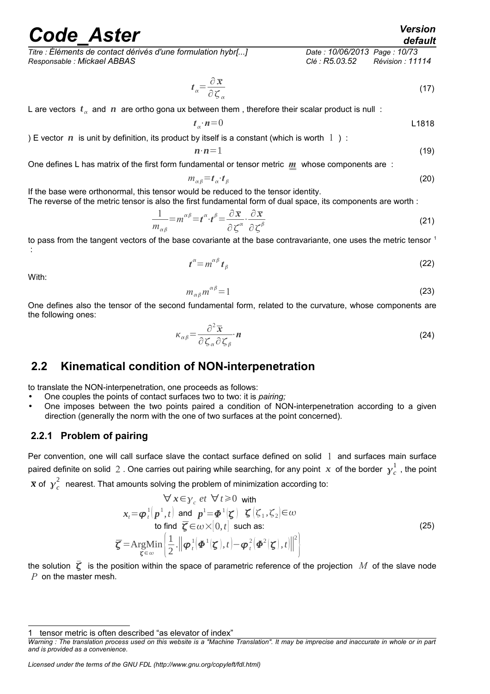*Titre : Éléments de contact dérivés d'une formulation hybr[...] Date : 10/06/2013 Page : 10/73 Responsable : Mickael ABBAS Clé : R5.03.52 Révision : 11114*

$$
t_{\alpha} = \frac{\partial \overline{x}}{\partial \zeta_{\alpha}}
$$
 (17)

L are vectors  $t_{\alpha}$  and *n* are ortho gona ux between them, therefore their scalar product is null:

<span id="page-9-7"></span><span id="page-9-5"></span>
$$
t_{\alpha} \cdot n = 0 \tag{1818}
$$

) E vector  $n$  is unit by definition, its product by itself is a constant (which is worth  $1$ ) :

<span id="page-9-6"></span>
$$
n \cdot n = 1 \tag{19}
$$

One defines L has matrix of the first form fundamental or tensor metric *m* whose components are :

$$
m_{\alpha\beta} = t_{\alpha} \cdot t_{\beta} \tag{20}
$$

If the base were orthonormal, this tensor would be reduced to the tensor identity. The reverse of the metric tensor is also the first fundamental form of dual space, its components are worth :

$$
\frac{1}{m_{\alpha\beta}} = m^{\alpha\beta} = t^{\alpha} \cdot t^{\beta} = \frac{\partial \overline{x}}{\partial \zeta^{\alpha}} \cdot \frac{\partial \overline{x}}{\partial \zeta^{\beta}}
$$
(21)

to pass from the tangent vectors of the base covariante at the base contravariante, one uses the metric tensor  $1$ :

<span id="page-9-4"></span>
$$
t^{\alpha} = m^{\alpha \beta} t_{\beta} \tag{22}
$$

With:

<span id="page-9-8"></span>
$$
m_{\alpha\beta}m^{\alpha\beta}=1\tag{23}
$$

One defines also the tensor of the second fundamental form, related to the curvature, whose components are the following ones:

$$
\kappa_{\alpha\beta} = \frac{\partial^2 \overline{x}}{\partial \zeta_{\alpha} \partial \zeta_{\beta}} \cdot n \tag{24}
$$

### <span id="page-9-1"></span> **2.2 Kinematical condition of NON-interpenetration**

to translate the NON-interpenetration, one proceeds as follows:

- One couples the points of contact surfaces two to two: it is *pairing;*
- One imposes between the two points paired a condition of NON-interpenetration according to a given direction (generally the norm with the one of two surfaces at the point concerned).

#### <span id="page-9-0"></span> **2.2.1 Problem of pairing**

Per convention, one will call surface slave the contact surface defined on solid 1 and surfaces main surface paired definite on solid  $2$  . One carries out pairing while searching, for any point  $x$  of the border  $y_c^1$  , the point  $\overline{\mathbf{x}}$  of  $\left| y_{c}^{2}\right|$  nearest. That amounts solving the problem of minimization according to:

<span id="page-9-3"></span>
$$
\forall x \in \mathcal{Y}_c \text{ et } \forall t \ge 0 \text{ with}
$$
  
\n
$$
x_t = \varphi_t^1(\mathbf{p}^1, t) \text{ and } \mathbf{p}^1 = \varphi_1^1(\mathbf{z}) \quad \mathbf{\zeta} \left( \mathbf{\zeta}_1, \mathbf{\zeta}_2 \right) \in \omega
$$
  
\nto find  $\overline{\mathbf{\zeta}} \in \omega \times [0, t]$  such as:  
\n
$$
\overline{\mathbf{\zeta}} = \operatorname{ArgMin}\left\{ \frac{1}{2} . \left\| \boldsymbol{\varphi}_t^1(\boldsymbol{\varphi}^1(\mathbf{\zeta}), t) - \boldsymbol{\varphi}_t^2(\boldsymbol{\varphi}^2(\mathbf{\zeta}), t) \right\|^2 \right\}
$$
\n(25)

the solution  $\bar{\zeta}$  is the position within the space of parametric reference of the projection M of the slave node *P* on the master mesh.

<span id="page-9-2"></span>tensor metric is often described "as elevator of index"

*Warning : The translation process used on this website is a "Machine Translation". It may be imprecise and inaccurate in whole or in part and is provided as a convenience.*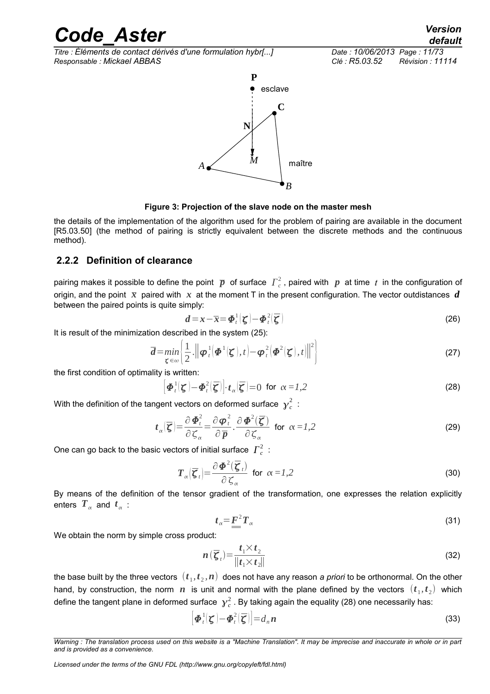*Titre : Éléments de contact dérivés d'une formulation hybr[...] Date : 10/06/2013 Page : 11/73 Responsable : Mickael ABBAS Clé : R5.03.52 Révision : 11114*



**Figure 3: Projection of the slave node on the master mesh**

the details of the implementation of the algorithm used for the problem of pairing are available in the document [R5.03.50] (the method of pairing is strictly equivalent between the discrete methods and the continuous method).

#### <span id="page-10-0"></span> **2.2.2 Definition of clearance**

pairing makes it possible to define the point  $\bar{\bm p}$  of surface  $\int^2_c$ , paired with  $\bm p$  at time  $t$  in the configuration of origin, and the point  $\bar{x}$  paired with  $x$  at the moment T in the present configuration. The vector outdistances  $\bm{d}$ between the paired points is quite simply:

$$
d = x - \overline{x} = \Phi_t^1(\zeta) - \Phi_t^2(\overline{\zeta})
$$
\n(26)

It is result of the minimization described in the system [\(25\)](#page-9-3):

$$
\overline{\mathbf{d}} = \min_{\mathbf{\zeta} \in \omega} \left\{ \frac{1}{2} \cdot \left\| \boldsymbol{\varphi}_t^1 \left( \boldsymbol{\varPhi}^1(\mathbf{\zeta}), t \right) - \boldsymbol{\varphi}_t^2 \left( \boldsymbol{\varPhi}^2(\mathbf{\zeta}), t \right) \right\|^2 \right\}
$$
(27)

the first condition of optimality is written:

$$
\left[\boldsymbol{\Phi}_t^1(\boldsymbol{\zeta}) - \boldsymbol{\Phi}_t^2(\boldsymbol{\overline{\zeta}})\right] \cdot \boldsymbol{t}_{\alpha}(\boldsymbol{\overline{\zeta}}) = 0 \text{ for } \alpha = 1,2
$$
\n(28)

With the definition of the tangent vectors on deformed surface  $\,\,{\overline{\jmath}}_c^{\,2}\,$  :

$$
\boldsymbol{t}_{\alpha}[\overline{\boldsymbol{\zeta}}] = \frac{\partial \boldsymbol{\Phi}_{t}^{2}}{\partial \boldsymbol{\zeta}_{\alpha}} = \frac{\partial \boldsymbol{\phi}_{t}^{2}}{\partial \overline{\boldsymbol{p}}} \cdot \frac{\partial \boldsymbol{\Phi}^{2}(\overline{\boldsymbol{\zeta}})}{\partial \boldsymbol{\zeta}_{\alpha}} \quad \text{for } \alpha = 1, 2
$$
\n(29)

One can go back to the basic vectors of initial surface  $\; \varGamma^2_{c} \,$  :

$$
T_{\alpha}\left(\overline{\zeta}_{t}\right) = \frac{\partial \Phi^{2}(\overline{\zeta}_{t})}{\partial \zeta_{\alpha}} \text{ for } \alpha = 1,2
$$
 (30)

By means of the definition of the tensor gradient of the transformation, one expresses the relation explicitly enters  $T_{\alpha}$  and  $t_{\alpha}$  :

<span id="page-10-3"></span><span id="page-10-2"></span><span id="page-10-1"></span>
$$
t_{\alpha} = \underline{F}^2 T_{\alpha} \tag{31}
$$

We obtain the norm by simple cross product:

$$
n\left(\overline{\zeta}_{t}\right) = \frac{t_{1} \times t_{2}}{\left\|t_{1} \times t_{2}\right\|} \tag{32}
$$

the base built by the three vectors  $\, (t_{_1},t_{_2},n)\,$  does not have any reason *a priori* to be orthonormal. On the other hand, by construction, the norm  $n$  is unit and normal with the plane defined by the vectors  $(t_1, t_2)$  which define the tangent plane in deformed surface  $\,\mathcal{y}_{c}^2$  . By taking again the equality [\(28\)](#page-10-1) one necessarily has:

$$
\left[\boldsymbol{\Phi}_t^1(\boldsymbol{\zeta}) - \boldsymbol{\Phi}_t^2(\boldsymbol{\overline{\zeta}})\right] = d_n \boldsymbol{n}
$$
\n(33)

*Licensed under the terms of the GNU FDL (http://www.gnu.org/copyleft/fdl.html)*

*Warning : The translation process used on this website is a "Machine Translation". It may be imprecise and inaccurate in whole or in part and is provided as a convenience.*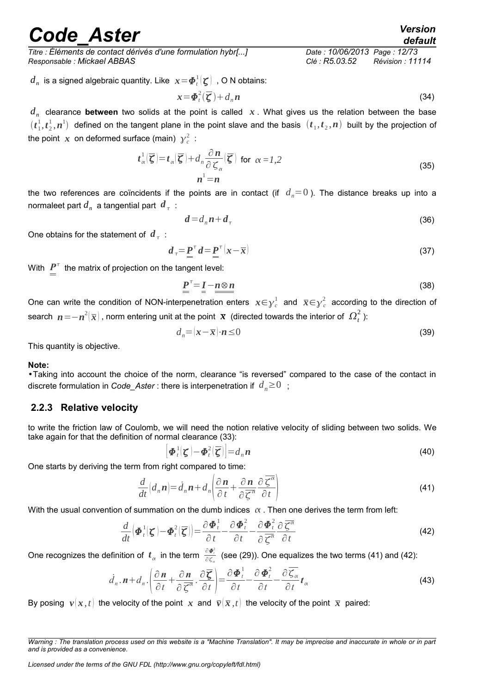*Titre : Éléments de contact dérivés d'une formulation hybr[...] Date : 10/06/2013 Page : 12/73 Responsable : Mickael ABBAS Clé : R5.03.52 Révision : 11114*

 $d_{n}^{\phantom{\dag}}$  is a signed algebraic quantity. Like  $\phantom{.}x\!=\!\boldsymbol{\varPhi}^{1}_{t}(\boldsymbol{\zeta})\phantom{.}$  , O N obtains:

$$
x = \Phi_t^2(\overline{\zeta}) + d_n n \tag{34}
$$

*dn* clearance **between** two solids at the point is called *x* . What gives us the relation between the base  $(t_1^1, t_2^1, n^1)$  defined on the tangent plane in the point slave and the basis  $(t_1, t_2, n)$  built by the projection of the point  $\boldsymbol{\mathrm{x}}$  on deformed surface (main)  $\gamma_c^2$  :

$$
\boldsymbol{t}_{\alpha}^{1}(\overline{\boldsymbol{\zeta}})=\boldsymbol{t}_{\alpha}(\overline{\boldsymbol{\zeta}})+d_{n}\frac{\partial\boldsymbol{n}}{\partial\boldsymbol{\zeta}_{\alpha}}(\overline{\boldsymbol{\zeta}}) \text{ for } \alpha=1,2
$$
\n
$$
\boldsymbol{n}^{1}=\boldsymbol{n}
$$
\n(35)

the two references are coïncidents if the points are in contact (if  $d_n = 0$ ). The distance breaks up into a normaleet part  $d_{_n}$  a tangential part  $|d_{_{\tau}}|$  :

$$
d = d_n n + d_\tau \tag{36}
$$

One obtains for the statement of  $\,d_{\,\tau}\,$  :

$$
d_{\tau} = \underline{P}^{\tau} d = \underline{P}^{\tau} (x - \overline{x})
$$
 (37)

With  $P^{\tau}$  the matrix of projection on the tangent level:

<span id="page-11-4"></span>
$$
\underline{P}^{\tau} = \underline{I} - n \otimes n \tag{38}
$$

One can write the condition of NON-interpenetration enters  $x \in y_c^1$  and  $\bar{x} \in y_c^2$  according to the direction of search  $\bm{n}{=}{-}\bm{n}^2|\overline{\bm{\chi}})$  , norm entering unit at the point  $\overline{\bm{\chi}}$  (directed towards the interior of  $\varOmega_t^2$  ):

$$
d_n = |\mathbf{x} - \overline{\mathbf{x}}| \cdot \mathbf{n} \le 0 \tag{39}
$$

This quantity is objective.

#### **Note:**

•Taking into account the choice of the norm, clearance "is reversed" compared to the case of the contact in discrete formulation in *Code\_Aster* : there is interpenetration if  $d_n \geq 0$ ;

#### <span id="page-11-0"></span> **2.2.3 Relative velocity**

to write the friction law of Coulomb, we will need the notion relative velocity of sliding between two solids. We take again for that the definition of normal clearance [\(33\)](#page-10-3):

<span id="page-11-2"></span><span id="page-11-1"></span>
$$
\left[\boldsymbol{\Phi}_t^1(\boldsymbol{\zeta}) - \boldsymbol{\Phi}_t^2(\boldsymbol{\overline{\zeta}})\right] = d_n \boldsymbol{n}
$$
\n(40)

One starts by deriving the term from right compared to time:

$$
\frac{d}{dt}\left(d_n\mathbf{n}\right) = \dot{d}_n\mathbf{n} + d_n \left(\frac{\partial \mathbf{n}}{\partial t} + \frac{\partial \mathbf{n}}{\partial \overline{\zeta}^{\alpha}} \frac{\partial \overline{\zeta}^{\alpha}}{\partial t}\right)
$$
(41)

With the usual convention of summation on the dumb indices  $\alpha$ . Then one derives the term from left:

$$
\frac{d}{dt}\left(\boldsymbol{\Phi}_t^1\middle|\boldsymbol{\zeta}\right) - \boldsymbol{\Phi}_t^2\middle|\boldsymbol{\overline{\zeta}}\right) = \frac{\partial \boldsymbol{\Phi}_t^1}{\partial t} - \frac{\partial \boldsymbol{\Phi}_t^2}{\partial t} - \frac{\partial \boldsymbol{\Phi}_t^2}{\partial \boldsymbol{\overline{\zeta}}^{\alpha}} \frac{\partial \boldsymbol{\overline{\zeta}}^{\alpha}}{\partial t}
$$
(42)

One recognizes the definition of  $t_{\alpha}$  in the term  $\frac{\partial \Phi_{\epsilon}^2}{\partial \zeta_{\epsilon}}$  $\frac{\partial \mathcal{L}_t}{\partial \zeta_\alpha}$  (see [\(29\)](#page-10-2)). One equalizes the two terms [\(41\)](#page-11-2) and [\(42\)](#page-11-1):

$$
\dot{d}_n \cdot \boldsymbol{n} + d_n \cdot \left( \frac{\partial \boldsymbol{n}}{\partial t} + \frac{\partial \boldsymbol{n}}{\partial \overline{\zeta}^{\alpha}} \cdot \frac{\partial \overline{\zeta}}{\partial t} \right) = \frac{\partial \boldsymbol{\Phi}_t^1}{\partial t} - \frac{\partial \boldsymbol{\Phi}_t^2}{\partial t} - \frac{\partial \overline{\zeta}_{\alpha}}{\partial t} \boldsymbol{t}_{\alpha}
$$
(43)

By posing  $v(x, t)$  the velocity of the point x and  $\overline{v}(\overline{x}, t)$  the velocity of the point  $\overline{x}$  paired:

<span id="page-11-3"></span>

*Warning : The translation process used on this website is a "Machine Translation". It may be imprecise and inaccurate in whole or in part and is provided as a convenience.*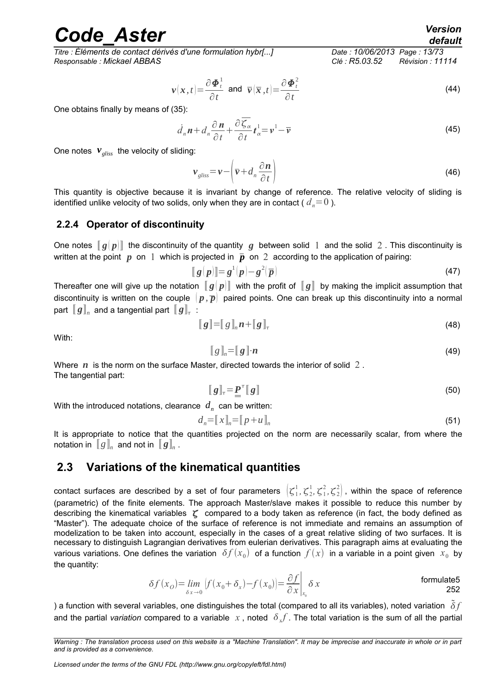*Titre : Éléments de contact dérivés d'une formulation hybr[...] Date : 10/06/2013 Page : 13/73 Responsable : Mickael ABBAS Clé : R5.03.52 Révision : 11114*

$$
\mathbf{v}(\mathbf{x},t) = \frac{\partial \boldsymbol{\Phi}_t^1}{\partial t} \text{ and } \overline{\mathbf{v}}(\overline{\mathbf{x}},t) = \frac{\partial \boldsymbol{\Phi}_t^2}{\partial t}
$$
 (44)

One obtains finally by means of [\(35\)](#page-11-3):

$$
\dot{d}_n \mathbf{n} + d_n \frac{\partial \mathbf{n}}{\partial t} + \frac{\partial \overline{\zeta_{\alpha}}}{\partial t} t_{\alpha}^1 = \mathbf{v}^1 - \overline{\mathbf{v}}
$$
\n(45)

One notes *vgliss* the velocity of sliding:

$$
\mathbf{v}_{\text{gliss}} = \mathbf{v} - \left(\overline{\mathbf{v}} + d_n \frac{\partial \mathbf{n}}{\partial t}\right)
$$
 (46)

This quantity is objective because it is invariant by change of reference. The relative velocity of sliding is identified unlike velocity of two solids, only when they are in contact ( $d_n = 0$ ).

#### <span id="page-12-1"></span> **2.2.4 Operator of discontinuity**

One notes  $\|g(p)\|$  the discontinuity of the quantity g between solid 1 and the solid 2. This discontinuity is written at the point  $p$  on 1 which is projected in  $\bar{p}$  on 2 according to the application of pairing:

$$
\llbracket g(p) \rrbracket = g^1(p) - g^2(\overline{p}) \tag{47}
$$

Thereafter one will give up the notation  $\|q(p)\|$  with the profit of  $\|q\|$  by making the implicit assumption that discontinuity is written on the couple  $(p, \overline{p})$  paired points. One can break up this discontinuity into a normal part  $\llbracket\bm{g}\rrbracket_{n}$  and a tangential part  $\llbracket\bm{g}\rrbracket_{\tau}$  :

$$
\llbracket g \rrbracket = \llbracket g \rrbracket_n n + \llbracket g \rrbracket_r \tag{48}
$$

With:

$$
\llbracket g \rrbracket_n = \llbracket g \rrbracket \cdot n \tag{49}
$$

Where *n* is the norm on the surface Master, directed towards the interior of solid 2. The tangential part:

$$
\llbracket g \rrbracket_r = \underline{P}^\top \llbracket g \rrbracket \tag{50}
$$

With the introduced notations, clearance  $\,d_{_n}\,$  can be written:

$$
d_n = [x]_n = [p + u]_n \tag{51}
$$

It is appropriate to notice that the quantities projected on the norm are necessarily scalar, from where the notation in  $\llbracket g \rrbracket_n$  and not in  $\llbracket \bm{g} \rrbracket_n$  .

### <span id="page-12-0"></span> **2.3 Variations of the kinematical quantities**

contact surfaces are described by a set of four parameters  $\left(\zeta_1^1,\zeta_2^1,\zeta_1^2,\zeta_2^2\right)$ , within the space of reference (parametric) of the finite elements. The approach Master/slave makes it possible to reduce this number by describing the kinematical variables  $\zeta$  compared to a body taken as reference (in fact, the body defined as "Master"). The adequate choice of the surface of reference is not immediate and remains an assumption of modelization to be taken into account, especially in the cases of a great relative sliding of two surfaces. It is necessary to distinguish Lagrangian derivatives from eulerian derivatives. This paragraph aims at evaluating the various variations. One defines the variation  $\delta f(x_0)$  of a function  $f(x)$  in a variable in a point given  $x_0$  by the quantity:

$$
\delta f(x_0) = \lim_{\delta x \to 0} |f(x_0 + \delta_x) - f(x_0)| = \frac{\partial f}{\partial x}\bigg|_{x_0} \delta x
$$
formulate5  
252

) a function with several variables, one distinguishes the total (compared to all its variables), noted variation  $\delta f$ and the partial *variation* compared to a variable  $x$  , noted  $\delta_x f$  . The total variation is the sum of all the partial

*Licensed under the terms of the GNU FDL (http://www.gnu.org/copyleft/fdl.html)*

*Warning : The translation process used on this website is a "Machine Translation". It may be imprecise and inaccurate in whole or in part and is provided as a convenience.*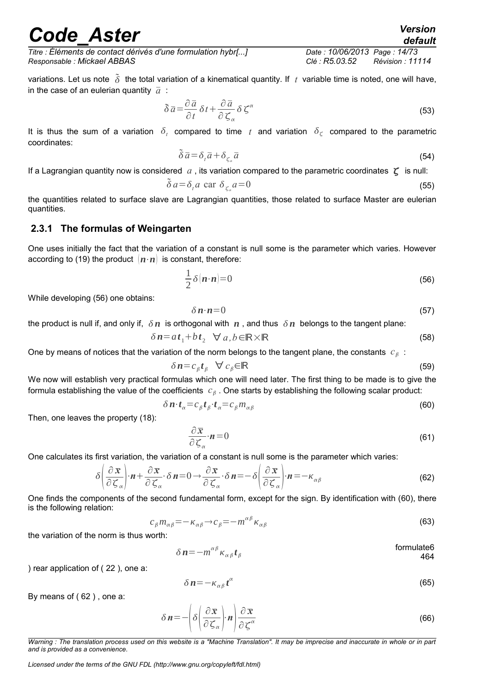*Titre : Éléments de contact dérivés d'une formulation hybr[...] Date : 10/06/2013 Page : 14/73 Responsable : Mickael ABBAS Clé : R5.03.52 Révision : 11114*

variations. Let us note  $\tilde{\delta}$  the total variation of a kinematical quantity. If  $t$  variable time is noted, one will have, in the case of an eulerian quantity  $\bar{a}$ :

$$
\tilde{\delta}\,\overline{a} = \frac{\partial\,\overline{a}}{\partial\,t}\,\delta\,t + \frac{\partial\,\overline{a}}{\partial\,\zeta_{\alpha}}\,\delta\,\zeta^{\alpha} \tag{53}
$$

It is thus the sum of a variation  $\delta_t$  compared to time t and variation  $\delta_{\zeta}$  compared to the parametric coordinates:

$$
\tilde{\delta}\,\bar{a} = \delta_{\iota}\,\bar{a} + \delta_{\zeta_{\alpha}}\,\bar{a} \tag{54}
$$

If a Lagrangian quantity now is considered  $a$ , its variation compared to the parametric coordinates  $\zeta$  is null:

$$
\tilde{\delta} a = \delta_t a \text{ car } \delta_{\zeta_a} a = 0 \tag{55}
$$

the quantities related to surface slave are Lagrangian quantities, those related to surface Master are eulerian quantities.

#### <span id="page-13-0"></span> **2.3.1 The formulas of Weingarten**

One uses initially the fact that the variation of a constant is null some is the parameter which varies. However according to [\(19\)](#page-9-6) the product  $(n \cdot n)$  is constant, therefore:

$$
\frac{1}{2}\delta(\mathbf{n}\cdot\mathbf{n})=0\tag{56}
$$

While developing [\(56\)](#page-13-3) one obtains:

<span id="page-13-5"></span><span id="page-13-3"></span>
$$
\delta n \cdot n = 0 \tag{57}
$$

the product is null if, and only if,  $\delta n$  is orthogonal with  $n$ , and thus  $\delta n$  belongs to the tangent plane:

$$
\delta n = at_1 + bt_2 \quad \forall \ a, b \in \mathbb{R} \times \mathbb{R} \tag{58}
$$

One by means of notices that the variation of the norm belongs to the tangent plane, the constants  $c_{\beta}$ :

$$
\delta n = c_{\beta} t_{\beta} \quad \forall \ c_{\beta} \in \mathbb{R} \tag{59}
$$

We now will establish very practical formulas which one will need later. The first thing to be made is to give the formula establishing the value of the coefficients  $c<sub>β</sub>$ . One starts by establishing the following scalar product:

$$
\delta n \cdot t_{\alpha} = c_{\beta} t_{\beta} \cdot t_{\alpha} = c_{\beta} m_{\alpha\beta} \tag{60}
$$

Then, one leaves the property [\(18\)](#page-9-5):

$$
\frac{\partial \bar{x}}{\partial \zeta_{\alpha}} \cdot n = 0 \tag{61}
$$

One calculates its first variation, the variation of a constant is null some is the parameter which varies:

$$
\delta \left( \frac{\partial \overline{x}}{\partial \zeta_{\alpha}} \right) \cdot n + \frac{\partial \overline{x}}{\partial \zeta_{\alpha}} \cdot \delta n = 0 \to \frac{\partial \overline{x}}{\partial \zeta_{\alpha}} \cdot \delta n = -\delta \left( \frac{\partial \overline{x}}{\partial \zeta_{\alpha}} \right) \cdot n = -\kappa_{\alpha\beta} \tag{62}
$$

One finds the components of the second fundamental form, except for the sign. By identification with [\(60\)](#page-13-2), there is the following relation:

$$
c_{\beta}m_{\alpha\beta}=-\kappa_{\alpha\beta}\rightarrow c_{\beta}=-m^{\alpha\beta}\kappa_{\alpha\beta}
$$
\n(63)

the variation of the norm is thus worth:

$$
\delta n = -m^{\alpha\beta} \kappa_{\alpha\beta} t_{\beta} \tag{10}
$$

) rear application of ( [22](#page-9-4) ), one a:

$$
\delta n = -\kappa_{\alpha\beta} t^{\alpha} \tag{65}
$$

By means of ( [62](#page-13-1) ) , one a:

$$
\delta n = -\left(\delta \left(\frac{\partial \overline{x}}{\partial \zeta_{\alpha}}\right) n \right) \frac{\partial \overline{x}}{\partial \zeta^{\alpha}}
$$
(66)

*Warning : The translation process used on this website is a "Machine Translation". It may be imprecise and inaccurate in whole or in part and is provided as a convenience.*

*Licensed under the terms of the GNU FDL (http://www.gnu.org/copyleft/fdl.html)*

<span id="page-13-7"></span><span id="page-13-2"></span><span id="page-13-1"></span>formulate6

<span id="page-13-6"></span><span id="page-13-4"></span>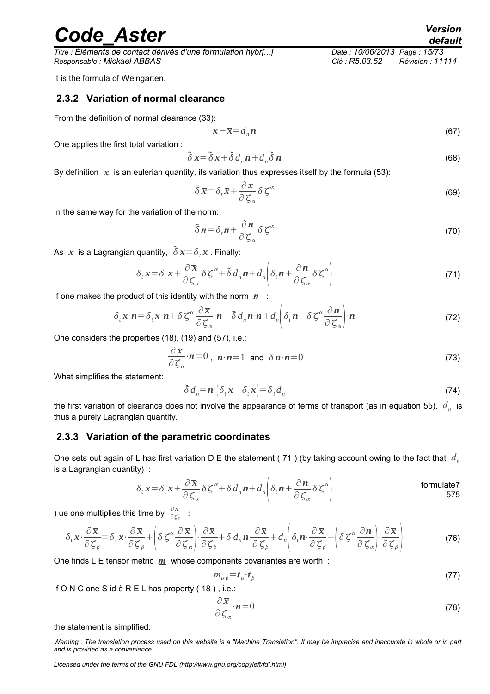*Titre : Éléments de contact dérivés d'une formulation hybr[...] Date : 10/06/2013 Page : 15/73 Responsable : Mickael ABBAS Clé : R5.03.52 Révision : 11114*

It is the formula of Weingarten.

#### <span id="page-14-1"></span> **2.3.2 Variation of normal clearance**

From the definition of normal clearance [\(33\)](#page-10-3):

$$
x - \overline{x} = d_n n \tag{67}
$$

One applies the first total variation :

$$
\tilde{\delta} \, \mathbf{x} = \tilde{\delta} \, \overline{\mathbf{x}} + \tilde{\delta} \, d_n \, \mathbf{n} + d_n \, \tilde{\delta} \, \mathbf{n} \tag{68}
$$

By definition  $\bar{x}$  is an eulerian quantity, its variation thus expresses itself by the formula [\(53\)](#page-13-6):

$$
\tilde{\delta}\,\overline{\mathbf{x}} = \delta_t\,\overline{\mathbf{x}} + \frac{\partial\,\overline{\mathbf{x}}}{\partial\,\zeta_\alpha}\,\delta\,\zeta^\alpha\tag{69}
$$

In the same way for the variation of the norm:

$$
\tilde{\delta} n = \delta_{\iota} n + \frac{\partial n}{\partial \zeta_{\alpha}} \delta \zeta^{\alpha} \tag{70}
$$

As *x* is a Lagrangian quantity,  $\tilde{\delta} x = \delta_{i} x$ . Finally:

$$
\delta_t \mathbf{x} = \delta_t \overline{\mathbf{x}} + \frac{\partial \overline{\mathbf{x}}}{\partial \zeta_\alpha} \delta \zeta^\alpha + \tilde{\delta} d_n \mathbf{n} + d_n \bigg( \delta_t \mathbf{n} + \frac{\partial \mathbf{n}}{\partial \zeta_\alpha} \delta \zeta^\alpha \bigg)
$$
(71)

If one makes the product of this identity with the norm *n* :

$$
\delta_t \mathbf{x} \cdot \mathbf{n} = \delta_t \overline{\mathbf{x}} \cdot \mathbf{n} + \delta \zeta^{\alpha} \frac{\partial \overline{\mathbf{x}}}{\partial \zeta_{\alpha}} \cdot \mathbf{n} + \tilde{\delta} d_n \mathbf{n} \cdot \mathbf{n} + d_n \left( \delta_t \mathbf{n} + \delta \zeta^{\alpha} \frac{\partial \mathbf{n}}{\partial \zeta_{\alpha}} \right) \cdot \mathbf{n}
$$
\n(72)

One considers the properties [\(18\)](#page-9-5), [\(19\)](#page-9-6) and [\(57\)](#page-13-5), i.e.:

$$
\frac{\partial \bar{x}}{\partial \zeta_{\alpha}} \cdot n = 0 \ , \ n \cdot n = 1 \ \text{and} \ \delta n \cdot n = 0 \tag{73}
$$

What simplifies the statement:

<span id="page-14-3"></span>
$$
\tilde{\delta} d_n = \mathbf{n} \cdot (\delta_t \mathbf{x} - \delta_t \overline{\mathbf{x}}) = \delta_t d_n \tag{74}
$$

the first variation of clearance does not involve the appearance of terms of transport (as in equation [55\)](#page-13-4).  $\,d_{_n}\,$  is thus a purely Lagrangian quantity.

#### <span id="page-14-0"></span> **2.3.3 Variation of the parametric coordinates**

One sets out again of L has first variation D E the statement ( [71](#page-14-2) ) (by taking account owing to the fact that *d<sup>n</sup>* is a Lagrangian quantity) :

$$
\delta_t \mathbf{x} = \delta_t \overline{\mathbf{x}} + \frac{\partial \overline{\mathbf{x}}}{\partial \zeta_\alpha} \delta \zeta^\alpha + \delta d_n \mathbf{n} + d_n \bigg( \delta_t \mathbf{n} + \frac{\partial \mathbf{n}}{\partial \zeta_\alpha} \delta \zeta^\alpha \bigg)
$$
formulate7  
575

) ue one multiplies this time by  $\frac{\partial \bar{x}}{\partial \zeta_{\beta}}$  :

$$
\delta_t \mathbf{x} \cdot \frac{\partial \overline{\mathbf{x}}}{\partial \zeta_\beta} = \delta_t \overline{\mathbf{x}} \cdot \frac{\partial \overline{\mathbf{x}}}{\partial \zeta_\beta} + \left( \delta \zeta^\alpha \frac{\partial \overline{\mathbf{x}}}{\partial \zeta_\alpha} \right) \cdot \frac{\partial \overline{\mathbf{x}}}{\partial \zeta_\beta} + \delta \, d_n \mathbf{n} \cdot \frac{\partial \overline{\mathbf{x}}}{\partial \zeta_\beta} + d_n \left( \delta_t \mathbf{n} \cdot \frac{\partial \overline{\mathbf{x}}}{\partial \zeta_\beta} + \left( \delta \zeta^\alpha \frac{\partial \mathbf{n}}{\partial \zeta_\alpha} \right) \cdot \frac{\partial \overline{\mathbf{x}}}{\partial \zeta_\beta} \right) \tag{76}
$$

One finds L E tensor metric *m* whose components covariantes are worth :

$$
m_{\alpha\beta} = t_{\alpha} \cdot t_{\beta} \tag{77}
$$

If O N C one S id è R E L has property ([18](#page-9-5)), i.e.:

<span id="page-14-4"></span>
$$
\frac{\partial \bar{x}}{\partial \zeta_{\alpha}} \cdot n = 0 \tag{78}
$$

the statement is simplified:

<span id="page-14-2"></span>

*Warning : The translation process used on this website is a "Machine Translation". It may be imprecise and inaccurate in whole or in part and is provided as a convenience.*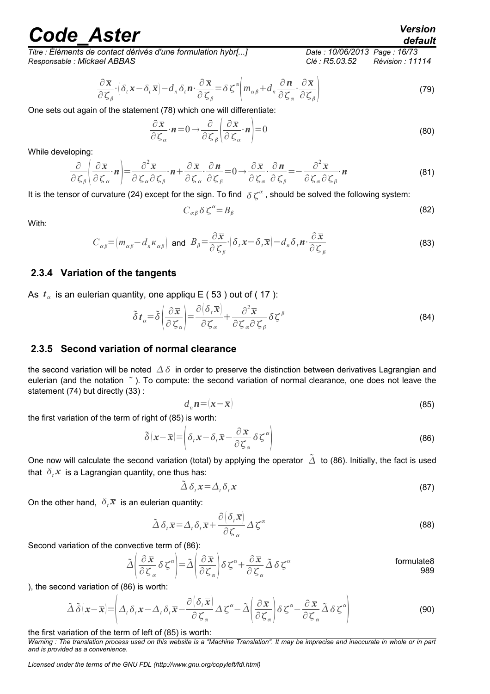*Titre : Éléments de contact dérivés d'une formulation hybr[...] Date : 10/06/2013 Page : 16/73 Responsable : Mickael ABBAS Clé : R5.03.52 Révision : 11114*

# *default*

$$
\frac{\partial \overline{\mathbf{x}}}{\partial \zeta_{\beta}} \cdot \left( \delta_{t} \mathbf{x} - \delta_{t} \overline{\mathbf{x}} \right) - d_{n} \delta_{t} \mathbf{n} \cdot \frac{\partial \overline{\mathbf{x}}}{\partial \zeta_{\beta}} = \delta \zeta^{\alpha} \left( m_{\alpha\beta} + d_{n} \frac{\partial \mathbf{n}}{\partial \zeta_{\alpha}} \cdot \frac{\partial \overline{\mathbf{x}}}{\partial \zeta_{\beta}} \right)
$$
(79)

One sets out again of the statement [\(78\)](#page-14-4) which one will differentiate:

$$
\frac{\partial \overline{x}}{\partial \zeta_{\alpha}} \cdot n = 0 \to \frac{\partial}{\partial \zeta_{\beta}} \left( \frac{\partial \overline{x}}{\partial \zeta_{\alpha}} \cdot n \right) = 0 \tag{80}
$$

While developing:

$$
\frac{\partial}{\partial \zeta_{\beta}}\left(\frac{\partial \overline{x}}{\partial \zeta_{\alpha}}\cdot n\right) = \frac{\partial^2 \overline{x}}{\partial \zeta_{\alpha}\partial \zeta_{\beta}}\cdot n + \frac{\partial \overline{x}}{\partial \zeta_{\alpha}}\cdot \frac{\partial n}{\partial \zeta_{\beta}} = 0 \rightarrow \frac{\partial \overline{x}}{\partial \zeta_{\alpha}}\cdot \frac{\partial n}{\partial \zeta_{\beta}} = -\frac{\partial^2 \overline{x}}{\partial \zeta_{\alpha}\partial \zeta_{\beta}}\cdot n \tag{81}
$$

It is the tensor of curvature [\(24\)](#page-9-8) except for the sign. To find  $\delta\zeta^\alpha$  , should be solved the following system:

$$
C_{\alpha\beta}\delta\zeta^{\alpha} = B_{\beta} \tag{82}
$$

With:

$$
C_{\alpha\beta} = \left[ m_{\alpha\beta} - d_{n} \kappa_{\alpha\beta} \right] \text{ and } B_{\beta} = \frac{\partial \bar{\mathbf{x}}}{\partial \zeta_{\beta}} \cdot \left[ \delta_{t} \mathbf{x} - \delta_{t} \bar{\mathbf{x}} \right] - d_{n} \delta_{t} \mathbf{n} \cdot \frac{\partial \bar{\mathbf{x}}}{\partial \zeta_{\beta}}
$$
(83)

#### <span id="page-15-1"></span> **2.3.4 Variation of the tangents**

As  $t_{\alpha}$  is an eulerian quantity, one appliqu E ([53](#page-13-6)) out of ([17](#page-9-7)):

$$
\tilde{\delta} t_{\alpha} = \tilde{\delta} \left( \frac{\partial \overline{x}}{\partial \zeta_{\alpha}} \right) = \frac{\partial (\delta_{\iota} \overline{x})}{\partial \zeta_{\alpha}} + \frac{\partial^2 \overline{x}}{\partial \zeta_{\alpha} \partial \zeta_{\beta}} \delta \zeta^{\beta}
$$
(84)

#### <span id="page-15-0"></span> **2.3.5 Second variation of normal clearance**

the second variation will be noted  $\Delta \delta$  in order to preserve the distinction between derivatives Lagrangian and eulerian (and the notation  $\tilde{\ }$ ). To compute: the second variation of normal clearance, one does not leave the statement [\(74\)](#page-14-3) but directly [\(33\)](#page-10-3) :

<span id="page-15-4"></span><span id="page-15-3"></span><span id="page-15-2"></span>
$$
d_n n = |\mathbf{x} - \overline{\mathbf{x}}| \tag{85}
$$

the first variation of the term of right of [\(85\)](#page-15-2) is worth:

$$
\tilde{\delta}\left(\mathbf{x}-\overline{\mathbf{x}}\right) = \left(\delta_t \mathbf{x} - \delta_t \overline{\mathbf{x}} - \frac{\partial \overline{\mathbf{x}}}{\partial \zeta_\alpha} \delta \zeta^\alpha\right)
$$
\n(86)

One now will calculate the second variation (total) by applying the operator  $\tilde{\Delta}$  to [\(86\)](#page-15-3). Initially, the fact is used that  $\delta_t x$  is a Lagrangian quantity, one thus has:

<span id="page-15-5"></span>
$$
\tilde{\Delta} \delta_t x = \Delta_t \delta_t x \tag{87}
$$

On the other hand,  $\delta_{\tau} \overline{x}$  is an eulerian quantity:

$$
\tilde{\Delta} \, \delta_t \overline{x} = \Delta_t \delta_t \overline{x} + \frac{\partial \left[ \delta_t \overline{x} \right]}{\partial \zeta_\alpha} \Delta \zeta^\alpha \tag{88}
$$

Second variation of the convective term of [\(86\)](#page-15-3):

$$
\tilde{\Delta} \left( \frac{\partial \bar{\mathbf{x}}}{\partial \zeta_{\alpha}} \delta \zeta^{\alpha} \right) = \tilde{\Delta} \left( \frac{\partial \bar{\mathbf{x}}}{\partial \zeta_{\alpha}} \right) \delta \zeta^{\alpha} + \frac{\partial \bar{\mathbf{x}}}{\partial \zeta_{\alpha}} \tilde{\Delta} \delta \zeta^{\alpha}
$$
formulate8  
989

), the second variation of [\(86\)](#page-15-3) is worth:

$$
\tilde{\Delta}\,\tilde{\delta}\left(\mathbf{x}-\overline{\mathbf{x}}\right)=\left(\Delta_{t}\,\delta_{t}\,\mathbf{x}-\Delta_{t}\,\delta_{t}\,\overline{\mathbf{x}}-\frac{\partial\left(\delta_{t}\,\overline{\mathbf{x}}\right)}{\partial\,\zeta_{\alpha}}\,\Delta\,\zeta^{\alpha}-\tilde{\Delta}\left(\frac{\partial\,\overline{\mathbf{x}}}{\partial\,\zeta_{\alpha}}\right)\delta\,\zeta^{\alpha}-\frac{\partial\,\overline{\mathbf{x}}}{\partial\,\zeta_{\alpha}}\,\tilde{\Delta}\,\delta\,\zeta^{\alpha}\right) \tag{90}
$$

#### the first variation of the term of left of [\(85\)](#page-15-2) is worth:

*Warning : The translation process used on this website is a "Machine Translation". It may be imprecise and inaccurate in whole or in part and is provided as a convenience.*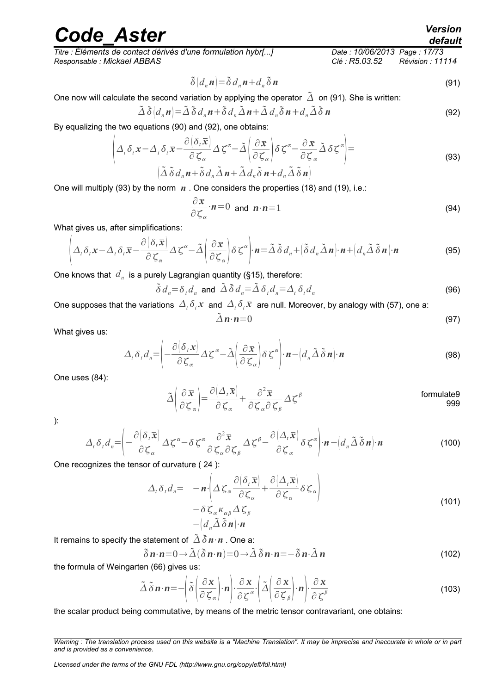*Titre : Éléments de contact dérivés d'une formulation hybr[...] Date : 10/06/2013 Page : 17/73 Responsable : Mickael ABBAS Clé : R5.03.52 Révision : 11114*

$$
\tilde{\delta}\left(d_n n\right) = \tilde{\delta} d_n n + d_n \tilde{\delta} n \tag{91}
$$

One now will calculate the second variation by applying the operator  $\tilde{\Delta}$  on [\(91\)](#page-16-2). She is written:

$$
\tilde{\Delta}\,\tilde{\delta}\left(d_n\mathbf{n}\right) = \tilde{\Delta}\,\tilde{\delta}\,d_n\mathbf{n} + \tilde{\delta}\,d_n\tilde{\Delta}\,\mathbf{n} + \tilde{\Delta}\,d_n\tilde{\delta}\,\mathbf{n} + d_n\tilde{\Delta}\,\tilde{\delta}\,\mathbf{n}
$$
\n(92)

By equalizing the two equations [\(90\)](#page-15-5) and [\(92\)](#page-16-1), one obtains:

$$
\left| \Delta_{t} \delta_{t} \mathbf{x} - \Delta_{t} \delta_{t} \overline{\mathbf{x}} - \frac{\partial (\delta_{t} \overline{\mathbf{x}})}{\partial \zeta_{\alpha}} \Delta \zeta^{\alpha} - \tilde{\Delta} \left( \frac{\partial \overline{\mathbf{x}}}{\partial \zeta_{\alpha}} \right) \delta \zeta^{\alpha} - \frac{\partial \overline{\mathbf{x}}}{\partial \zeta_{\alpha}} \tilde{\Delta} \delta \zeta^{\alpha} \right) =
$$
\n
$$
\left( \tilde{\Delta} \tilde{\delta} d_{n} \mathbf{n} + \tilde{\delta} d_{n} \tilde{\Delta} \mathbf{n} + \tilde{\Delta} d_{n} \tilde{\delta} \mathbf{n} + d_{n} \tilde{\Delta} \tilde{\delta} \mathbf{n} \right)
$$
\n(93)

One will multiply [\(93\)](#page-16-0) by the norm *n* . One considers the properties [\(18\)](#page-9-5) and [\(19\)](#page-9-6), i.e.:

$$
\frac{\partial \bar{\mathbf{x}}}{\partial \zeta_{\alpha}} \cdot n = 0 \text{ and } n \cdot n = 1 \tag{94}
$$

What gives us, after simplifications:

$$
\left(\Delta_{t}\delta_{t}\mathbf{x}-\Delta_{t}\delta_{t}\overline{\mathbf{x}}-\frac{\partial\left(\delta_{t}\overline{\mathbf{x}}\right)}{\partial\zeta_{\alpha}}\Delta\zeta^{\alpha}-\tilde{\Delta}\left(\frac{\partial\overline{\mathbf{x}}}{\partial\zeta_{\alpha}}\right)\delta\zeta^{\alpha}\right)\cdot\mathbf{n}=\tilde{\Delta}\,\tilde{\delta}\,d_{n}+\left(\tilde{\delta}\,d_{n}\tilde{\Delta}\,\mathbf{n}\right)\cdot\mathbf{n}+\left(d_{n}\tilde{\Delta}\,\tilde{\delta}\,\mathbf{n}\right)\cdot\mathbf{n}\tag{95}
$$

One knows that  $\,d_{n}\,$  is a purely Lagrangian quantity ([§15\)](#page-14-1), therefore:

$$
\tilde{\delta} d_n = \delta_t d_n \text{ and } \tilde{\Delta} \tilde{\delta} d_n = \tilde{\Delta} \delta_t d_n = \Delta_t \delta_t d_n \tag{96}
$$

One supposes that the variations  $\ \Delta_t\,\delta_t x\,$  and  $\ \Delta_t\,\delta_t\overline x\,$  are null. Moreover, by analogy with [\(57\)](#page-13-5), one a:

$$
\tilde{\Delta} n \cdot n = 0 \tag{97}
$$

What gives us:

$$
\Delta_t \delta_t d_n = \left( -\frac{\partial (\delta_t \overline{x})}{\partial \zeta_\alpha} \Delta \zeta^\alpha - \tilde{\Delta} \left( \frac{\partial \overline{x}}{\partial \zeta_\alpha} \right) \delta \zeta^\alpha \right) \cdot n - \left( d_n \tilde{\Delta} \tilde{\delta} n \right) \cdot n \tag{98}
$$

One uses [\(84\)](#page-15-4):

$$
\tilde{\Delta} \left( \frac{\partial \bar{\mathbf{x}}}{\partial \zeta_{\alpha}} \right) = \frac{\partial (\Delta_{i} \bar{\mathbf{x}})}{\partial \zeta_{\alpha}} + \frac{\partial^{2} \bar{\mathbf{x}}}{\partial \zeta_{\alpha} \partial \zeta_{\beta}} \Delta \zeta^{\beta}
$$
formulate9  
999

):

$$
\Delta_{t}\delta_{t}d_{n} = \left(-\frac{\partial(\delta_{t}\overline{x})}{\partial\zeta_{\alpha}}\Delta\zeta^{\alpha} - \delta\zeta^{\alpha}\frac{\partial^{2}\overline{x}}{\partial\zeta_{\alpha}\partial\zeta_{\beta}}\Delta\zeta^{\beta} - \frac{\partial(\Delta_{t}\overline{x})}{\partial\zeta_{\alpha}}\delta\zeta^{\alpha}\right)\cdot n - \left(d_{n}\tilde{\Delta}\tilde{\delta}n\right)\cdot n
$$
\n(100)

One recognizes the tensor of curvature ( [24](#page-9-8) ):

$$
\Delta_{t}\delta_{t}d_{n} = -\boldsymbol{n}\cdot\left(\Delta\zeta_{\alpha}\frac{\partial(\delta_{t}\overline{\mathbf{x}})}{\partial\zeta_{\alpha}} + \frac{\partial(\Delta_{t}\overline{\mathbf{x}})}{\partial\zeta_{\alpha}}\delta\zeta_{\alpha}\right) \n- \delta\zeta_{\alpha}\kappa_{\alpha\beta}\Delta\zeta_{\beta} \n- (d_{n}\tilde{\Delta}\tilde{\delta}\boldsymbol{n})\cdot\boldsymbol{n}
$$
\n(101)

It remains to specify the statement of  $\tilde{\Delta} \tilde{\delta} n \cdot n$ . One a:

$$
\tilde{\delta} n \cdot n = 0 \to \tilde{\Delta} (\tilde{\delta} n \cdot n) = 0 \to \tilde{\Delta} \tilde{\delta} n \cdot n = -\tilde{\delta} n \cdot \tilde{\Delta} n \tag{102}
$$

the formula of Weingarten [\(66\)](#page-13-7) gives us:

$$
\tilde{\Delta}\,\tilde{\delta}\,\mathbf{n}\cdot\mathbf{n} = -\bigg(\tilde{\delta}\bigg(\frac{\partial\,\overline{\mathbf{x}}}{\partial\,\zeta_{\alpha}}\bigg)\cdot\mathbf{n}\bigg)\cdot\frac{\partial\,\overline{\mathbf{x}}}{\partial\,\zeta^{\alpha}}\cdot\bigg(\tilde{\Delta}\bigg(\frac{\partial\,\overline{\mathbf{x}}}{\partial\,\zeta_{\beta}}\bigg)\cdot\mathbf{n}\bigg)\cdot\frac{\partial\,\overline{\mathbf{x}}}{\partial\,\zeta^{\beta}}
$$
\n(103)

the scalar product being commutative, by means of the metric tensor contravariant, one obtains:

<span id="page-16-2"></span><span id="page-16-1"></span><span id="page-16-0"></span>*default*

*Warning : The translation process used on this website is a "Machine Translation". It may be imprecise and inaccurate in whole or in part and is provided as a convenience.*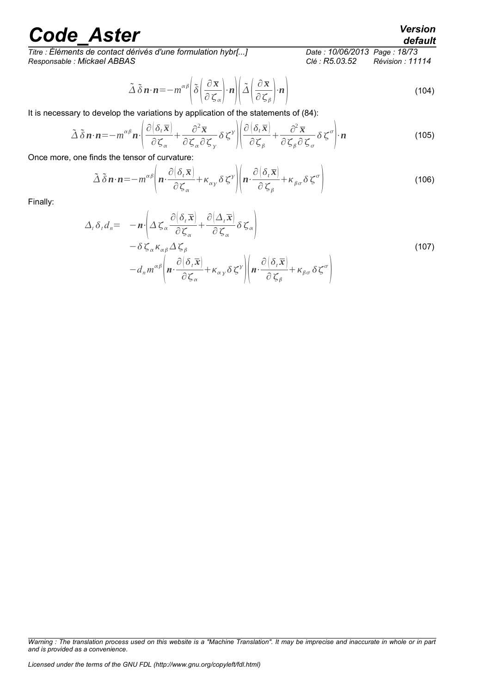*Titre : Éléments de contact dérivés d'une formulation hybr[...] Date : 10/06/2013 Page : 18/73 Responsable : Mickael ABBAS Clé : R5.03.52 Révision : 11114*

$$
\tilde{\Delta}\,\tilde{\delta}\,\mathbf{n}\cdot\mathbf{n} = -m^{\alpha\beta}\Bigg(\tilde{\delta}\Bigg(\frac{\partial\,\overline{\mathbf{x}}}{\partial\,\zeta_{\alpha}}\Bigg)\cdot\mathbf{n}\Bigg)\Bigg(\tilde{\Delta}\Bigg(\frac{\partial\,\overline{\mathbf{x}}}{\partial\,\zeta_{\beta}}\Bigg)\cdot\mathbf{n}\Bigg)
$$
\n(104)

It is necessary to develop the variations by application of the statements of [\(84\)](#page-15-4):

$$
\tilde{\Delta}\,\tilde{\delta}\,\mathbf{n}\cdot\mathbf{n} = -m^{\alpha\beta}\mathbf{n}\cdot\left(\frac{\partial(\delta_t\,\overline{\mathbf{x}})}{\partial\,\zeta_\alpha} + \frac{\partial^2\,\overline{\mathbf{x}}}{\partial\,\zeta_\alpha\,\partial\,\zeta_\gamma}\,\delta\,\zeta^\gamma\right)\left(\frac{\partial(\delta_t\,\overline{\mathbf{x}})}{\partial\,\zeta_\beta} + \frac{\partial^2\,\overline{\mathbf{x}}}{\partial\,\zeta_\beta\,\partial\,\zeta_\sigma}\,\delta\,\zeta^\sigma\right)\cdot\mathbf{n}
$$
\n(105)

Once more, one finds the tensor of curvature:

$$
\tilde{\Delta}\,\tilde{\delta}\,\mathbf{n}\cdot\mathbf{n} = -m^{\alpha\beta}\Bigg(\mathbf{n}\cdot\frac{\partial(\delta_t\,\overline{\mathbf{x}})}{\partial\,\zeta_\alpha} + \kappa_{\alpha\gamma}\,\delta\,\zeta^\gamma\Bigg)\Bigg(\mathbf{n}\cdot\frac{\partial(\delta_t\,\overline{\mathbf{x}})}{\partial\,\zeta_\beta} + \kappa_{\beta\sigma}\,\delta\,\zeta^\sigma\Bigg)
$$
(106)

Finally:

$$
\Delta_{t}\delta_{t}d_{n} = -\boldsymbol{n}\cdot\left(\Delta\zeta_{\alpha}\frac{\partial(\delta_{t}\overline{\mathbf{x}})}{\partial\zeta_{\alpha}} + \frac{\partial(\Delta_{t}\overline{\mathbf{x}})}{\partial\zeta_{\alpha}}\delta\zeta_{\alpha}\right) \n- \delta\zeta_{\alpha}\kappa_{\alpha\beta}\Delta\zeta_{\beta} \n- d_{n}\boldsymbol{m}^{\alpha\beta}\left(\boldsymbol{n}\cdot\frac{\partial(\delta_{t}\overline{\mathbf{x}})}{\partial\zeta_{\alpha}} + \kappa_{\alpha\gamma}\delta\zeta^{\gamma}\right)\left(\boldsymbol{n}\cdot\frac{\partial(\delta_{t}\overline{\mathbf{x}})}{\partial\zeta_{\beta}} + \kappa_{\beta\sigma}\delta\zeta^{\sigma}\right)
$$
\n(107)

### *default*

*Warning : The translation process used on this website is a "Machine Translation". It may be imprecise and inaccurate in whole or in part and is provided as a convenience.*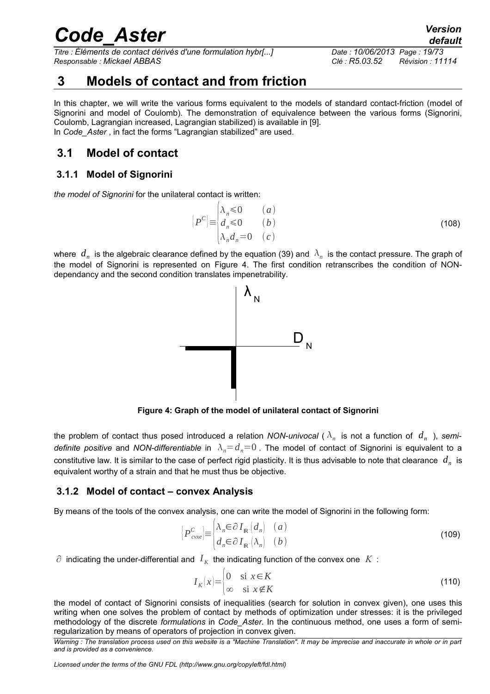*Titre : Éléments de contact dérivés d'une formulation hybr[...] Date : 10/06/2013 Page : 19/73 Responsable : Mickael ABBAS Clé : R5.03.52 Révision : 11114*

<span id="page-18-5"></span>

### <span id="page-18-3"></span> **3 Models of contact and from friction**

In this chapter, we will write the various forms equivalent to the models of standard contact-friction (model of Signorini and model of Coulomb). The demonstration of equivalence between the various forms (Signorini, Coulomb, Lagrangian increased, Lagrangian stabilized) is available in [\[9\]](#page-57-0). In *Code\_Aster* , in fact the forms "Lagrangian stabilized" are used.

### <span id="page-18-2"></span> **3.1 Model of contact**

### <span id="page-18-1"></span> **3.1.1 Model of Signorini**

*the model of Signorini* for the unilateral contact is written:

$$
\left[P^{C}\right] \equiv \begin{cases} \lambda_{n} \leq 0 & (a) \\ d_{n} \leq 0 & (b) \\ \lambda_{n} d_{n} = 0 & (c) \end{cases} \tag{108}
$$

where  $|d_n|$  is the algebraic clearance defined by the equation [\(39\)](#page-11-4) and  $|\lambda_n|$  is the contact pressure. The graph of the model of Signorini is represented on [Figure 4.](#page-18-4) The first condition retranscribes the condition of NONdependancy and the second condition translates impenetrability.



<span id="page-18-4"></span>**Figure 4: Graph of the model of unilateral contact of Signorini**

the problem of contact thus posed introduced a relation *NON-univocal* (  $\lambda_n$  is not a function of  $d_n$  ), semi*definite positive* and *NON-differentiable* in  $\lambda_n = d_n = 0$ . The model of contact of Signorini is equivalent to a constitutive law. It is similar to the case of perfect rigid plasticity. It is thus advisable to note that clearance  $\ d_n$  is equivalent worthy of a strain and that he must thus be objective.

### <span id="page-18-0"></span> **3.1.2 Model of contact – convex Analysis**

By means of the tools of the convex analysis, one can write the model of Signorini in the following form:

$$
\left\{ P_{\text{coxe}}^C \right\} \equiv \begin{cases} \lambda_n \in \partial I_{\mathbb{R}} \cdot \left( d_n \right) & (a) \\ d_n \in \partial I_{\mathbb{R}} \cdot \left( \lambda_n \right) & (b) \end{cases} \tag{109}
$$

∂ indicating the under-differential and  $I_K$  the indicating function of the convex one  $K$  :

$$
I_K(x) = \begin{cases} 0 & \text{si } x \in K \\ \infty & \text{si } x \notin K \end{cases} \tag{110}
$$

the model of contact of Signorini consists of inequalities (search for solution in convex given), one uses this writing when one solves the problem of contact by methods of optimization under stresses: it is the privileged methodology of the discrete *formulations* in *Code\_Aster*. In the continuous method, one uses a form of semiregularization by means of operators of projection in convex given.

*Licensed under the terms of the GNU FDL (http://www.gnu.org/copyleft/fdl.html)*

*Warning : The translation process used on this website is a "Machine Translation". It may be imprecise and inaccurate in whole or in part and is provided as a convenience.*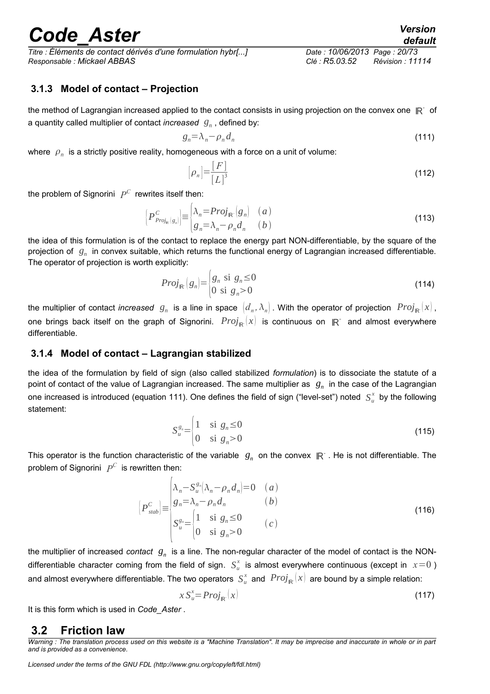*Titre : Éléments de contact dérivés d'une formulation hybr[...] Date : 10/06/2013 Page : 20/73 Responsable : Mickael ABBAS Clé : R5.03.52 Révision : 11114*

#### <span id="page-19-2"></span> **3.1.3 Model of contact – Projection**

the method of Lagrangian increased applied to the contact consists in using projection on the convex one  $\mathbb{R}^+$  of a quantity called multiplier of contact *increased g<sup>n</sup>* , defined by:

$$
g_n = \lambda_n - \rho_n d_n \tag{111}
$$

where  $\left| \rho_n \right|$  is a strictly positive reality, homogeneous with a force on a unit of volume:

$$
[\rho_n] = \frac{[F]}{[L]^3}
$$
\n(112)

the problem of Signorini  $\mathit{P}^{C}$  rewrites itself then:

$$
\left\{ P_{Proj_{R} \mid g_{n}}^{C} \right\} \equiv \begin{cases} \lambda_{n} = Proj_{R} \mid g_{n} \end{cases} \quad (a)
$$
\n
$$
\left\{ P_{Proj_{R} \mid g_{n} \leq \lambda_{n} - \rho_{n} d_{n}}^{C} \quad (b)
$$
\n
$$
(113)
$$

the idea of this formulation is of the contact to replace the energy part NON-differentiable, by the square of the projection of *g<sup>n</sup>* in convex suitable, which returns the functional energy of Lagrangian increased differentiable. The operator of projection is worth explicitly:

$$
Proj_{\mathbb{R}}(g_n) = \begin{cases} g_n \text{ si } g_n \leq 0 \\ 0 \text{ si } g_n > 0 \end{cases}
$$
\n(114)

the multiplier of contact *increased*  $g_n$  is a line in space  $\big(d_n,\lambda_n\big)$  . With the operator of projection  $\;Proj_{\mathbb{R}^*}(x)\,,$ one brings back itself on the graph of Signorini.  $\mathit{Proj}_{\mathbb{R}}(x)$  is continuous on  $\mathbb{R}^-$  and almost everywhere differentiable.

#### <span id="page-19-1"></span> **3.1.4 Model of contact – Lagrangian stabilized**

the idea of the formulation by field of sign (also called stabilized *formulation*) is to dissociate the statute of a point of contact of the value of Lagrangian increased. The same multiplier as *g<sup>n</sup>* in the case of the Lagrangian one increased is introduced (equation [111\)](#page-19-3). One defines the field of sign ("level-set") noted  $S^x_u$  by the following statement:

$$
S_u^{g_n} = \begin{cases} 1 & \text{si } g_n \le 0 \\ 0 & \text{si } g_n > 0 \end{cases} \tag{115}
$$

This operator is the function characteristic of the variable  $g_n$  on the convex  $\mathbb{R}^+$ . He is not differentiable. The problem of Signorini  $\mathcal{P}^C$  is rewritten then:

$$
\left\{ P_{stab}^c \right\} = \begin{cases} \n\lambda_n - S_u^{g_n} (\lambda_n - \rho_n d_n) = 0 & (a) \\ \ng_n = \lambda_n - \rho_n d_n & (b) \\ \nS_u^{g_n} = \begin{cases} \n1 & \text{si } g_n \le 0 \\ \n0 & \text{si } g_n > 0 \n\end{cases} & (c) \n\end{cases} \tag{116}
$$

the multiplier of increased *contact*  $g_n$  is a line. The non-regular character of the model of contact is the NONdifferentiable character coming from the field of sign.  $S_u^x$  is almost everywhere continuous (except in  $x=0$  ) and almost everywhere differentiable. The two operators  $S^x_u$  and  $\;Proj_{\mathbb{R}}(x)\;$  are bound by a simple relation:

$$
x S_u^x = \text{Proj}_{\mathbb{R}^2}(x) \tag{117}
$$

It is this form which is used in *Code\_Aster* .

#### <span id="page-19-0"></span> **3.2 Friction law**

*Warning : The translation process used on this website is a "Machine Translation". It may be imprecise and inaccurate in whole or in part and is provided as a convenience.*

<span id="page-19-4"></span><span id="page-19-3"></span>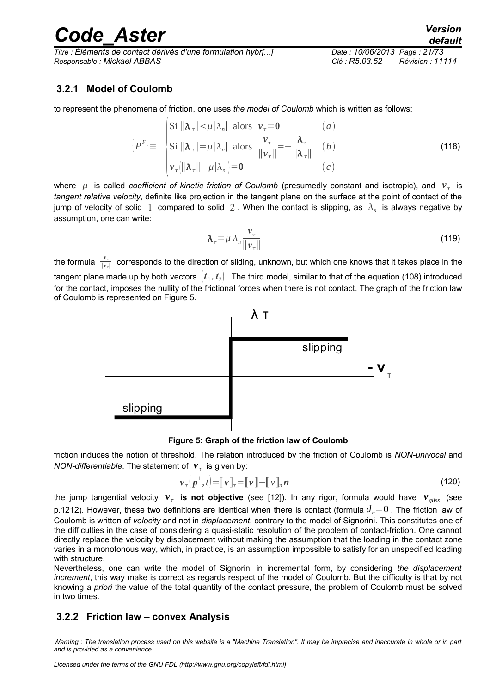*Titre : Éléments de contact dérivés d'une formulation hybr[...] Date : 10/06/2013 Page : 21/73 Responsable : Mickael ABBAS Clé : R5.03.52 Révision : 11114*

### <span id="page-20-1"></span> **3.2.1 Model of Coulomb**

to represent the phenomena of friction, one uses *the model of Coulomb* which is written as follows:

$$
\left| P^{F} \right| \equiv \begin{cases} \n\text{Si} \left\| \lambda_{\tau} \right\| < \mu \left| \lambda_{n} \right| \text{ alors } \mathbf{v}_{\tau} = \mathbf{0} & (a) \\ \n\text{Si} \left\| \lambda_{\tau} \right\| = \mu \left| \lambda_{n} \right| \text{ alors } \frac{\mathbf{v}_{\tau}}{\|\mathbf{v}_{\tau}\|} = -\frac{\lambda_{\tau}}{\|\lambda_{\tau}\|} & (b) \\ \n\mathbf{v}_{\tau} \left( \|\lambda_{\tau}\| - \mu \left| \lambda_{n} \right| \right) = \mathbf{0} & (c) \n\end{cases} \tag{118}
$$

where  $\mu$  is called *coefficient of kinetic friction of Coulomb* (presumedly constant and isotropic), and  $v_\tau$  is *tangent relative velocity*, definite like projection in the tangent plane on the surface at the point of contact of the jump of velocity of solid  $1$  compared to solid  $2$  . When the contact is slipping, as  $\vert\lambda_n\vert$  is always negative by assumption, one can write:

$$
\lambda_{\tau} = \mu \lambda_n \frac{\nu_{\tau}}{\|\nu_{\tau}\|} \tag{119}
$$

the formula  $\frac{v_\tau}{\|v_\tau\|}$  corresponds to the direction of sliding, unknown, but which one knows that it takes place in the tangent plane made up by both vectors  $\, [t_{\scriptscriptstyle 1}, t_{\scriptscriptstyle 2}]$  . The third model, similar to that of the equation [\(108\)](#page-18-5) introduced for the contact, imposes the nullity of the frictional forces when there is not contact. The graph of the friction law of Coulomb is represented on [Figure 5.](#page-20-2)



<span id="page-20-2"></span>**Figure 5: Graph of the friction law of Coulomb**

friction induces the notion of threshold. The relation introduced by the friction of Coulomb is *NON-univocal* and *NON-differentiable*. The statement of  $\mathbf{v}_\tau$  is given by:

$$
\mathbf{v}_{\tau}(\mathbf{p}^{1},t) = [\![\mathbf{v}]\!]_{\tau} = [\![\mathbf{v}]\!] - [\![\mathbf{v}]\!]_{n}\mathbf{n} \tag{120}
$$

the jump tangential velocity *v*  **is not objective** (see [\[12\]](#page-57-1))*.* In any rigor, formula would have *vgliss* (see p.1[212\)](#page-11-0). However, these two definitions are identical when there is contact (formula  $d_n=0$ . The friction law of Coulomb is written of *velocity* and not in *displacement*, contrary to the model of Signorini. This constitutes one of the difficulties in the case of considering a quasi-static resolution of the problem of contact-friction. One cannot directly replace the velocity by displacement without making the assumption that the loading in the contact zone varies in a monotonous way, which, in practice, is an assumption impossible to satisfy for an unspecified loading with structure.

Nevertheless, one can write the model of Signorini in incremental form, by considering *the displacement increment*, this way make is correct as regards respect of the model of Coulomb. But the difficulty is that by not knowing *a priori* the value of the total quantity of the contact pressure, the problem of Coulomb must be solved in two times.

#### <span id="page-20-0"></span> **3.2.2 Friction law – convex Analysis**

*Warning : The translation process used on this website is a "Machine Translation". It may be imprecise and inaccurate in whole or in part and is provided as a convenience.*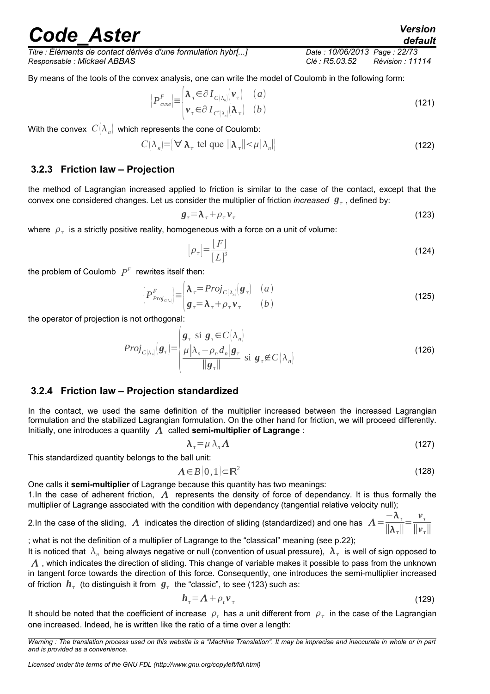*Titre : Éléments de contact dérivés d'une formulation hybr[...] Date : 10/06/2013 Page : 22/73 Responsable : Mickael ABBAS Clé : R5.03.52 Révision : 11114*

By means of the tools of the convex analysis, one can write the model of Coulomb in the following form:

$$
\left\{ P_{\text{c}vxe}^F \right\} \equiv \begin{cases} \lambda_\tau \in \partial I_{C(\lambda_n)}(\mathbf{v}_\tau) & (a) \\ \mathbf{v}_\tau \in \partial I_{C(\lambda_n)}(\lambda_\tau) & (b) \end{cases} \tag{121}
$$

With the convex  $C(\lambda_n)$  which represents the cone of Coulomb:

$$
C(\lambda_n) = \left[ \forall \lambda_{\tau} \text{ tel que } ||\lambda_{\tau}|| < \mu |\lambda_n| \right]
$$
 (122)

#### <span id="page-21-1"></span> **3.2.3 Friction law – Projection**

the method of Lagrangian increased applied to friction is similar to the case of the contact, except that the convex one considered changes. Let us consider the multiplier of friction *increased g* , defined by:

$$
\boldsymbol{g}_{\tau} = \lambda_{\tau} + \rho_{\tau} \boldsymbol{v}_{\tau} \tag{123}
$$

where  $|\rho_\tau|$  is a strictly positive reality, homogeneous with a force on a unit of volume:

$$
\left[\rho_{\tau}\right] = \frac{\left[F\right]}{\left[L\right]^3} \tag{124}
$$

the problem of Coulomb  $\mathcal{P}^F$  rewrites itself then:

$$
\left\{ P_{Proj_{C[\lambda_i]}}^F \right\} = \begin{cases} \lambda_{\tau} = Proj_{C[\lambda_i]}(\boldsymbol{g}_{\tau}) & (a) \\ \boldsymbol{g}_{\tau} = \lambda_{\tau} + \rho_{\tau} \boldsymbol{v}_{\tau} & (b) \end{cases}
$$
\n(125)

the operator of projection is not orthogonal:

$$
Proj_{C(\lambda_n)}(\boldsymbol{g}_{\tau}) = \begin{cases} \boldsymbol{g}_{\tau} \text{ si } \boldsymbol{g}_{\tau} \in C(\lambda_n) \\ \frac{\mu|\lambda_n - \rho_n \boldsymbol{d}_n|\boldsymbol{g}_{\tau}}{||\boldsymbol{g}_{\tau}||} \text{ si } \boldsymbol{g}_{\tau} \notin C(\lambda_n) \end{cases}
$$
(126)

#### <span id="page-21-0"></span> **3.2.4 Friction law – Projection standardized**

In the contact, we used the same definition of the multiplier increased between the increased Lagrangian formulation and the stabilized Lagrangian formulation. On the other hand for friction, we will proceed differently. Initially, one introduces a quantity  $\Lambda$  called **semi-multiplier of Lagrange**:

<span id="page-21-3"></span>
$$
\lambda_{\tau} = \mu \lambda_n A \tag{127}
$$

This standardized quantity belongs to the ball unit:

$$
\Lambda \in B[0,1] \subset \mathbb{R}^2 \tag{128}
$$

One calls it **semi-multiplier** of Lagrange because this quantity has two meanings:

1.In the case of adherent friction,  $\Lambda$  represents the density of force of dependancy. It is thus formally the multiplier of Lagrange associated with the condition with dependancy (tangential relative velocity null);

2.In the case of the sliding,  $|\Lambda|$  indicates the direction of sliding (standardized) and one has  $|\Lambda|=\frac{1}{||\Lambda||}$  $\|\lambda_\tau\|$  $=\frac{v_{\tau}}{||v_{\tau}||}$ ∥*v*∥

; what is not the definition of a multiplier of Lagrange to the "classical" meaning (see p[.22\)](#page-21-1);

It is noticed that  $\,\lambda_n\,$  being always negative or null (convention of usual pressure),  $\,\lambda_\tau\,$  is well of sign opposed to  $\Lambda$ , which indicates the direction of sliding. This change of variable makes it possible to pass from the unknown in tangent force towards the direction of this force. Consequently, one introduces the semi-multiplier increased of friction  $\ h_{_{\tau}}\,$  (to distinguish it from  $\ g_{_{\tau}}\,$  the "classic", to see [\(123\)](#page-21-2) such as:

$$
h_{\tau} = \Lambda + \rho_t v_{\tau} \tag{129}
$$

It should be noted that the coefficient of increase  $\rho_t$  has a unit different from  $\rho_\tau$  in the case of the Lagrangian one increased. Indeed, he is written like the ratio of a time over a length:

<span id="page-21-2"></span>

*Warning : The translation process used on this website is a "Machine Translation". It may be imprecise and inaccurate in whole or in part and is provided as a convenience.*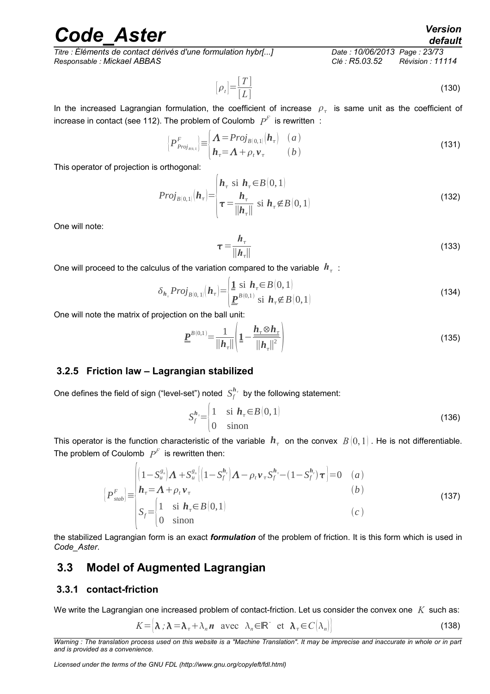*Titre : Éléments de contact dérivés d'une formulation hybr[...] Date : 10/06/2013 Page : 23/73 Responsable : Mickael ABBAS Clé : R5.03.52 Révision : 11114*

$$
[\rho_t] = \frac{[T]}{[L]} \tag{130}
$$

In the increased Lagrangian formulation, the coefficient of increase  $\rho_{\tau}$  is same unit as the coefficient of increase in contact (see [112\)](#page-19-4). The problem of Coulomb  $\ p^F$  is rewritten  $\colon$ 

$$
\left\{ P_{Proj_{B(0,1]}}^F \right\} \equiv \begin{cases} \boldsymbol{\Lambda} = Proj_{B(0,1]} \big(\boldsymbol{h}_{\tau}\big) & (a) \\ \boldsymbol{h}_{\tau} = \boldsymbol{\Lambda} + \rho_t \boldsymbol{v}_{\tau} & (b) \end{cases} \tag{131}
$$

This operator of projection is orthogonal:

$$
Proj_{B(0,1)}(\boldsymbol{h}_{\tau}) = \begin{cases} \boldsymbol{h}_{\tau} \text{ si } \boldsymbol{h}_{\tau} \in B(0,1) \\ \tau = \frac{\boldsymbol{h}_{\tau}}{||\boldsymbol{h}_{\tau}||} \text{ si } \boldsymbol{h}_{\tau} \notin B(0,1) \end{cases}
$$
(132)

One will note:

$$
\tau = \frac{h_{\tau}}{||h_{\tau}||} \tag{133}
$$

One will proceed to the calculus of the variation compared to the variable  $\vert\bm{h}_{\tau}\vert$ :

$$
\delta_{\boldsymbol{h}_{\tau}} Proj_{B(0,1)}(\boldsymbol{h}_{\tau}) = \begin{cases} \frac{1}{2} \sin \boldsymbol{h}_{\tau} \in B(0,1) \\ \frac{\underline{P}^{B(0,1)}}{\underline{S}} \sin \boldsymbol{h}_{\tau} \notin B(0,1) \end{cases}
$$
(134)

One will note the matrix of projection on the ball unit:

$$
\underline{\underline{P}}^{B(0,1)} = \frac{1}{\left\| \underline{\underline{h}}_{\tau} \right\|} \left( \underline{\underline{1}} - \frac{\underline{\underline{h}}_{\tau} \otimes \underline{\underline{h}}_{\tau}}{\left\| \underline{\underline{h}}_{\tau} \right\|^2} \right) \tag{135}
$$

#### <span id="page-22-2"></span> **3.2.5 Friction law – Lagrangian stabilized**

One defines the field of sign ("level-set") noted  $\ S^{h_\tau}_f$  by the following statement:

$$
S_f^{h_\tau} = \begin{cases} 1 & \text{si } h_\tau \in B(0,1) \\ 0 & \text{sinon} \end{cases} \tag{136}
$$

This operator is the function characteristic of the variable  $\,h_\tau\,$  on the convex  $\,B\,[0,1)$  . He is not differentiable. The problem of Coulomb  $P^F$  is rewritten then:

$$
\left\{ P_{stab}^{F} \right\} = \begin{vmatrix} \left( 1 - S_u^{g_n} \right) \Lambda + S_u^{g_n} \left[ \left( 1 - S_f^{h_r} \right) \Lambda - \rho_t \mathbf{v}_\tau S_f^{h_r} - (1 - S_f^{h_r}) \tau \right] = 0 & (a) \\ \mathbf{h}_\tau = \Lambda + \rho_t \mathbf{v}_\tau & (b) \\ S_f = \begin{vmatrix} 1 & \sinh \Lambda_\tau \in B(0, 1) \\ 0 & \sin \lambda \end{vmatrix} & (c) \end{vmatrix}
$$
 (137)

the stabilized Lagrangian form is an exact *formulation* of the problem of friction. It is this form which is used in *Code\_Aster*.

#### <span id="page-22-1"></span> **3.3 Model of Augmented Lagrangian**

#### <span id="page-22-0"></span> **3.3.1 contact-friction**

We write the Lagrangian one increased problem of contact-friction. Let us consider the convex one *K* such as:

$$
K = \begin{bmatrix} \lambda \cdot \lambda = \lambda_{\tau} + \lambda_n n \quad \text{avec} \quad \lambda_n \in \mathbb{R}^+ \quad \text{et} \quad \lambda_{\tau} \in C\big(\lambda_n\big) \end{bmatrix}
$$
 (138)

*Warning : The translation process used on this website is a "Machine Translation". It may be imprecise and inaccurate in whole or in part and is provided as a convenience.*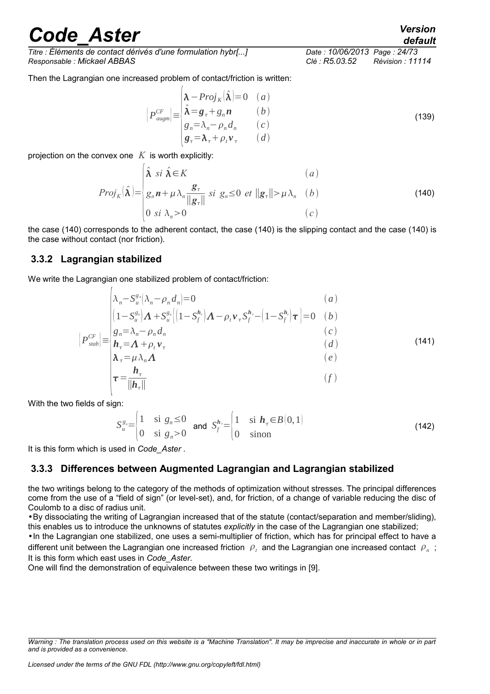*Titre : Éléments de contact dérivés d'une formulation hybr[...] Date : 10/06/2013 Page : 24/73 Responsable : Mickael ABBAS Clé : R5.03.52 Révision : 11114*

Then the Lagrangian one increased problem of contact/friction is written:

$$
\left\{ P_{augm}^{CF} \right\} \equiv \begin{cases} \lambda - Proj_K(\hat{\lambda}) = 0 & (a) \\ \hat{\lambda} = g_{\tau} + g_n \mathbf{n} & (b) \\ g_n = \lambda_n - \rho_n d_n & (c) \\ g_{\tau} = \lambda_{\tau} + \rho_t \mathbf{v}_{\tau} & (d) \end{cases}
$$
(139)

projection on the convex one *K* is worth explicitly:

$$
Proj_{K}(\hat{\lambda}) = \begin{vmatrix} \hat{\lambda} & si & \hat{\lambda} \in K \\ g_{n}n + \mu \lambda_{n} \frac{g_{\tau}}{\|g_{\tau}\|} & si & g_{n} \leq 0 \ et \ \|g_{\tau}\| > \mu \lambda_{n} \ (b) \\ 0 & si & \lambda_{n} > 0 \end{vmatrix} \tag{140}
$$

the case [\(140\)](#page-23-2) corresponds to the adherent contact, the case [\(140\)](#page-23-2) is the slipping contact and the case [\(140\)](#page-23-2) is the case without contact (nor friction).

#### <span id="page-23-1"></span> **3.3.2 Lagrangian stabilized**

We write the Lagrangian one stabilized problem of contact/friction:

<span id="page-23-3"></span>∥*h*∥

$$
\left\{ P_{stab}^{CF} \right\} = \begin{cases} \n\lambda_n - S_u^{g_n} (\lambda_n - \rho_n d_n) = 0 & (a) \\
\left( 1 - S_u^{g_n} \right) \Lambda + S_u^{g_n} \left( \left( 1 - S_f^{h_n} \right) \Lambda - \rho_t \mathbf{v}_\tau S_f^{h_n} - \left( 1 - S_f^{h_n} \right) \tau \right) = 0 & (b) \\
g_n = \lambda_n - \rho_n d_n & (c) \\
h_\tau = \Lambda + \rho_t \mathbf{v}_\tau & (d) \\
\lambda_\tau = \mu \lambda_n \Lambda & (e) \\
\tau = \frac{h_\tau}{\|\mathbf{v}_\tau\|} & (f) \n\end{cases} \tag{141}
$$

With the two fields of sign:

$$
S_u^{g_n} = \begin{cases} 1 & \text{si } g_n \le 0 \\ 0 & \text{si } g_n > 0 \end{cases} \text{ and } S_f^{h_n} = \begin{cases} 1 & \text{si } h_n \in B(0, 1) \\ 0 & \text{sinon} \end{cases} \tag{142}
$$

It is this form which is used in *Code\_Aster* .

#### <span id="page-23-0"></span> **3.3.3 Differences between Augmented Lagrangian and Lagrangian stabilized**

the two writings belong to the category of the methods of optimization without stresses. The principal differences come from the use of a "field of sign" (or level-set), and, for friction, of a change of variable reducing the disc of Coulomb to a disc of radius unit.

•By dissociating the writing of Lagrangian increased that of the statute (contact/separation and member/sliding), this enables us to introduce the unknowns of statutes *explicitly* in the case of the Lagrangian one stabilized;

•In the Lagrangian one stabilized, one uses a semi-multiplier of friction, which has for principal effect to have a different unit between the Lagrangian one increased friction  $\rho_t^+$  and the Lagrangian one increased contact  $\rho_n^+$ ; It is this form which east uses in *Code\_Aster*.

One will find the demonstration of equivalence between these two writings in [\[9\]](#page-57-0).

<span id="page-23-2"></span>

*Warning : The translation process used on this website is a "Machine Translation". It may be imprecise and inaccurate in whole or in part and is provided as a convenience.*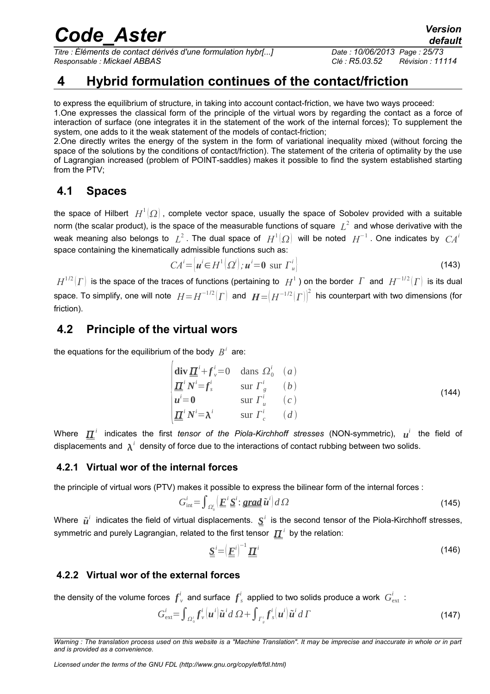*Titre : Éléments de contact dérivés d'une formulation hybr[...] Date : 10/06/2013 Page : 25/73 Responsable : Mickael ABBAS Clé : R5.03.52 Révision : 11114*

### <span id="page-24-3"></span> **4 Hybrid formulation continues of the contact/friction**

to express the equilibrium of structure, in taking into account contact-friction, we have two ways proceed: 1.One expresses the classical form of the principle of the virtual wors by regarding the contact as a force of interaction of surface (one integrates it in the statement of the work of the internal forces); To supplement the system, one adds to it the weak statement of the models of contact-friction;

2.One directly writes the energy of the system in the form of variational inequality mixed (without forcing the space of the solutions by the conditions of contact/friction). The statement of the criteria of optimality by the use of Lagrangian increased (problem of POINT-saddles) makes it possible to find the system established starting from the PTV;

### <span id="page-24-2"></span> **4.1 Spaces**

the space of Hilbert  $\ H^1(\varOmega)$  , complete vector space, usually the space of Sobolev provided with a suitable norm (the scalar product), is the space of the measurable functions of square  $|L^2|$  and whose derivative with the weak meaning also belongs to  $\ L^2$  . The dual space of  $\ H^1(\varOmega)$  will be noted  $\ H^{-1}$  . One indicates by  $\ CA^i$ space containing the kinematically admissible functions such as:

$$
CAi = \left| \boldsymbol{u}^{i} \in H^{1}(\Omega^{i}) ; \boldsymbol{u}^{i} = \boldsymbol{0} \text{ sur } \Gamma_{u}^{i} \right|
$$
\n(143)

 $H^{1/2}(\Gamma)$  is the space of the traces of functions (pertaining to  $\ H^1$  ) on the border  $\ \Gamma\,$  and  $\ H^{-1/2}(\Gamma)$  is its dual space. To simplify, one will note  $\;H\!=\!H^{-1/2}(\varGamma)\;$  and  $\;{\bm H}\!=\!\!\left(H^{-1/2}(\varGamma)\right)^{\!2}$  his counterpart with two dimensions (for friction).

### <span id="page-24-1"></span> **4.2 Principle of the virtual wors**

the equations for the equilibrium of the body  $\overline{B}^i$  are:

$$
\begin{vmatrix}\n\mathbf{div}\underline{\mathbf{\Pi}}^{i} + \mathbf{f}_{v}^{i} = 0 & \text{dans }\Omega_{0}^{i} & (a) \\
\underline{\mathbf{\Pi}}^{i} N^{i} = \mathbf{f}_{s}^{i} & \text{sur } \Gamma_{g}^{i} & (b) \\
\mathbf{u}^{i} = \mathbf{0} & \text{sur } \Gamma_{u}^{i} & (c) \\
\underline{\mathbf{\Pi}}^{i} N^{i} = \lambda^{i} & \text{sur } \Gamma_{c}^{i} & (d)\n\end{vmatrix}
$$
\n(144)

Where  $\bm{\Pi}^i$  indicates the first *tensor of the Piola-Kirchhoff stresses* (NON-symmetric),  $\bm{u}^i$  the field of displacements and  $\vert \lambda^i \vert$  density of force due to the interactions of contact rubbing between two solids.

### <span id="page-24-0"></span> **4.2.1 Virtual wor of the internal forces**

the principle of virtual wors (PTV) makes it possible to express the bilinear form of the internal forces :

$$
G_{\text{int}}^i = \int_{\Omega_0^i} \left( \underline{\mathbf{E}}^i \, \underline{\mathbf{S}}^i \, : \, \underline{\text{grad}} \, \widetilde{\mathbf{u}}^i \right) d \, \Omega \tag{145}
$$

Where  $\tilde{\bm{u}}^i$  indicates the field of virtual displacements.  $\underline{\mathbf{S}}^i$  is the second tensor of the Piola-Kirchhoff stresses, symmetric and purely Lagrangian, related to the first tensor  $\varPi^i$  by the relation:

$$
\underline{\mathbf{S}}^i = \left(\underline{\mathbf{E}}^i\right)^{-1} \underline{\mathbf{H}}^i \tag{146}
$$

#### <span id="page-24-4"></span> **4.2.2 Virtual wor of the external forces**

the density of the volume forces  $\ f_{\nu}^i$  and surface  $\ f_{\ s}^i$  applied to two solids produce a work  $\ G_{\rm ext}^i$  :

$$
G_{\text{ext}}^i = \int_{\Omega_0^i} f_v^i \left( \mathbf{u}^i \right) \tilde{\mathbf{u}}^i d\Omega + \int_{\Gamma_g^i} f_s^i \left( \mathbf{u}^i \right) \tilde{\mathbf{u}}^i d\Gamma \tag{147}
$$

*Warning : The translation process used on this website is a "Machine Translation". It may be imprecise and inaccurate in whole or in part and is provided as a convenience.*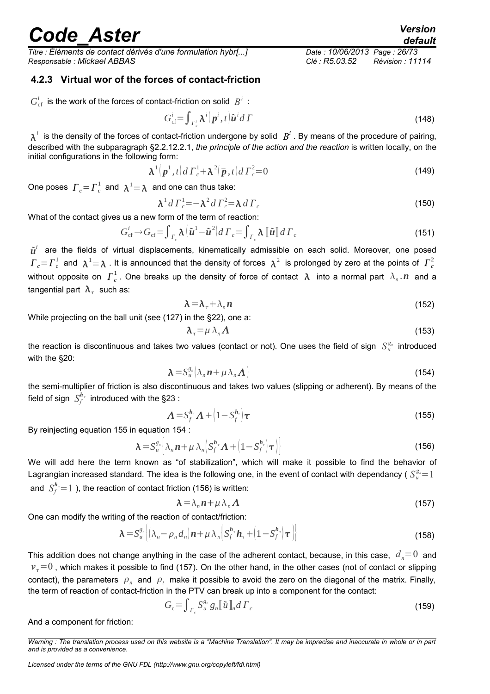*Titre : Éléments de contact dérivés d'une formulation hybr[...] Date : 10/06/2013 Page : 26/73 Responsable : Mickael ABBAS Clé : R5.03.52 Révision : 11114*

### <span id="page-25-0"></span> **4.2.3 Virtual wor of the forces of contact-friction**

 $G_{\text{cf}}^{i}$  is the work of the forces of contact-friction on solid  $B^{i}$ :

$$
G_{\rm cf}^i = \int_{\Gamma_c^i} \lambda^i (p^i, t) \tilde{u}^i d\Gamma \tag{148}
$$

 $\lambda^i$  is the density of the forces of contact-friction undergone by solid  $B^i$  . By means of the procedure of pairing, described with the subparagraph §2.2.[12.2.1,](#page-9-0) *the principle of the action and the reaction* is written locally, on the initial configurations in the following form:

$$
\lambda^1\left(\mathbf{p}^1,t\right)d\varGamma_c^1+\lambda^2\left(\mathbf{\bar{p}},t\right)d\varGamma_c^2=0\tag{149}
$$

One poses  $\| \varGamma_c \!=\! \varGamma_c^1 \,$  and  $\| \lambda^1 \!=\! \lambda \|$  and one can thus take:

$$
\lambda^1 d \Gamma_c^1 = -\lambda^2 d \Gamma_c^2 = \lambda d \Gamma_c \tag{150}
$$

What of the contact gives us a new form of the term of reaction:

$$
G_{\rm cf}^i \to G_{\rm cf} = \int_{\Gamma_c} \lambda \left( \tilde{u}^1 - \tilde{u}^2 \right) d\Gamma_c = \int_{\Gamma_c} \lambda \left[ \tilde{u} \right] d\Gamma_c \tag{151}
$$

 $\tilde{\pmb{u}}^i$  are the fields of virtual displacements, kinematically admissible on each solid. Moreover, one posed  $\Gamma_c = \Gamma_c^1$  and  $\Lambda^1 = \Lambda$  . It is announced that the density of forces  $\Lambda^2$  is prolonged by zero at the points of  $\Gamma_c^2$ without opposite on  $\Gamma_c^1$ . One breaks up the density of force of contact  $\,\lambda\,$  into a normal part  $\,\lambda_n.\,n\,$  and a tangential part  $\vert \lambda_\tau \vert$  such as:

$$
\lambda = \lambda_{\tau} + \lambda_n n \tag{152}
$$

While projecting on the ball unit (see [\(127\)](#page-21-3) in the [§22\)](#page-21-0), one a:

<span id="page-25-4"></span><span id="page-25-3"></span>
$$
\lambda_{\tau} = \mu \lambda_n \Lambda \tag{153}
$$

the reaction is discontinuous and takes two values (contact or not). One uses the field of sign  $|S^g_u\rangle$  introduced with the [§20:](#page-19-1)

$$
\lambda = S_u^{g_n} \big( \lambda_n n + \mu \lambda_n \Lambda \big) \tag{154}
$$

the semi-multiplier of friction is also discontinuous and takes two values (slipping or adherent). By means of the field of sign  $\ S_f^{h_\tau}$  introduced with the [§23](#page-22-2) :

$$
\Lambda = S_f^{h_r} \Lambda + \left(1 - S_f^{h_r}\right) \tau \tag{155}
$$

By reinjecting equation [155](#page-25-4) in equation [154](#page-25-3) :

$$
\lambda = S_u^{g_n} \left[ \lambda_n \mathbf{n} + \mu \lambda_n \left( S_f^{h_\tau} \Lambda + \left( 1 - S_f^{h_\tau} \right) \tau \right) \right]
$$
 (156)

We will add here the term known as "of stabilization", which will make it possible to find the behavior of Lagrangian increased standard. The idea is the following one, in the event of contact with dependancy (  $S_u^{g_a}\!\!=\!1$ and  $S_f^{h_+}=1$  ), the reaction of contact friction [\(156\)](#page-25-2) is written:

<span id="page-25-2"></span><span id="page-25-1"></span>
$$
\lambda = \lambda_n n + \mu \lambda_n \Lambda \tag{157}
$$

One can modify the writing of the reaction of contact/friction:

$$
\lambda = S_u^{g_n} \left\{ \left( \lambda_n - \rho_n d_n \right) \mathbf{n} + \mu \lambda_n \left[ S_f^{h_r} \mathbf{h}_r + \left( 1 - S_f^{h_r} \right) \mathbf{\tau} \right] \right\}
$$
(158)

This addition does not change anything in the case of the adherent contact, because, in this case,  $d_n = 0$  and  $v_r=0$ , which makes it possible to find [\(157\)](#page-25-1). On the other hand, in the other cases (not of contact or slipping contact), the parameters  $\rho_n$  and  $\rho_t$  make it possible to avoid the zero on the diagonal of the matrix. Finally, the term of reaction of contact-friction in the PTV can break up into a component for the contact:

<span id="page-25-5"></span>
$$
G_c = \int_{\Gamma_c} S_u^{g_n} g_n \llbracket \tilde{u} \rrbracket_n d \Gamma_c \tag{159}
$$

And a component for friction:

*Warning : The translation process used on this website is a "Machine Translation". It may be imprecise and inaccurate in whole or in part and is provided as a convenience.*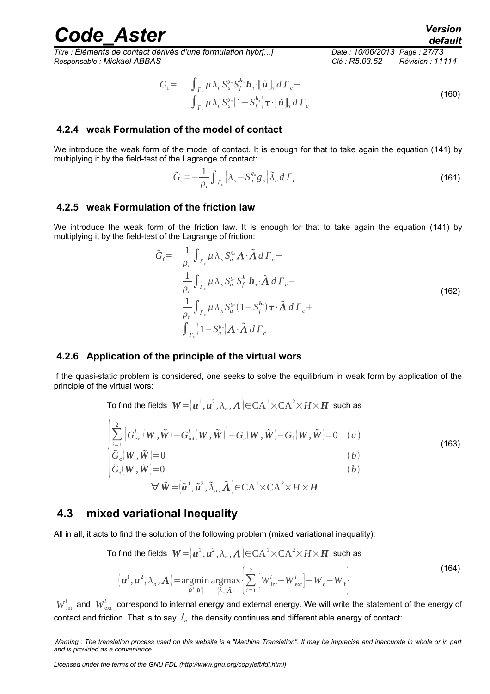*Titre : Éléments de contact dérivés d'une formulation hybr[...] Date : 10/06/2013 Page : 27/73 Responsable : Mickael ABBAS Clé : R5.03.52 Révision : 11114*

$$
G_{\rm f} = \int_{\Gamma_c} \mu \,\lambda_n S_u^{g_n} S_f^{h_r} h_r \cdot [\tilde{u}]_{\tau} d\Gamma_c + \int_{\Gamma_c} \mu \,\lambda_n S_u^{g_n} (1 - S_f^{h_r}) \tau \cdot [\tilde{u}]_{\tau} d\Gamma_c \tag{160}
$$

#### <span id="page-26-3"></span> **4.2.4 weak Formulation of the model of contact**

We introduce the weak form of the model of contact. It is enough for that to take again the equation [\(141\)](#page-23-3) by multiplying it by the field-test of the Lagrange of contact:

$$
\tilde{G}_c = -\frac{1}{\rho_n} \int_{\Gamma_c} \left[ \lambda_n - S_u^{g_n} g_n \right] \tilde{\lambda}_n d\Gamma_c \tag{161}
$$

#### <span id="page-26-2"></span> **4.2.5 weak Formulation of the friction law**

We introduce the weak form of the friction law. It is enough for that to take again the equation [\(141\)](#page-23-3) by multiplying it by the field-test of the Lagrange of friction:

$$
\tilde{G}_{f} = \frac{1}{\rho_{t}} \int_{\Gamma_{c}} \mu \lambda_{n} S_{u}^{g_{n}} \Lambda \cdot \tilde{\Lambda} d\Gamma_{c} -
$$
\n
$$
\frac{1}{\rho_{t}} \int_{\Gamma_{c}} \mu \lambda_{n} S_{u}^{g_{n}} S_{f}^{h} \mathbf{h}_{\tau} \cdot \tilde{\Lambda} d\Gamma_{c} -
$$
\n
$$
\frac{1}{\rho_{t}} \int_{\Gamma_{c}} \mu \lambda_{n} S_{u}^{g_{n}} (1 - S_{f}^{h_{n}}) \tau \cdot \tilde{\Lambda} d\Gamma_{c} +
$$
\n
$$
\int_{\Gamma_{c}} (1 - S_{u}^{g_{n}}) \Lambda \cdot \tilde{\Lambda} d\Gamma_{c}
$$
\n(162)

#### <span id="page-26-1"></span> **4.2.6 Application of the principle of the virtual wors**

If the quasi-static problem is considered, one seeks to solve the equilibrium in weak form by application of the principle of the virtual wors:

To find the fields  $\;\mathbf{W}\!=\!\!\left(\boldsymbol{u}^{1},\boldsymbol{u}^{2},\!\lambda_{n},\boldsymbol{\Lambda}\right)\!\!\in\!\!\mathbf{CA}^{1}\!\!\times\!\mathbf{CA}^{2}\!\!\times\!H\!\times\!H\;$  such as

$$
\begin{vmatrix} \sum_{i=1}^{2} \left[ G_{\text{ext}}^{i}(\boldsymbol{W}, \tilde{\boldsymbol{W}}) - G_{\text{int}}^{i}(\boldsymbol{W}, \tilde{\boldsymbol{W}}) \right] - G_{\text{c}}(\boldsymbol{W}, \tilde{\boldsymbol{W}}) - G_{\text{f}}(\boldsymbol{W}, \tilde{\boldsymbol{W}}) = 0 & (a) \\ \tilde{G}_{\text{c}}(\boldsymbol{W}, \tilde{\boldsymbol{W}}) = 0 & (b) \\ \tilde{G}_{\text{f}}(\boldsymbol{W}, \tilde{\boldsymbol{W}}) = 0 & (b) \end{vmatrix}
$$
(163)

<span id="page-26-7"></span>
$$
\forall \tilde{W} = \nvert \tilde{u}^1, \tilde{u}^2, \tilde{\lambda}_n, \tilde{\Lambda}\nvert \in \text{CA}^1 \times \text{CA}^2 \times H \times H
$$

#### <span id="page-26-0"></span> **4.3 mixed variational Inequality**

 $\overline{t}$ 

All in all, it acts to find the solution of the following problem (mixed variational inequality):

To find the fields 
$$
W = (u^1, u^2, \lambda_n, \Lambda) \in CA^1 \times CA^2 \times H \times H
$$
 such as  
\n
$$
(u^1, u^2, \lambda_n, \Lambda) = \underset{(\tilde{u}^1, \tilde{u}^2)}{\text{argmin}} \underset{(\tilde{\lambda}_n, \tilde{\Lambda})}{\text{argmin}} \left\{ \sum_{i=1}^2 \left[ W_{\text{int}}^i - W_{\text{ext}}^i \right] - W_{\text{c}} - W_f \right\}
$$
\n(164)

 $W^i_{\rm int}$  and  $\ W^i_{\rm ext}$  correspond to internal energy and external energy. We will write the statement of the energy of contact and friction. That is to say  $\;l_n\;$  the density continues and differentiable energy of contact:

<span id="page-26-6"></span><span id="page-26-5"></span><span id="page-26-4"></span>

*Warning : The translation process used on this website is a "Machine Translation". It may be imprecise and inaccurate in whole or in part and is provided as a convenience.*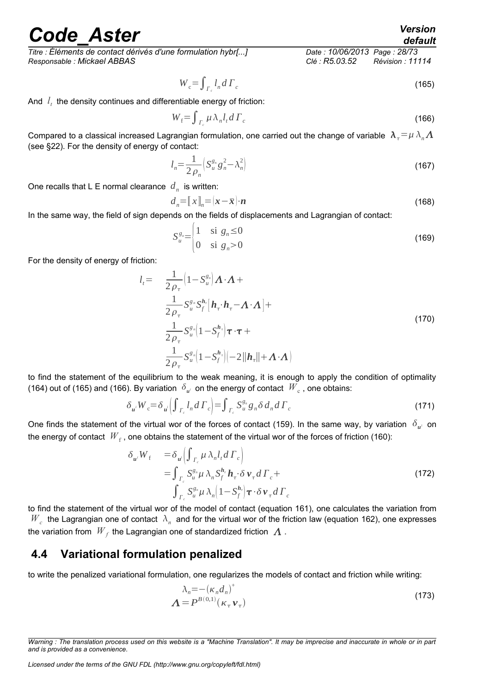*Titre : Éléments de contact dérivés d'une formulation hybr[...] Date : 10/06/2013 Page : 28/73 Responsable : Mickael ABBAS Clé : R5.03.52 Révision : 11114*

$$
W_c = \int_{\Gamma_c} l_n d\Gamma_c \tag{165}
$$

And  $\,l_{_t}\,$  the density continues and differentiable energy of friction:

$$
W_f = \int_{\Gamma_c} \mu \,\lambda_n l_t \, d\,\Gamma_c \tag{166}
$$

Compared to a classical increased Lagrangian formulation, one carried out the change of variable  $|\lambda_1 = \mu \lambda_n \Lambda$ (see [§22\)](#page-21-0). For the density of energy of contact:

$$
l_n = \frac{1}{2\rho_n} \left( S_u^{g_n} g_n^2 - \lambda_n^2 \right) \tag{167}
$$

One recalls that L E normal clearance *d<sup>n</sup>* is written:

$$
d_n = [x]_n = (x - \overline{x}) \cdot n \tag{168}
$$

In the same way, the field of sign depends on the fields of displacements and Lagrangian of contact:

$$
S_u^{g_n} = \begin{cases} 1 & \text{si } g_n \le 0 \\ 0 & \text{si } g_n > 0 \end{cases} \tag{169}
$$

For the density of energy of friction:

$$
l_{t} = \frac{1}{2 \rho_{\tau}} \left( 1 - S_{u}^{g_{n}} \right) \Lambda \cdot \Lambda +
$$
  
\n
$$
\frac{1}{2 \rho_{\tau}} S_{u}^{g_{n}} S_{f}^{h_{t}} \left[ \boldsymbol{h}_{\tau} \cdot \boldsymbol{h}_{\tau} - \Lambda \cdot \Lambda \right] +
$$
  
\n
$$
\frac{1}{2 \rho_{\tau}} S_{u}^{g_{n}} \left( 1 - S_{f}^{h_{\tau}} \right) \boldsymbol{\tau} \cdot \boldsymbol{\tau} +
$$
  
\n
$$
\frac{1}{2 \rho_{\tau}} S_{u}^{g_{n}} \left( 1 - S_{f}^{h_{\tau}} \right) \left( -2 \left\| \boldsymbol{h}_{\tau} \right\| + \Lambda \cdot \Lambda \right)
$$
\n(170)

to find the statement of the equilibrium to the weak meaning, it is enough to apply the condition of optimality [\(164\)](#page-26-7) out of [\(165\)](#page-27-2) and [\(166\)](#page-27-1). By variation  $|\delta_{u^i}|$  on the energy of contact  $|W_{\rm c}|$ , one obtains:

$$
\delta_{u^i} W_c = \delta_{u^i} \left( \int_{\Gamma_c} l_n d\Gamma_c \right) = \int_{\Gamma_c} S_u^{g_n} g_n \delta d_n d\Gamma_c \tag{171}
$$

One finds the statement of the virtual wor of the forces of contact [\(159\)](#page-25-5). In the same way, by variation  $|\delta_{u^i}|$  on the energy of contact  $\,W_{\rm f}$  , one obtains the statement of the virtual wor of the forces of friction [\(160\)](#page-26-6):

$$
\delta_{u^i} W_f = \delta_{u^i} \Big( \int_{\Gamma_c} \mu \, \lambda_n l_t d \Gamma_c \Big)
$$
  
= 
$$
\int_{\Gamma_c} S_u^{g_n} \mu \, \lambda_n S_f^{h_r} \mathbf{h}_r \cdot \delta \, \mathbf{v}_r d \Gamma_c + \int_{\Gamma_c} S_u^{g_n} \mu \, \lambda_n \Big( 1 - S_f^{h_r} \Big) \tau \cdot \delta \, \mathbf{v}_r d \Gamma_c
$$
 (172)

to find the statement of the virtual wor of the model of contact (equation [161\)](#page-26-5), one calculates the variation from  $W_c$  the Lagrangian one of contact  $\Lambda_n$  and for the virtual wor of the friction law (equation [162\)](#page-26-4), one expresses the variation from  $\mathscr{W}_f$  the Lagrangian one of standardized friction  $\vert\bm{\Lambda}\vert$  .

### <span id="page-27-0"></span> **4.4 Variational formulation penalized**

to write the penalized variational formulation, one regularizes the models of contact and friction while writing:

<span id="page-27-3"></span>
$$
\lambda_n = -(\kappa_n d_n)^+ \n\Lambda = P^{B(0,1)}(\kappa_\tau \mathbf{v}_\tau)
$$
\n(173)

<span id="page-27-2"></span><span id="page-27-1"></span>*default*

*Warning : The translation process used on this website is a "Machine Translation". It may be imprecise and inaccurate in whole or in part and is provided as a convenience.*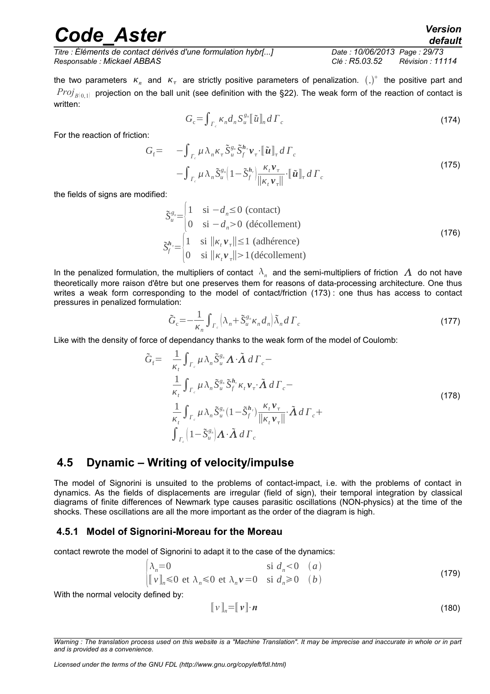*Titre : Éléments de contact dérivés d'une formulation hybr[...] Date : 10/06/2013 Page : 29/73 Responsable : Mickael ABBAS Clé : R5.03.52 Révision : 11114*

the two parameters  $\kappa_n$  and  $\kappa_\tau$  are strictly positive parameters of penalization.  $(.)^+$  the positive part and  $Proj_{B(0,1)}$  projection on the ball unit (see definition with the [§22\)](#page-21-0). The weak form of the reaction of contact is written:

$$
G_c = \int_{\Gamma_c} \kappa_n d_n S_u^{g_n} [\![\tilde{u}\!]_n d\Gamma_c \tag{174}
$$

For the reaction of friction:

$$
G_{\rm f} = -\int_{\Gamma_c} \mu \lambda_n \kappa_\tau \tilde{S}_u^{g_n} \tilde{S}_f^{h_\tau} \mathbf{v}_\tau \cdot [\tilde{\mathbf{u}}]_{\tau} d\Gamma_c
$$
  
 
$$
- \int_{\Gamma_c} \mu \lambda_n \tilde{S}_u^{g_n} \left(1 - \tilde{S}_f^{h_\tau}\right) \frac{\kappa_t \mathbf{v}_\tau}{\|\kappa_t \mathbf{v}_\tau\|} \cdot [\tilde{\mathbf{u}}]_{\tau} d\Gamma_c
$$
 (175)

the fields of signs are modified:

$$
\tilde{S}_{u}^{g_n} = \begin{cases}\n1 & \text{si } -d_n \le 0 \text{ (contact)} \\
0 & \text{si } -d_n > 0 \text{ (décollement)}\n\end{cases}
$$
\n
$$
\tilde{S}_{f}^{h_n} = \begin{cases}\n1 & \text{si } ||\kappa_t \mathbf{v}_{\tau}|| \le 1 \text{ (adhérence)} \\
0 & \text{si } ||\kappa_t \mathbf{v}_{\tau}|| > 1 \text{ (décollement)}\n\end{cases}
$$
\n(176)

In the penalized formulation, the multipliers of contact  $\lambda_n$  and the semi-multipliers of friction  $\Lambda$  do not have theoretically more raison d'être but one preserves them for reasons of data-processing architecture. One thus writes a weak form corresponding to the model of contact/friction [\(173\)](#page-27-3) : one thus has access to contact pressures in penalized formulation:

$$
\tilde{G}_c = -\frac{1}{\kappa_n} \int_{\Gamma_c} \left( \lambda_n + \tilde{S}_u^{g_n} \kappa_n d_n \right) \tilde{\lambda}_n d\Gamma_c \tag{177}
$$

Like with the density of force of dependancy thanks to the weak form of the model of Coulomb:

$$
\tilde{G}_{f} = \frac{1}{\kappa_{t}} \int_{\Gamma_{c}} \mu \lambda_{n} \tilde{S}_{u}^{g_{n}} \Lambda \cdot \tilde{\Lambda} d\Gamma_{c} -
$$
\n
$$
\frac{1}{\kappa_{t}} \int_{\Gamma_{c}} \mu \lambda_{n} \tilde{S}_{u}^{g_{n}} \tilde{S}_{f}^{h_{r}} \kappa_{t} \mathbf{v}_{\tau} \cdot \tilde{\Lambda} d\Gamma_{c} -
$$
\n
$$
\frac{1}{\kappa_{t}} \int_{\Gamma_{c}} \mu \lambda_{n} \tilde{S}_{u}^{g_{n}} (1 - \tilde{S}_{f}^{h_{\tau}}) \frac{\kappa_{t} \mathbf{v}_{\tau}}{||\kappa_{t} \mathbf{v}_{\tau}||} \cdot \tilde{\Lambda} d\Gamma_{c} +
$$
\n
$$
\int_{\Gamma_{c}} (1 - \tilde{S}_{u}^{g_{n}}) \Lambda \cdot \tilde{\Lambda} d\Gamma_{c}
$$
\n(178)

### <span id="page-28-1"></span> **4.5 Dynamic – Writing of velocity/impulse**

The model of Signorini is unsuited to the problems of contact-impact, i.e. with the problems of contact in dynamics. As the fields of displacements are irregular (field of sign), their temporal integration by classical diagrams of finite differences of Newmark type causes parasitic oscillations (NON-physics) at the time of the shocks. These oscillations are all the more important as the order of the diagram is high.

#### <span id="page-28-0"></span> **4.5.1 Model of Signorini-Moreau for the Moreau**

contact rewrote the model of Signorini to adapt it to the case of the dynamics:

$$
\begin{cases} \n\lambda_n = 0 & \text{si } d_n < 0 \quad (a) \\ \n\lbrack\!\lbrack\!\lbrack v \rbrack\!\rbrack_n \leq 0 & \text{et } \lambda_n \leq 0 \quad \text{et } \lambda_n v = 0 & \text{si } d_n \geq 0 \quad (b) \n\end{cases} \tag{179}
$$

With the normal velocity defined by:

$$
\llbracket \nu \rrbracket_n = \llbracket \nu \rrbracket \cdot n \tag{180}
$$

*Warning : The translation process used on this website is a "Machine Translation". It may be imprecise and inaccurate in whole or in part and is provided as a convenience.*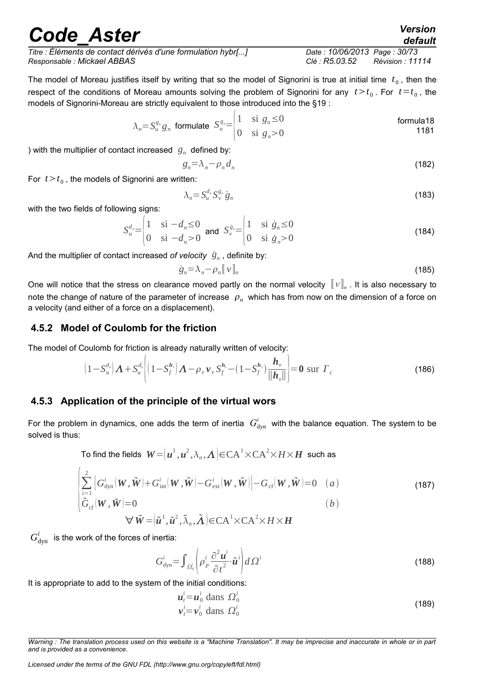*Titre : Éléments de contact dérivés d'une formulation hybr[...] Date : 10/06/2013 Page : 30/73 Responsable : Mickael ABBAS Clé : R5.03.52 Révision : 11114*

The model of Moreau justifies itself by writing that so the model of Signorini is true at initial time  $t_0$ , then the respect of the conditions of Moreau amounts solving the problem of Signorini for any  $t > t_0$ . For  $t = t_0$ , the models of Signorini-Moreau are strictly equivalent to those introduced into the [§19](#page-18-1) :

$$
\lambda_n = S_u^{g_n} g_n \text{ formulate } S_u^{g_n} = \begin{cases} 1 & \text{si } g_n \le 0 \\ 0 & \text{si } g_n > 0 \end{cases} \tag{1181}
$$

) with the multiplier of contact increased  $g_n$  defined by:

$$
g_n = \lambda_n - \rho_n \, d_n \tag{182}
$$

For  $t > t_0$ , the models of Signorini are written:

$$
\lambda_n = S_u^{d_n} S_v^{\dot{g}_n} \dot{g}_n \tag{183}
$$

with the two fields of following signs:

$$
S_u^{d_n} = \begin{cases} 1 & \text{si } -d_n \le 0 \\ 0 & \text{si } -d_n > 0 \end{cases} \text{ and } S_v^{g_n} = \begin{cases} 1 & \text{si } \dot{g}_n \le 0 \\ 0 & \text{si } \dot{g}_n > 0 \end{cases}
$$
 (184)

And the multiplier of contact increased *of velocity*  $\dot{g}_n$  , definite by:

<span id="page-29-2"></span>
$$
\dot{g}_n = \lambda_n - \rho_n \|\mathbf{v}\|_n \tag{185}
$$

One will notice that the stress on clearance moved partly on the normal velocity  $\llbracket v \rrbracket_n$ . It is also necessary to note the change of nature of the parameter of increase  $\rho_n^+$  which has from now on the dimension of a force on a velocity (and either of a force on a displacement).

#### <span id="page-29-1"></span> **4.5.2 Model of Coulomb for the friction**

The model of Coulomb for friction is already naturally written of velocity:

$$
\left(1 - S_u^{d_n}\right)\Lambda + S_u^{d_n}\left\lvert \left(1 - S_f^{h_\tau}\right)\Lambda - \rho_\tau v_\tau S_f^{h_\tau} - \left(1 - S_f^{h_\tau}\right)\frac{h_\tau}{\lVert h_\tau \rVert}\right\rvert = 0 \text{ sur } \Gamma_c
$$
\n(186)

#### <span id="page-29-0"></span> **4.5.3 Application of the principle of the virtual wors**

For the problem in dynamics, one adds the term of inertia  $\ G_{\rm dyn}^i\,$  with the balance equation. The system to be solved is thus:

To find the fields  $\;\mathbf{W}\!=\!\!\left(\boldsymbol{u}^{1},\boldsymbol{u}^{2},\!\lambda_{n},\boldsymbol{\varLambda}\right)\!\!\in\!\!\mathbf{CA}^{1}\!\!\times\!\mathbf{CA}^{2}\!\!\times\!H\!\times\!H\;$  such as

$$
\begin{cases}\n\sum_{i=1}^{2} \left[ G_{\text{dyn}}^{i}(\boldsymbol{W}, \tilde{\boldsymbol{W}}) + G_{\text{int}}^{i}(\boldsymbol{W}, \tilde{\boldsymbol{W}}) - G_{\text{ext}}^{i}(\boldsymbol{W}, \tilde{\boldsymbol{W}}) \right] - G_{\text{cf}}(\boldsymbol{W}, \tilde{\boldsymbol{W}}) = 0 \quad (a) \\
\tilde{G}_{\text{cf}}(\boldsymbol{W}, \tilde{\boldsymbol{W}}) = 0 \quad & (b) \\
\forall \tilde{\boldsymbol{W}} = (\tilde{\boldsymbol{u}}^{1}, \tilde{\boldsymbol{u}}^{2}, \tilde{\lambda}_{n}, \tilde{\boldsymbol{\Lambda}}) \in \text{CA}^{1} \times \text{CA}^{2} \times \boldsymbol{H} \times \boldsymbol{H}\n\end{cases}
$$
\n(187)

 $G_{\text{dyn}}^i$  is the work of the forces of inertia:

$$
G_{\text{dyn}}^i = \int_{\Omega_0^i} \left( \rho_p^i \frac{\partial^2 u^i}{\partial t^2} \cdot \tilde{u}^i \right) d\Omega^i \tag{188}
$$

It is appropriate to add to the system of the initial conditions:

$$
\mathbf{u}_t^i = \mathbf{u}_0^i \text{ dans } \Omega_0^i
$$
  

$$
\mathbf{v}_t^i = \mathbf{v}_0^i \text{ dans } \Omega_0^i
$$
 (189)

*Licensed under the terms of the GNU FDL (http://www.gnu.org/copyleft/fdl.html)*

<span id="page-29-3"></span>

*Warning : The translation process used on this website is a "Machine Translation". It may be imprecise and inaccurate in whole or in part and is provided as a convenience.*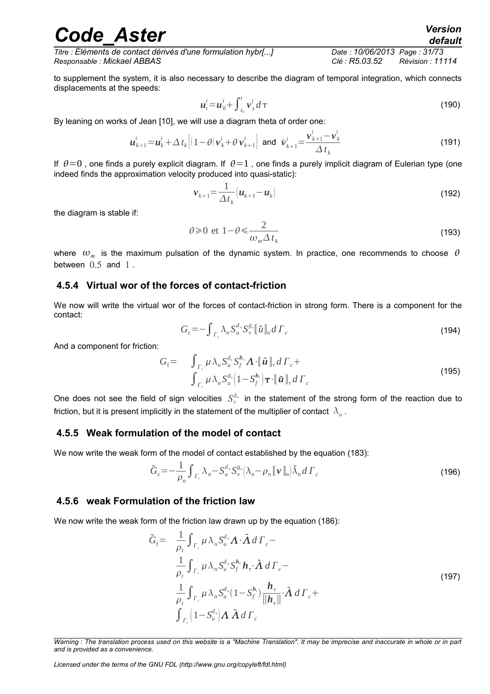*Titre : Éléments de contact dérivés d'une formulation hybr[...] Date : 10/06/2013 Page : 31/73 Responsable : Mickael ABBAS Clé : R5.03.52 Révision : 11114*

to supplement the system, it is also necessary to describe the diagram of temporal integration, which connects displacements at the speeds:

$$
\boldsymbol{u}_t^i = \boldsymbol{u}_0^i + \int_{t_0}^t \boldsymbol{v}_s^i \, d\,\tau \tag{190}
$$

By leaning on works of Jean [\[10\]](#page-57-2), we will use a diagram theta of order one:

$$
\boldsymbol{u}_{k+1}^{i} = \boldsymbol{u}_{k}^{i} + \Delta t_{k} \left[ (1 - \theta) \boldsymbol{v}_{k}^{i} + \theta \boldsymbol{v}_{k+1}^{i} \right] \text{ and } \boldsymbol{v}_{k+1}^{i} = \frac{\boldsymbol{v}_{k+1}^{i} - \boldsymbol{v}_{k}^{i}}{\Delta t_{k}}
$$
(191)

If  $\theta=0$ , one finds a purely explicit diagram. If  $\theta=1$ , one finds a purely implicit diagram of Eulerian type (one indeed finds the approximation velocity produced into quasi-static):

$$
\boldsymbol{v}_{k+1} = \frac{1}{\Delta t_k} \left( \boldsymbol{u}_{k+1} - \boldsymbol{u}_k \right)
$$
\n(192)

the diagram is stable if:

$$
\theta \geq 0 \text{ et } 1 - \theta \leq \frac{2}{\omega_m \Delta t_k} \tag{193}
$$

where  $\omega_m$  is the maximum pulsation of the dynamic system. In practice, one recommends to choose  $\theta$ between  $0.5$  and  $1$ .

#### <span id="page-30-2"></span> **4.5.4 Virtual wor of the forces of contact-friction**

We now will write the virtual wor of the forces of contact-friction in strong form. There is a component for the contact:

$$
G_{\rm c} = -\int_{\Gamma_{\rm c}} \lambda_n S_u^{d_n} S_{\nu}^{\dot{g}_n} [\![\tilde{u}]\!]_n d\Gamma_c \tag{194}
$$

And a component for friction:

$$
G_{\rm f} = \int_{\Gamma_c} \mu \,\lambda_n S_u^{d_n} S_f^{h_\tau} \Lambda \cdot \llbracket \tilde{\mathbf{u}} \rrbracket_{\tau} d \Gamma_c + \int_{\Gamma_c} \mu \,\lambda_n S_u^{d_n} (1 - S_f^{h_\tau}) \boldsymbol{\tau} \cdot \llbracket \tilde{\mathbf{u}} \rrbracket_{\tau} d \Gamma_c \tag{195}
$$

One does not see the field of sign velocities  $S_v^{\dot{g}_n}$  in the statement of the strong form of the reaction due to friction, but it is present implicitly in the statement of the multiplier of contact  $\left| \lambda_n \right|$ .

#### <span id="page-30-1"></span> **4.5.5 Weak formulation of the model of contact**

We now write the weak form of the model of contact established by the equation [\(183\)](#page-29-3):

$$
\tilde{G}_c = -\frac{1}{\rho_n} \int_{\Gamma_c} \lambda_n - S_u^{d_n} S_v^{g_n} \left( \lambda_n - \rho_n \left[ \mathbf{v} \right]_n \right) \tilde{\lambda}_n d\Gamma_c \tag{196}
$$

#### <span id="page-30-0"></span> **4.5.6 weak Formulation of the friction law**

We now write the weak form of the friction law drawn up by the equation [\(186\)](#page-29-2):

$$
\tilde{G}_{f} = \frac{1}{\rho_{t}} \int_{\Gamma_{c}} \mu \lambda_{n} S_{u}^{d_{n}} \Lambda \cdot \tilde{\Lambda} d\Gamma_{c} -
$$
\n
$$
\frac{1}{\rho_{t}} \int_{\Gamma_{c}} \mu \lambda_{n} S_{u}^{d_{n}} S_{f}^{h_{n}} \mathbf{h}_{\tau} \cdot \tilde{\Lambda} d\Gamma_{c} -
$$
\n
$$
\frac{1}{\rho_{t}} \int_{\Gamma_{c}} \mu \lambda_{n} S_{u}^{d_{n}} (1 - S_{f}^{h_{n}}) \frac{\mathbf{h}_{\tau}}{\|\mathbf{h}_{\tau}\|} \cdot \tilde{\Lambda} d\Gamma_{c} +
$$
\n
$$
\int_{\Gamma_{c}} (1 - S_{u}^{d_{n}}) \Lambda \tilde{\Lambda} d\Gamma_{c}
$$
\n(197)

*Warning : The translation process used on this website is a "Machine Translation". It may be imprecise and inaccurate in whole or in part and is provided as a convenience.*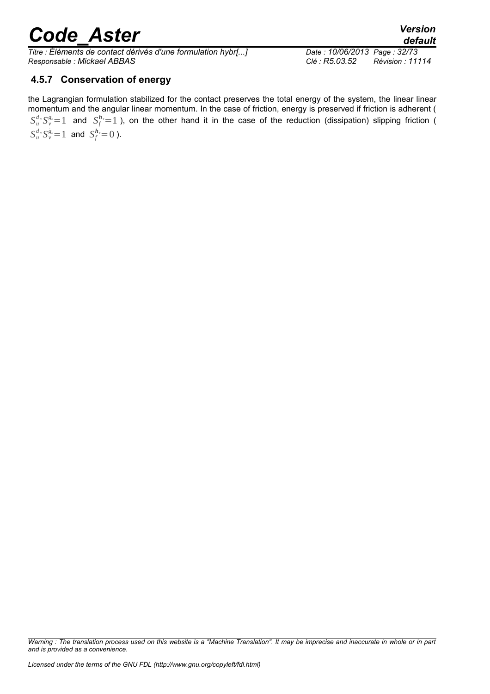*Titre : Éléments de contact dérivés d'une formulation hybr[...] Date : 10/06/2013 Page : 32/73 Responsable : Mickael ABBAS Clé : R5.03.52 Révision : 11114*

### <span id="page-31-0"></span> **4.5.7 Conservation of energy**

the Lagrangian formulation stabilized for the contact preserves the total energy of the system, the linear linear momentum and the angular linear momentum. In the case of friction, energy is preserved if friction is adherent (  $S^{d_n}_u S^{g_n}_v=1$  and  $S^{h_r}_f=1$  ), on the other hand it in the case of the reduction (dissipation) slipping friction (  $S_u^{d_n} S_v^{g_n} = 1$  and  $S_f^{h_n} = 0$ ).

*Warning : The translation process used on this website is a "Machine Translation". It may be imprecise and inaccurate in whole or in part and is provided as a convenience.*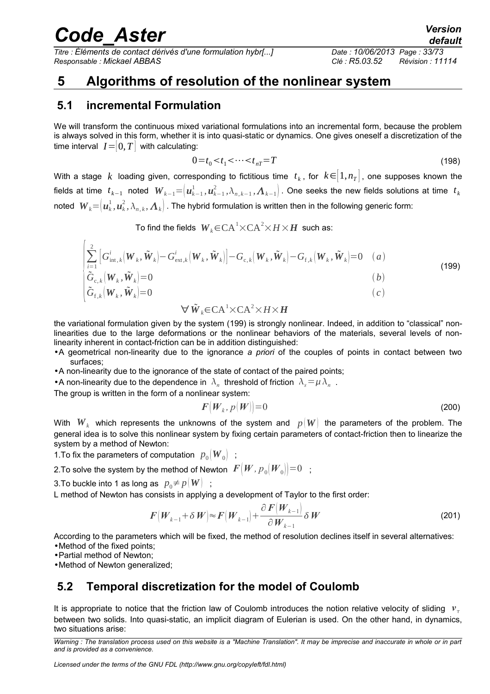*Titre : Éléments de contact dérivés d'une formulation hybr[...] Date : 10/06/2013 Page : 33/73 Responsable : Mickael ABBAS Clé : R5.03.52 Révision : 11114*

### <span id="page-32-2"></span> **5 Algorithms of resolution of the nonlinear system**

### <span id="page-32-1"></span> **5.1 incremental Formulation**

We will transform the continuous mixed variational formulations into an incremental form, because the problem is always solved in this form, whether it is into quasi-static or dynamics. One gives oneself a discretization of the time interval  $I = \vert 0, T \vert$  with calculating:

$$
0 = t0 < t1 < \cdots < tnT = T
$$
\n
$$
(198)
$$

With a stage  $\,k\,$  loading given, corresponding to fictitious time  $\,t_{\,k}$  , for  $\,k \!\in\!\! \big[1,n_{T} \big],$  one supposes known the fields at time  $t_{k-1}$  noted  $W_{k-1} = (u_{k-1}^1,u_{k-1}^2,\lambda_{n,k-1},\Lambda_{k-1})$ . One seeks the new fields solutions at time  $t_k$ noted  $\,\,W_k\!=\!\bigl(\bm{u}_k^1,\bm{u}_k^2,\lambda_{n,k},\bm{\Lambda}_k\bigr)$  . The hybrid formulation is written then in the following generic form:

To find the fields  $W_k \in CA^1 \times CA^2 \times H \times H$  such as:

$$
\begin{cases}\n\sum_{i=1}^{2} \left[ G_{\text{int},k}^{i} \left( \boldsymbol{W}_{k}, \tilde{\boldsymbol{W}}_{k} \right) - G_{\text{ext},k}^{i} \left( \boldsymbol{W}_{k}, \tilde{\boldsymbol{W}}_{k} \right) \right] - G_{\text{c},k} \left( \boldsymbol{W}_{k}, \tilde{\boldsymbol{W}}_{k} \right) - G_{\text{f},k} \left( \boldsymbol{W}_{k}, \tilde{\boldsymbol{W}}_{k} \right) = 0 \quad (a) \\
\tilde{G}_{\text{c},k} \left( \boldsymbol{W}_{k}, \tilde{\boldsymbol{W}}_{k} \right) = 0 \\
\tilde{G}_{\text{f},k} \left( \boldsymbol{W}_{k}, \tilde{\boldsymbol{W}}_{k} \right) = 0\n\end{cases}
$$
\n(199)

<span id="page-32-3"></span>
$$
\forall \tilde{W}_k \in CA^1 \times CA^2 \times H \times H
$$

the variational formulation given by the system [\(199\)](#page-32-3) is strongly nonlinear. Indeed, in addition to "classical" nonlinearities due to the large deformations or the nonlinear behaviors of the materials, several levels of nonlinearity inherent in contact-friction can be in addition distinguished:

•A geometrical non-linearity due to the ignorance *a priori* of the couples of points in contact between two surfaces;

•A non-linearity due to the ignorance of the state of contact of the paired points;

•A non-linearity due to the dependence in  $\lambda_n$  threshold of friction  $\lambda_s = \mu \lambda_n$ .

The group is written in the form of a nonlinear system:

$$
F\big(\boldsymbol{W}_k, p\big(\boldsymbol{W}\big)\big)=0\tag{200}
$$

With  $\,W_{\,k}\,$  which represents the unknowns of the system and  $\,p\big(\bm{W}\big)\,$  the parameters of the problem. The general idea is to solve this nonlinear system by fixing certain parameters of contact-friction then to linearize the system by a method of Newton:

1.To fix the parameters of computation  $p_0 \mid W_0 \mid$ ;

2.To solve the system by the method of Newton  $\bm{F}[\bm{W}, p_0|\bm{W}_0] = 0$ ;

3.To buckle into 1 as long as  $p_0 \neq p(W)$ ;

L method of Newton has consists in applying a development of Taylor to the first order:

$$
F\big|W_{k-1} + \delta W\big| \approx F\big|W_{k-1}\big| + \frac{\partial F\big|W_{k-1}\big|}{\partial W_{k-1}} \delta W \tag{201}
$$

According to the parameters which will be fixed, the method of resolution declines itself in several alternatives: •Method of the fixed points;

•Partial method of Newton;

•Method of Newton generalized;

### <span id="page-32-0"></span> **5.2 Temporal discretization for the model of Coulomb**

It is appropriate to notice that the friction law of Coulomb introduces the notion relative velocity of sliding  $v<sub>r</sub>$ between two solids. Into quasi-static, an implicit diagram of Eulerian is used. On the other hand, in dynamics, two situations arise:

*Warning : The translation process used on this website is a "Machine Translation". It may be imprecise and inaccurate in whole or in part and is provided as a convenience.*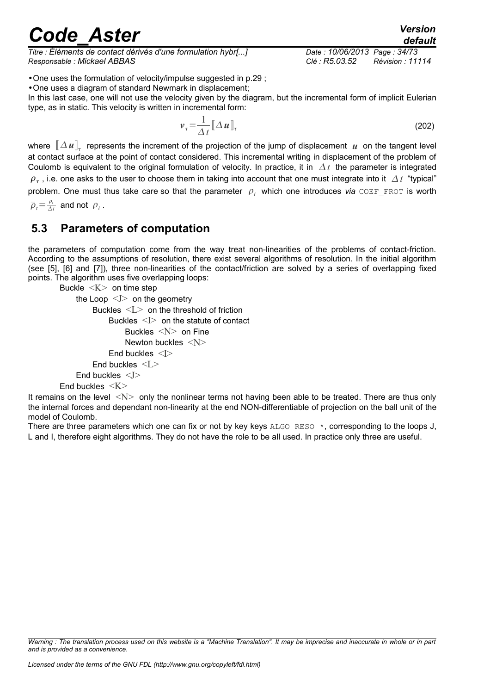*Titre : Éléments de contact dérivés d'une formulation hybr[...] Date : 10/06/2013 Page : 34/73 Responsable : Mickael ABBAS Clé : R5.03.52 Révision : 11114*

•One uses the formulation of velocity/impulse suggested in p[.29](#page-28-1) ;

•One uses a diagram of standard Newmark in displacement;

In this last case, one will not use the velocity given by the diagram, but the incremental form of implicit Eulerian type, as in static. This velocity is written in incremental form:

$$
\nu_{\tau} = \frac{1}{\Delta t} \left[ \Delta u \right]_{\tau} \tag{202}
$$

where  $\[\!\;\Delta\,u\,\!]_{\tau}$  represents the increment of the projection of the jump of displacement  $\,\bm u\,$  on the tangent level at contact surface at the point of contact considered. This incremental writing in displacement of the problem of Coulomb is equivalent to the original formulation of velocity. In practice, it in  $\Delta t$  the parameter is integrated  $\rho_\tau$  , i.e. one asks to the user to choose them in taking into account that one must integrate into it  $\|\Delta t\|^2$  typical" problem. One must thus take care so that the parameter  $\rho_t$  which one introduces *via* COEF\_FROT is worth  $\overline{\rho}_t = \frac{\rho_t}{\Delta}$  $\frac{\rho_t}{\Delta t}$  and not  $\rho_t$ .

### <span id="page-33-0"></span> **5.3 Parameters of computation**

the parameters of computation come from the way treat non-linearities of the problems of contact-friction. According to the assumptions of resolution, there exist several algorithms of resolution. In the initial algorithm (see [\[5\]](#page-56-7), [\[6\]](#page-56-6) and [\[7\]](#page-56-5)), three non-linearities of the contact/friction are solved by a series of overlapping fixed points. The algorithm uses five overlapping loops:

Buckle  $\langle K \rangle$  on time step

the Loop  $\leq J$  on the geometry Buckles  $\leq l$  > on the threshold of friction Buckles  $\leq$   $>$  on the statute of contact Buckles  $\langle N \rangle$  on Fine Newton buckles <N> End buckles  $\leq$  > End buckles  $\langle I \rangle$ End buckles <I> End buckles  $\langle K \rangle$ 

It remains on the level  $\langle N \rangle$  only the nonlinear terms not having been able to be treated. There are thus only the internal forces and dependant non-linearity at the end NON-differentiable of projection on the ball unit of the model of Coulomb.

There are three parameters which one can fix or not by key keys ALGO\_RESO\_\*, corresponding to the loops J, L and I, therefore eight algorithms. They do not have the role to be all used. In practice only three are useful.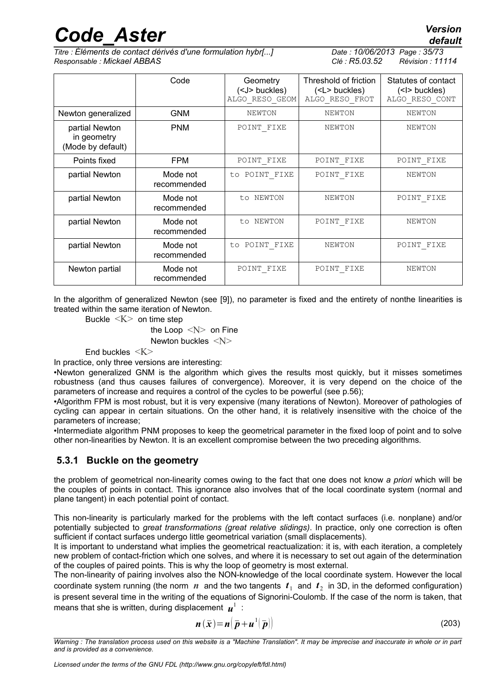*Titre : Éléments de contact dérivés d'une formulation hybr[...] Date : 10/06/2013 Page : 35/73 Responsable : Mickael ABBAS Clé : R5.03.52 Révision : 11114*

|                                                    | Code                    | Geometry<br>( <j> buckles)<br/>ALGO RESO GEOM</j> | Threshold of friction<br>( <l> buckles)<br/>ALGO RESO FROT</l> | Statutes of contact<br>( <l>buckles)<br/>ALGO RESO CONT</l> |
|----------------------------------------------------|-------------------------|---------------------------------------------------|----------------------------------------------------------------|-------------------------------------------------------------|
| Newton generalized                                 | <b>GNM</b>              | NEWTON                                            | NEWTON                                                         | NEWTON                                                      |
| partial Newton<br>in geometry<br>(Mode by default) | <b>PNM</b>              | POINT FIXE                                        | NEWTON                                                         | NEWTON                                                      |
| Points fixed                                       | <b>FPM</b>              | POINT FIXE                                        | POINT FIXE                                                     | POINT FIXE                                                  |
| partial Newton                                     | Mode not<br>recommended | to POINT FIXE                                     | POINT FIXE                                                     | NEWTON                                                      |
| partial Newton                                     | Mode not<br>recommended | to NEWTON                                         | NEWTON                                                         | POINT FIXE                                                  |
| partial Newton                                     | Mode not<br>recommended | to NEWTON                                         | POINT FIXE                                                     | <b>NEWTON</b>                                               |
| partial Newton                                     | Mode not<br>recommended | to POINT FIXE                                     | NEWTON                                                         | POINT FIXE                                                  |
| Newton partial                                     | Mode not<br>recommended | POINT FIXE                                        | POINT FIXE                                                     | NEWTON                                                      |

In the algorithm of generalized Newton (see [\[9\]](#page-57-0)), no parameter is fixed and the entirety of nonthe linearities is treated within the same iteration of Newton.

Buckle  $\langle K \rangle$  on time step

the Loop  $\langle N \rangle$  on Fine Newton buckles <N>

End buckles  $\langle K \rangle$ 

In practice, only three versions are interesting:

•Newton generalized GNM is the algorithm which gives the results most quickly, but it misses sometimes robustness (and thus causes failures of convergence). Moreover, it is very depend on the choice of the parameters of increase and requires a control of the cycles to be powerful (see p[.56\)](#page-55-1);

•Algorithm FPM is most robust, but it is very expensive (many iterations of Newton). Moreover of pathologies of cycling can appear in certain situations. On the other hand, it is relatively insensitive with the choice of the parameters of increase;

•Intermediate algorithm PNM proposes to keep the geometrical parameter in the fixed loop of point and to solve other non-linearities by Newton. It is an excellent compromise between the two preceding algorithms.

#### <span id="page-34-0"></span> **5.3.1 Buckle on the geometry**

the problem of geometrical non-linearity comes owing to the fact that one does not know *a priori* which will be the couples of points in contact. This ignorance also involves that of the local coordinate system (normal and plane tangent) in each potential point of contact.

This non-linearity is particularly marked for the problems with the left contact surfaces (i.e. nonplane) and/or potentially subjected to *great transformations (great relative slidings)*. In practice, only one correction is often sufficient if contact surfaces undergo little geometrical variation (small displacements).

It is important to understand what implies the geometrical reactualization: it is, with each iteration, a completely new problem of contact-friction which one solves, and where it is necessary to set out again of the determination of the couples of paired points. This is why the loop of geometry is most external.

The non-linearity of pairing involves also the NON-knowledge of the local coordinate system. However the local coordinate system running (the norm  $|n|$  and the two tangents  $|t_1|$  and  $|t_2|$  in 3D, in the deformed configuration) is present several time in the writing of the equations of Signorini-Coulomb. If the case of the norm is taken, that means that she is written, during displacement  $\boldsymbol{\mathit{u}}^1$  :

$$
n(\bar{x}) = n(\bar{p} + u^{1}(\bar{p}))
$$
\n(203)

*Warning : The translation process used on this website is a "Machine Translation". It may be imprecise and inaccurate in whole or in part and is provided as a convenience.*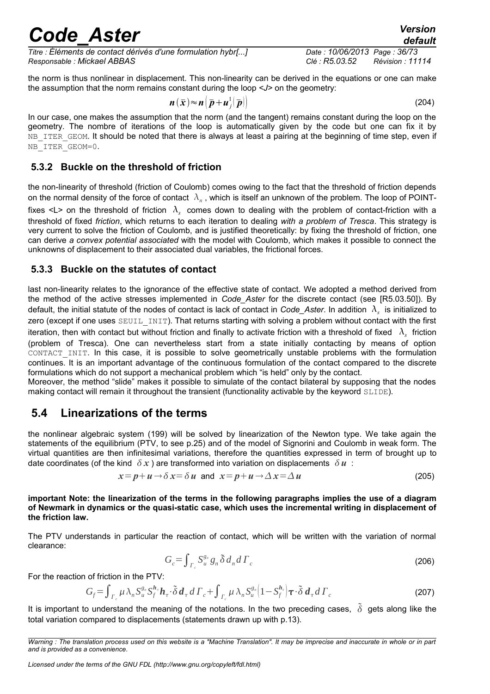| <b>Code Aster</b>                                            | <b>Version</b>               |
|--------------------------------------------------------------|------------------------------|
|                                                              | default                      |
| Titre : Éléments de contact dérivés d'une formulation hybr[] | Date: 10/06/2013 Page: 36/73 |

*Titre : Éléments de contact dérivés d'une formulation hybr[...] Date : 10/06/2013 Page : 36/73 Responsable : Mickael ABBAS Clé : R5.03.52 Révision : 11114*

the norm is thus nonlinear in displacement. This non-linearity can be derived in the equations or one can make the assumption that the norm remains constant during the loop *<J>* on the geometry:

$$
n(\bar{x}) \approx n(\bar{p} + u_j^1(\bar{p}))
$$
 (204)

In our case, one makes the assumption that the norm (and the tangent) remains constant during the loop on the geometry. The nombre of iterations of the loop is automatically given by the code but one can fix it by NB\_ITER\_GEOM. It should be noted that there is always at least a pairing at the beginning of time step, even if NB\_ITER\_GEOM=0.

### <span id="page-35-2"></span> **5.3.2 Buckle on the threshold of friction**

the non-linearity of threshold (friction of Coulomb) comes owing to the fact that the threshold of friction depends on the normal density of the force of contact  $|\lambda_n|$ , which is itself an unknown of the problem. The loop of POINTfixes <L> on the threshold of friction  $\ket{\lambda_s}$  comes down to dealing with the problem of contact-friction with a threshold of fixed *friction*, which returns to each iteration to dealing *with a problem of Tresca*. This strategy is very current to solve the friction of Coulomb, and is justified theoretically: by fixing the threshold of friction, one can derive *a convex potential associated* with the model with Coulomb, which makes it possible to connect the unknowns of displacement to their associated dual variables, the frictional forces.

#### <span id="page-35-1"></span> **5.3.3 Buckle on the statutes of contact**

last non-linearity relates to the ignorance of the effective state of contact. We adopted a method derived from the method of the active stresses implemented in *Code\_Aster* for the discrete contact (see [R5.03.50]). By default, the initial statute of the nodes of contact is lack of contact in *Code\_Aster*. In addition  $|\lambda_s|$  is initialized to zero (except if one uses SEUIL INIT). That returns starting with solving a problem without contact with the first iteration, then with contact but without friction and finally to activate friction with a threshold of fixed  $\ket{\lambda_s}$  friction (problem of Tresca). One can nevertheless start from a state initially contacting by means of option CONTACT INIT. In this case, it is possible to solve geometrically unstable problems with the formulation continues. It is an important advantage of the continuous formulation of the contact compared to the discrete formulations which do not support a mechanical problem which "is held" only by the contact.

Moreover, the method "slide" makes it possible to simulate of the contact bilateral by supposing that the nodes making contact will remain it throughout the transient (functionality activable by the keyword SLIDE).

### <span id="page-35-0"></span> **5.4 Linearizations of the terms**

the nonlinear algebraic system [\(199\)](#page-32-3) will be solved by linearization of the Newton type. We take again the statements of the equilibrium (PTV, to see p[.25\)](#page-24-1) and of the model of Signorini and Coulomb in weak form. The virtual quantities are then infinitesimal variations, therefore the quantities expressed in term of brought up to date coordinates (of the kind  $\delta x$ ) are transformed into variation on displacements  $\delta u$ :

$$
x = p + u \rightarrow \delta x = \delta u \text{ and } x = p + u \rightarrow \Delta x = \Delta u \tag{205}
$$

**important Note: the linearization of the terms in the following paragraphs implies the use of a diagram of Newmark in dynamics or the quasi-static case, which uses the incremental writing in displacement of the friction law.**

The PTV understands in particular the reaction of contact, which will be written with the variation of normal clearance:

$$
G_c = \int_{\Gamma_c} S_u^{g_n} g_n \, \tilde{\delta} \, d_n d \, \Gamma_c \tag{206}
$$

For the reaction of friction in the PTV:

$$
G_f = \int_{\Gamma_c} \mu \,\lambda_n S_u^{g_n} S_f^{h_\tau} \mathbf{h}_\tau \cdot \tilde{\delta} \, \mathbf{d}_\tau \, \mathbf{d} \, \Gamma_c + \int_{\Gamma_c} \mu \,\lambda_n S_u^{g_n} \left(1 - S_f^{h_\tau}\right) \tau \cdot \tilde{\delta} \, \mathbf{d}_\tau \, \mathbf{d} \, \Gamma_c \tag{207}
$$

It is important to understand the meaning of the notations. In the two preceding cases,  $\tilde{\delta}$  gets along like the total variation compared to displacements (statements drawn up with p[.13\)](#page-12-0).

*Warning : The translation process used on this website is a "Machine Translation". It may be imprecise and inaccurate in whole or in part and is provided as a convenience.*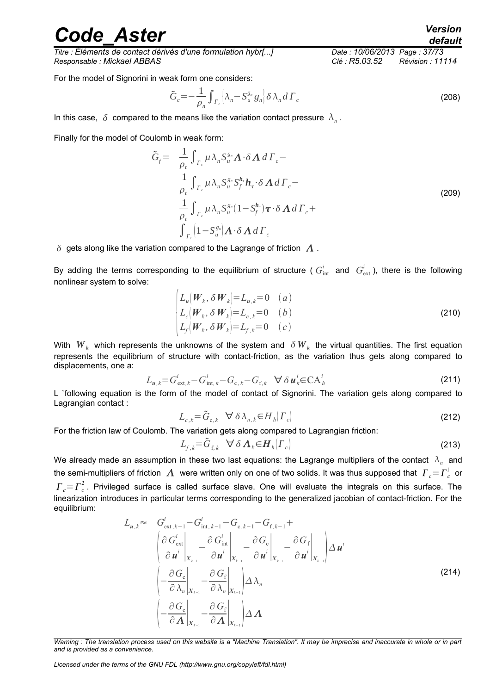*Titre : Éléments de contact dérivés d'une formulation hybr[...] Date : 10/06/2013 Page : 37/73 Responsable : Mickael ABBAS Clé : R5.03.52 Révision : 11114*

<span id="page-36-1"></span><span id="page-36-0"></span>

For the model of Signorini in weak form one considers:

$$
\tilde{G}_c = -\frac{1}{\rho_n} \int_{\Gamma_c} \left[ \lambda_n - S_u^{g_n} g_n \right] \delta \lambda_n d\Gamma_c \tag{208}
$$

In this case,  $\delta$  compared to the means like the variation contact pressure  $\lambda_n$ .

Finally for the model of Coulomb in weak form:

$$
\tilde{G}_f = \frac{1}{\rho_t} \int_{\Gamma_c} \mu \lambda_n S_u^{g_n} \Lambda \cdot \delta \Lambda \, d\Gamma_c -
$$
\n
$$
\frac{1}{\rho_t} \int_{\Gamma_c} \mu \lambda_n S_u^{g_n} S_f^{h_n} h_\tau \cdot \delta \Lambda \, d\Gamma_c -
$$
\n
$$
\frac{1}{\rho_t} \int_{\Gamma_c} \mu \lambda_n S_u^{g_n} (1 - S_f^{h_n}) \tau \cdot \delta \Lambda \, d\Gamma_c +
$$
\n
$$
\int_{\Gamma_c} (1 - S_u^{g_n}) \Lambda \cdot \delta \Lambda \, d\Gamma_c
$$
\n(209)

 $\delta$  gets along like the variation compared to the Lagrange of friction  $\Lambda$ .

By adding the terms corresponding to the equilibrium of structure (  $G^i_{int}$  and  $G^i_{ext}$ ), there is the following nonlinear system to solve:

$$
\begin{cases}\nL_u(\boldsymbol{W}_k, \delta \boldsymbol{W}_k) = L_{u,k} = 0 & (a) \\
L_c(\boldsymbol{W}_k, \delta \boldsymbol{W}_k) = L_{c,k} = 0 & (b) \\
L_f(\boldsymbol{W}_k, \delta \boldsymbol{W}_k) = L_{f,k} = 0 & (c)\n\end{cases}
$$
\n(210)

With  $W_k$  which represents the unknowns of the system and  $\delta\,W_k$  the virtual quantities. The first equation represents the equilibrium of structure with contact-friction, as the variation thus gets along compared to displacements, one a:

$$
L_{u,k} = G_{\text{ext},k}^i - G_{\text{int},k}^i - G_{\text{c},k} - G_{\text{f},k} \quad \forall \delta \, u_k^i \in \text{CA}_h^i \tag{211}
$$

L `following equation is the form of the model of contact of Signorini. The variation gets along compared to Lagrangian contact :

$$
L_{c,k} = \tilde{G}_{c,k} \quad \forall \delta \lambda_{n,k} \in H_h(\Gamma_c)
$$
\n(212)

For the friction law of Coulomb. The variation gets along compared to Lagrangian friction:

$$
L_{f,k} = \tilde{G}_{f,k} \quad \forall \delta \Lambda_k \in H_h(\Gamma_c)
$$
\n(213)

We already made an assumption in these two last equations: the Lagrange multipliers of the contact  $\|\lambda_n\|$  and the semi-multipliers of friction  $~\Lambda~$  were written only on one of two solids. It was thus supposed that  $~\varGamma_c$   $=$   $\varGamma_c^1~$  or  $\Gamma_c$ = $\Gamma_c^2$ . Privileged surface is called surface slave. One will evaluate the integrals on this surface. The linearization introduces in particular terms corresponding to the generalized jacobian of contact-friction. For the equilibrium:

$$
L_{u,k} \approx G_{ext,k-1}^{i} - G_{int,k-1}^{i} - G_{c,k-1} - G_{f,k-1} +
$$
\n
$$
\left| \frac{\partial G_{ext}^{i}}{\partial u^{i}} \bigg|_{X_{k-1}} - \frac{\partial G_{int}^{i}}{\partial u^{i}} \bigg|_{X_{k-1}} - \frac{\partial G_{c}}{\partial u^{i}} \bigg|_{X_{k-1}} - \frac{\partial G_{f}}{\partial u^{i}} \bigg|_{X_{k-1}} \right| \Delta u^{i}
$$
\n
$$
\left| -\frac{\partial G_{c}}{\partial \lambda_{n}} \bigg|_{X_{k-1}} - \frac{\partial G_{f}}{\partial \lambda_{n}} \bigg|_{X_{k-1}} \right| \Delta \lambda_{n}
$$
\n
$$
\left| -\frac{\partial G_{c}}{\partial \Lambda} \bigg|_{X_{k-1}} - \frac{\partial G_{f}}{\partial \Lambda} \bigg|_{X_{k-1}} \right| \Delta \Lambda
$$
\n(214)

*Warning : The translation process used on this website is a "Machine Translation". It may be imprecise and inaccurate in whole or in part and is provided as a convenience.*

*Licensed under the terms of the GNU FDL (http://www.gnu.org/copyleft/fdl.html)*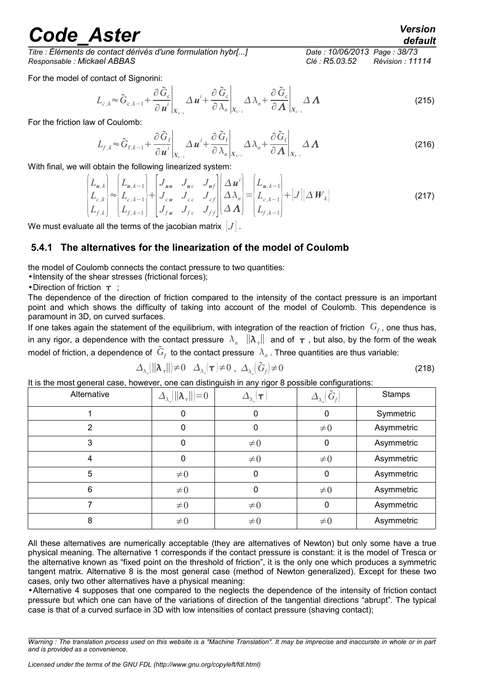*Titre : Éléments de contact dérivés d'une formulation hybr[...] Date : 10/06/2013 Page : 38/73 Responsable : Mickael ABBAS Clé : R5.03.52 Révision : 11114*

For the model of contact of Signorini:

$$
L_{c,k} \approx \tilde{G}_{c,k-1} + \frac{\partial \tilde{G}_c}{\partial u^i} \left|_{X_{k-1}} \Delta u^i + \frac{\partial \tilde{G}_c}{\partial \lambda_n} \right|_{X_{k-1}} \Delta \lambda_n + \frac{\partial \tilde{G}_c}{\partial \Lambda} \left|_{X_{k-1}} \Delta \Lambda \right)
$$
(215)

For the friction law of Coulomb:

$$
L_{f,k} \approx \tilde{G}_{f,k-1} + \frac{\partial \tilde{G}_f}{\partial u^i} \left|_{X_{k-1}} \Delta u^i + \frac{\partial \tilde{G}_f}{\partial \lambda_n} \right|_{X_{k-1}} \Delta \lambda_n + \frac{\partial \tilde{G}_f}{\partial \Lambda} \left|_{X_{k-1}} \Delta \Lambda \right)
$$
(216)

With final, we will obtain the following linearized system:

$$
\begin{cases}\nL_{u,k} \\
L_{c,k} \\
L_{f,k}\n\end{cases}\n\approx\n\begin{bmatrix}\nL_{u,k-1} \\
L_{c,k-1} \\
L_{f,k-1}\n\end{bmatrix} +\n\begin{bmatrix}\nJ_{uu} & J_{uc} & J_{uf} \\
J_{cu} & J_{cc} & J_{cf} \\
J_{fu} & J_{fc} & J_{ff}\n\end{bmatrix}\n\begin{bmatrix}\n\Delta u^i \\
\Delta \lambda_n \\
\Delta \Lambda\n\end{bmatrix} =\n\begin{bmatrix}\nL_{u,k-1} \\
L_{c,k-1} \\
L_{f,k-1}\n\end{bmatrix} + [J][\Delta W_k]\n\tag{217}
$$

We must evaluate all the terms of the jacobian matrix  $|J|$ .

### <span id="page-37-0"></span> **5.4.1 The alternatives for the linearization of the model of Coulomb**

the model of Coulomb connects the contact pressure to two quantities:

•Intensity of the shear stresses (frictional forces);

• Direction of friction  $\tau$  ;

The dependence of the direction of friction compared to the intensity of the contact pressure is an important point and which shows the difficulty of taking into account of the model of Coulomb. This dependence is paramount in 3D, on curved surfaces.

If one takes again the statement of the equilibrium, with integration of the reaction of friction *G<sup>f</sup>* , one thus has, in any rigor, a dependence with the contact pressure  $\lambda_n$   $\|\lambda_{\tau}\|$  and of  $\tau$ , but also, by the form of the weak model of friction, a dependence of  $\,\tilde{G}_f^{}\,$  to the contact pressure  $\,\lambda_n^{}\,$ . Three quantities are thus variable:

$$
\Delta_{\lambda_n}(|\lambda_{\tau}|| \neq 0 \quad \Delta_{\lambda_n}(\tau) \neq 0 \quad \Delta_{\lambda_n}(\tilde{G}_f) \neq 0 \tag{218}
$$

It is the most general case, however, one can distinguish in any rigor 8 possible configurations:

| Alternative | $\Delta_{\lambda_n}(  \boldsymbol{\lambda}_\tau  ) = 0$ | $\Delta_{\lambda_n}(\boldsymbol{\tau})$ | $\Delta_{\lambda_n}[\tilde G_f]$ | Stamps     |
|-------------|---------------------------------------------------------|-----------------------------------------|----------------------------------|------------|
|             | 0                                                       | 0                                       | $\mathbf 0$                      | Symmetric  |
| 2           | 0                                                       | 0                                       | $\neq 0$                         | Asymmetric |
| 3           | $\mathbf 0$                                             | $\neq 0$                                | $\mathbf 0$                      | Asymmetric |
| 4           | 0                                                       | $\neq 0$                                | $\neq 0$                         | Asymmetric |
| 5           | $\neq 0$                                                | 0                                       | $\mathbf 0$                      | Asymmetric |
| 6           | $\neq 0$                                                | 0                                       | $\neq 0$                         | Asymmetric |
|             | $\neq 0$                                                | $\neq 0$                                | 0                                | Asymmetric |
| 8           | $\neq 0$                                                | $\neq 0$                                | $\neq 0$                         | Asymmetric |

All these alternatives are numerically acceptable (they are alternatives of Newton) but only some have a true physical meaning. The alternative 1 corresponds if the contact pressure is constant: it is the model of Tresca or the alternative known as "fixed point on the threshold of friction", it is the only one which produces a symmetric tangent matrix. Alternative 8 is the most general case (method of Newton generalized). Except for these two cases, only two other alternatives have a physical meaning:

•Alternative 4 supposes that one compared to the neglects the dependence of the intensity of friction contact pressure but which one can have of the variations of direction of the tangential directions "abrupt". The typical case is that of a curved surface in 3D with low intensities of contact pressure (shaving contact);

*Warning : The translation process used on this website is a "Machine Translation". It may be imprecise and inaccurate in whole or in part and is provided as a convenience.*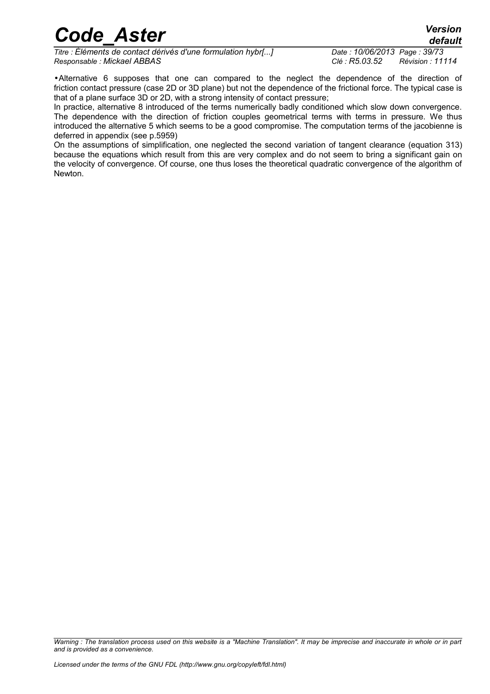*Titre : Éléments de contact dérivés d'une formulation hybr[...] Date : 10/06/2013 Page : 39/73 Responsable : Mickael ABBAS Clé : R5.03.52 Révision : 11114*

•Alternative 6 supposes that one can compared to the neglect the dependence of the direction of friction contact pressure (case 2D or 3D plane) but not the dependence of the frictional force. The typical case is that of a plane surface 3D or 2D, with a strong intensity of contact pressure;

In practice, alternative 8 introduced of the terms numerically badly conditioned which slow down convergence. The dependence with the direction of friction couples geometrical terms with terms in pressure. We thus introduced the alternative 5 which seems to be a good compromise. The computation terms of the jacobienne is deferred in appendix (see p.5[959\)](#page-58-0)

On the assumptions of simplification, one neglected the second variation of tangent clearance (equation [313\)](#page-59-0) because the equations which result from this are very complex and do not seem to bring a significant gain on the velocity of convergence. Of course, one thus loses the theoretical quadratic convergence of the algorithm of Newton.

*Warning : The translation process used on this website is a "Machine Translation". It may be imprecise and inaccurate in whole or in part and is provided as a convenience.*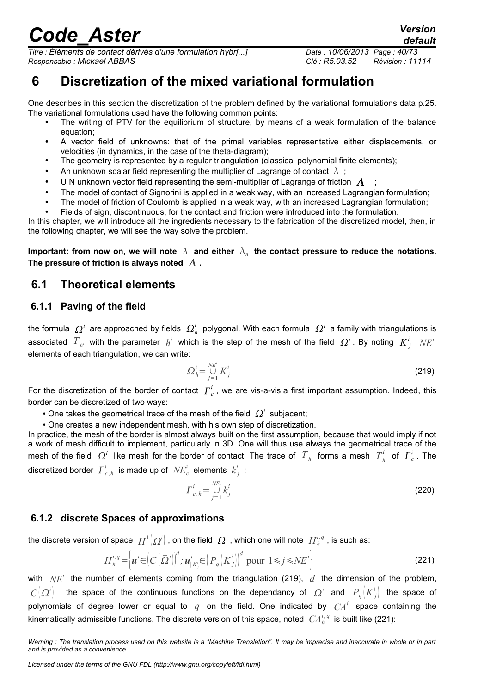*Titre : Éléments de contact dérivés d'une formulation hybr[...] Date : 10/06/2013 Page : 40/73 Responsable : Mickael ABBAS Clé : R5.03.52 Révision : 11114*

## **6 Discretization of the mixed variational formulation**

One describes in this section the discretization of the problem defined by the variational formulations data p[.25.](#page-24-0) The variational formulations used have the following common points:

- The writing of PTV for the equilibrium of structure, by means of a weak formulation of the balance equation;
- A vector field of unknowns: that of the primal variables representative either displacements, or velocities (in dynamics, in the case of the theta-diagram);
- The geometry is represented by a regular triangulation (classical polynomial finite elements);
- An unknown scalar field representing the multiplier of Lagrange of contact  $\lambda$ ;
- U N unknown vector field representing the semi-multiplier of Lagrange of friction  $\Lambda$  ;
- The model of contact of Signorini is applied in a weak way, with an increased Lagrangian formulation;
- The model of friction of Coulomb is applied in a weak way, with an increased Lagrangian formulation;
- Fields of sign, discontinuous, for the contact and friction were introduced into the formulation.

In this chapter, we will introduce all the ingredients necessary to the fabrication of the discretized model, then, in the following chapter, we will see the way solve the problem.

Important: from now on, we will note  $\,\lambda\,$  and either  $\,\lambda_n\,$  the contact pressure to reduce the notations. The pressure of friction is always noted  $\Lambda$  .

## **6.1 Theoretical elements**

### **6.1.1 Paving of the field**

the formula  $\,\varOmega^i\,$  are approached by fields  $\,\varOmega^i_h\,$  polygonal. With each formula  $\,\varOmega^i\,$  a family with triangulations is associated  $T_{h'}$  with the parameter  $h^i$  which is the step of the mesh of the field  $\Omega^i$ . By noting  $K^i_{j}$   $NE^i$ elements of each triangulation, we can write:

<span id="page-39-1"></span>
$$
\Omega_h^i = \bigcup_{j=1}^{NE^i} K_j^i \tag{219}
$$

For the discretization of the border of contact  $\int_{c}^{i}$ , we are vis-a-vis a first important assumption. Indeed, this border can be discretized of two ways:

• One takes the geometrical trace of the mesh of the field  $\Omega^i$  subjacent;

• One creates a new independent mesh, with his own step of discretization.

In practice, the mesh of the border is almost always built on the first assumption, because that would imply if not a work of mesh difficult to implement, particularly in 3D. One will thus use always the geometrical trace of the mesh of the field  $\Omega^i$  like mesh for the border of contact. The trace of  $T_{h^i}$  forms a mesh  $T^F_{h^i}$  of  $T^i_c$ . The discretized border  $\overline{\varGamma}^i_{c,h}$  is made up of  $\overline{\textit{NE}}^i_c$  elements  $\overline{\textit{k}}^i_j$  :

<span id="page-39-0"></span>
$$
\Gamma_{c,h}^i = \bigcup_{j=1}^{N E_c^i} k_j^i \tag{220}
$$

### **6.1.2 discrete Spaces of approximations**

the discrete version of space  $\ H^1\big(\varOmega^i\big)$  , on the field  $\ \varOmega^i$  , which one will note  $\ H_h^{i,q}$  , is such as:

$$
H_h^{i,q} = \left[ \boldsymbol{u}^i \in \left| C\left(\bar{\Omega}^i\right) \right|^d; \boldsymbol{u}_{|K_j^i}^i \in \left| P_q \left( K_j^i \right) \right|^d \text{ pour } 1 \leq j \leq N E^i \right] \tag{221}
$$

with  $NE<sup>i</sup>$  the number of elements coming from the triangulation [\(219\)](#page-39-1),  $d$  the dimension of the problem,  $C(\bar{\Omega}^i)$  the space of the continuous functions on the dependancy of  $\Omega^i$  and  $P_q[K^i_j]$  the space of polynomials of degree lower or equal to  $q$  on the field. One indicated by  $CA^i$  space containing the kinematically admissible functions. The discrete version of this space, noted  $\;CA_{h}^{i,q}\;$  is built like [\(221\)](#page-39-0):

*Warning : The translation process used on this website is a "Machine Translation". It may be imprecise and inaccurate in whole or in part and is provided as a convenience.*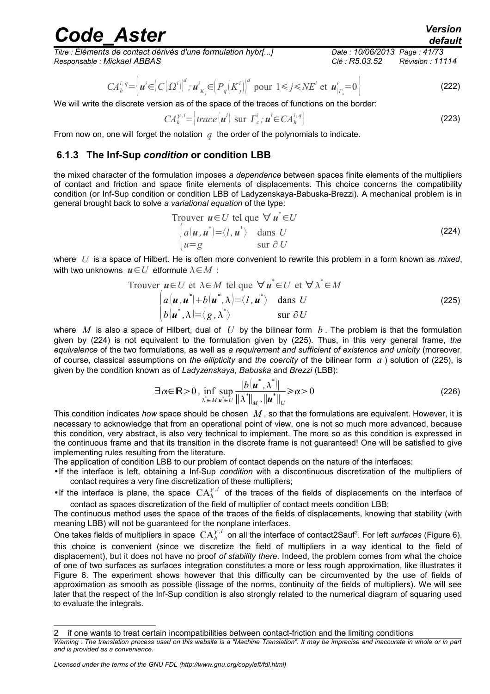*Titre : Éléments de contact dérivés d'une formulation hybr[...] Date : 10/06/2013 Page : 41/73 Responsable : Mickael ABBAS Clé : R5.03.52 Révision : 11114*

$$
CA_h^{i,q} = \left\{ \boldsymbol{u}^i \in \left(C\left(\overline{\Omega}^i\right)\right)^d : \boldsymbol{u}_{|K_j'}^i \in \left(P_q\left(K_j^i\right)\right)^d \text{ pour } 1 \leq j \leq NE^i \text{ et } \boldsymbol{u}_{|T_u'}^i = 0 \right\}
$$
\n(222)

We will write the discrete version as of the space of the traces of functions on the border:

$$
CA_h^{\gamma,i} = \left| \operatorname{trace} \left( \mathbf{u}^i \right) \text{ sur } \Gamma_c^i; \mathbf{u}^i \in CA_h^{i,q} \right| \tag{223}
$$

From now on, one will forget the notation  $q$  the order of the polynomials to indicate.

### **6.1.3 The Inf-Sup** *condition* **or condition LBB**

the mixed character of the formulation imposes *a dependence* between spaces finite elements of the multipliers of contact and friction and space finite elements of displacements. This choice concerns the compatibility condition (or Inf-Sup condition or condition LBB of Ladyzenskaya-Babuska-Brezzi). A mechanical problem is in general brought back to solve *a variational equation* of the type:

Trouver 
$$
u \in U
$$
 tel que  $\forall u^* \in U$ 

\n
$$
\begin{cases}\n a(u, u^*) = \langle I, u^* \rangle & \text{dans } U \\
 u = g & \text{sur } \partial U\n\end{cases}
$$
\n(224)

where *U* is a space of Hilbert. He is often more convenient to rewrite this problem in a form known as *mixed*, with two unknowns  $u \in U$  etformule  $\lambda \in M$ :

\n
$$
\text{Trouver } u \in U \text{ et } \lambda \in M \text{ tel que } \forall u^* \in U \text{ et } \forall \lambda^* \in M
$$
\n

\n\n $\begin{cases}\n a(u, u^*) + b(u^*, \lambda) = \langle l, u^* \rangle & \text{dans } U \\
 b(u^*, \lambda) = \langle g, \lambda^* \rangle & \text{sur } \partial U\n \end{cases}$ \n

\n\n (225)\n

where *M* is also a space of Hilbert, dual of *U* by the bilinear form *b* . The problem is that the formulation given by [\(224\)](#page-40-1) is not equivalent to the formulation given by [\(225\)](#page-40-0). Thus, in this very general frame, *the equivalence* of the two formulations, as well as *a requirement and sufficient of existence and unicity* (moreover, of course, classical assumptions on *the ellipticity* and *the coercity* of the bilinear form *a* ) solution of [\(225\)](#page-40-0), is given by the condition known as of *Ladyzenskaya*, *Babuska* and *Brezzi* (LBB):

$$
\exists \alpha \in \mathbb{R} > 0, \inf_{\lambda^* \in M} \sup_{\mathbf{u}^* \in U} \frac{|b(\mathbf{u}^*, \lambda^*)|}{\|\lambda^*\|_{M} \cdot \|\mathbf{u}^*\|_{U}} \ge \alpha > 0
$$
\n(226)

This condition indicates *how* space should be chosen *M* , so that the formulations are equivalent. However, it is necessary to acknowledge that from an operational point of view, one is not so much more advanced, because this condition, very abstract, is also very technical to implement. The more so as this condition is expressed in the continuous frame and that its transition in the discrete frame is not guaranteed! One will be satisfied to give implementing rules resulting from the literature.

The application of condition LBB to our problem of contact depends on the nature of the interfaces:

•If the interface is left, obtaining a Inf-Sup *condition* with a discontinuous discretization of the multipliers of contact requires a very fine discretization of these multipliers;

•If the interface is plane, the space  $CA_h^{\gamma,i}$  of the traces of the fields of displacements on the interface of contact as spaces discretization of the field of multiplier of contact meets condition LBB;

The continuous method uses the space of the traces of the fields of displacements, knowing that stability (with meaning LBB) will not be guaranteed for the nonplane interfaces.

One takes fields of multipliers in space  $CA_h^{\gamma,i}$  on all the interface of contact[2](#page-40-2)Sauf<sup>2</sup>. For left *surfaces* [\(Figure 6\)](#page-41-0), this choice is convenient (since we discretize the field of multipliers in a way identical to the field of displacement), but it does not have no proof *of stability there*. Indeed, the problem comes from what the choice of one of two surfaces as surfaces integration constitutes a more or less rough approximation, like illustrates it [Figure 6.](#page-41-0) The experiment shows however that this difficulty can be circumvented by the use of fields of approximation as smooth as possible (lissage of the norms, continuity of the fields of multipliers). We will see later that the respect of the Inf-Sup condition is also strongly related to the numerical diagram of squaring used to evaluate the integrals.

<span id="page-40-1"></span><span id="page-40-0"></span>

<span id="page-40-2"></span><sup>2</sup> if one wants to treat certain incompatibilities between contact-friction and the limiting conditions *Warning : The translation process used on this website is a "Machine Translation". It may be imprecise and inaccurate in whole or in part and is provided as a convenience.*

*Licensed under the terms of the GNU FDL (http://www.gnu.org/copyleft/fdl.html)*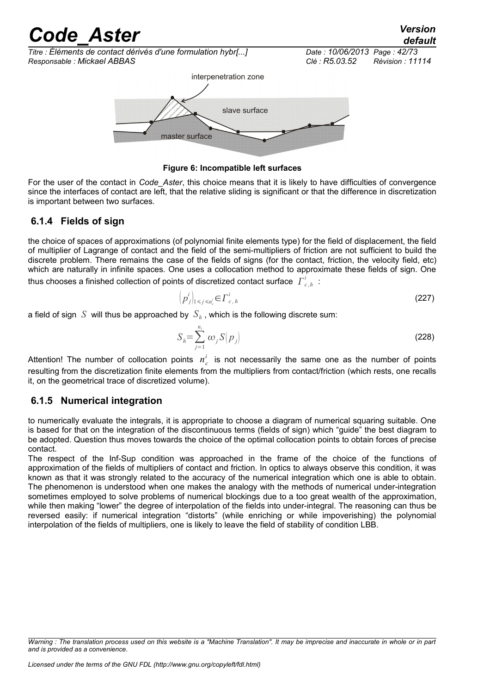*Code\_Aster Version default Titre : Éléments de contact dérivés d'une formulation hybr[...] Date : 10/06/2013 Page : 42/73 Responsable : Mickael ABBAS Clé : R5.03.52 Révision : 11114* interpenetration zone slave surface master surface

<span id="page-41-0"></span>**Figure 6: Incompatible left surfaces**

For the user of the contact in *Code\_Aster*, this choice means that it is likely to have difficulties of convergence since the interfaces of contact are left, that the relative sliding is significant or that the difference in discretization is important between two surfaces.

### <span id="page-41-1"></span> **6.1.4 Fields of sign**

the choice of spaces of approximations (of polynomial finite elements type) for the field of displacement, the field of multiplier of Lagrange of contact and the field of the semi-multipliers of friction are not sufficient to build the discrete problem. There remains the case of the fields of signs (for the contact, friction, the velocity field, etc) which are naturally in infinite spaces. One uses a collocation method to approximate these fields of sign. One thus chooses a finished collection of points of discretized contact surface  $\overline{\varGamma}^i_{c,h}$  :

$$
\left(p^i_j\right)_{1\leq j\leq n_c'}\in\Gamma^i_{c,h} \tag{227}
$$

a field of sign  $|S|$  will thus be approached by  $|S_h|$ , which is the following discrete sum:

$$
S_h = \sum_{j=1}^{n_c} \omega_j S(p_j)
$$
 (228)

Attention! The number of collocation points  $n_c^i$  is not necessarily the same one as the number of points resulting from the discretization finite elements from the multipliers from contact/friction (which rests, one recalls it, on the geometrical trace of discretized volume).

### **6.1.5 Numerical integration**

to numerically evaluate the integrals, it is appropriate to choose a diagram of numerical squaring suitable. One is based for that on the integration of the discontinuous terms (fields of sign) which "guide" the best diagram to be adopted. Question thus moves towards the choice of the optimal collocation points to obtain forces of precise contact.

The respect of the Inf-Sup condition was approached in the frame of the choice of the functions of approximation of the fields of multipliers of contact and friction. In optics to always observe this condition, it was known as that it was strongly related to the accuracy of the numerical integration which one is able to obtain. The phenomenon is understood when one makes the analogy with the methods of numerical under-integration sometimes employed to solve problems of numerical blockings due to a too great wealth of the approximation, while then making "lower" the degree of interpolation of the fields into under-integral. The reasoning can thus be reversed easily: if numerical integration "distorts" (while enriching or while impoverishing) the polynomial interpolation of the fields of multipliers, one is likely to leave the field of stability of condition LBB.

*Warning : The translation process used on this website is a "Machine Translation". It may be imprecise and inaccurate in whole or in part and is provided as a convenience.*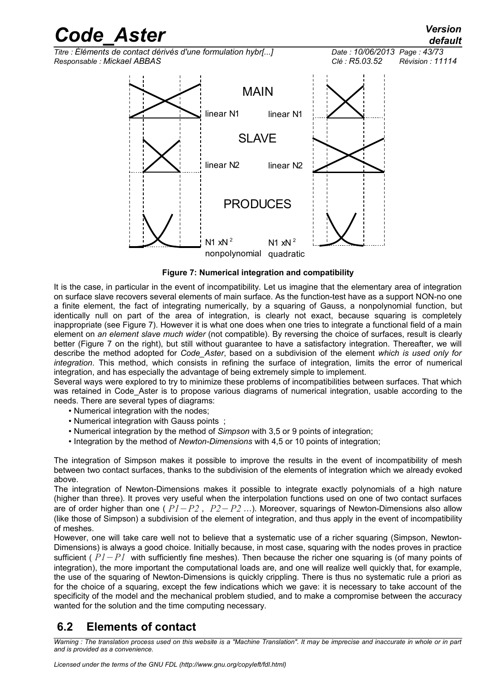*Titre : Éléments de contact dérivés d'une formulation hybr[...] Date : 10/06/2013 Page : 43/73 Responsable : Mickael ABBAS Clé : R5.03.52 Révision : 11114*



<span id="page-42-0"></span>nonpolynomial quadratic

**Figure 7: Numerical integration and compatibility**

It is the case, in particular in the event of incompatibility. Let us imagine that the elementary area of integration on surface slave recovers several elements of main surface. As the function-test have as a support NON-no one a finite element, the fact of integrating numerically, by a squaring of Gauss, a nonpolynomial function, but identically null on part of the area of integration, is clearly not exact, because squaring is completely inappropriate (see [Figure 7\)](#page-42-0). However it is what one does when one tries to integrate a functional field of a main element on *an element slave much wider* (not compatible). By reversing the choice of surfaces, result is clearly better [\(Figure 7](#page-42-0) on the right), but still without guarantee to have a satisfactory integration. Thereafter, we will describe the method adopted for *Code\_Aster*, based on a subdivision of the element *which is used only for integration*. This method, which consists in refining the surface of integration, limits the error of numerical integration, and has especially the advantage of being extremely simple to implement.

Several ways were explored to try to minimize these problems of incompatibilities between surfaces. That which was retained in Code Aster is to propose various diagrams of numerical integration, usable according to the needs. There are several types of diagrams:

- Numerical integration with the nodes;
- Numerical integration with Gauss points ;
- Numerical integration by the method of *Simpson* with 3,5 or 9 points of integration;
- Integration by the method of *Newton-Dimensions* with 4,5 or 10 points of integration;

The integration of Simpson makes it possible to improve the results in the event of incompatibility of mesh between two contact surfaces, thanks to the subdivision of the elements of integration which we already evoked above.

The integration of Newton-Dimensions makes it possible to integrate exactly polynomials of a high nature (higher than three). It proves very useful when the interpolation functions used on one of two contact surfaces are of order higher than one ( *P1*−*P2* , *P2*−*P2* …). Moreover, squarings of Newton-Dimensions also allow (like those of Simpson) a subdivision of the element of integration, and thus apply in the event of incompatibility of meshes.

However, one will take care well not to believe that a systematic use of a richer squaring (Simpson, Newton-Dimensions) is always a good choice. Initially because, in most case, squaring with the nodes proves in practice sufficient ( *P1*−*P1* with sufficiently fine meshes). Then because the richer one squaring is (of many points of integration), the more important the computational loads are, and one will realize well quickly that, for example, the use of the squaring of Newton-Dimensions is quickly crippling. There is thus no systematic rule a priori as for the choice of a squaring, except the few indications which we gave: it is necessary to take account of the specificity of the model and the mechanical problem studied, and to make a compromise between the accuracy wanted for the solution and the time computing necessary.

## **6.2 Elements of contact**

*Warning : The translation process used on this website is a "Machine Translation". It may be imprecise and inaccurate in whole or in part and is provided as a convenience.*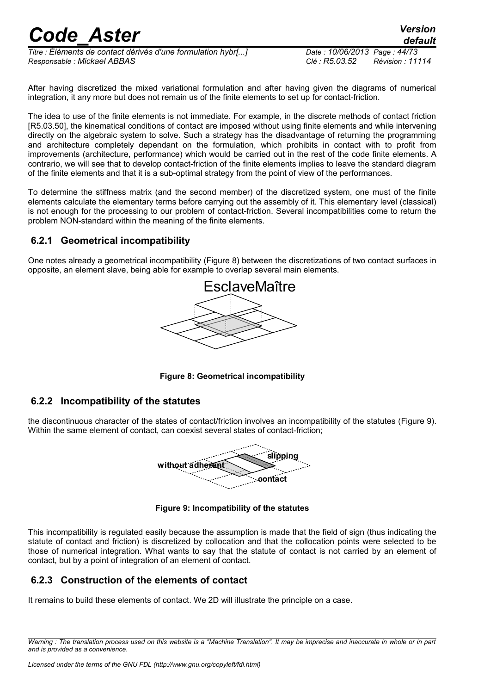*Titre : Éléments de contact dérivés d'une formulation hybr[...] Date : 10/06/2013 Page : 44/73 Responsable : Mickael ABBAS Clé : R5.03.52 Révision : 11114*

After having discretized the mixed variational formulation and after having given the diagrams of numerical integration, it any more but does not remain us of the finite elements to set up for contact-friction.

The idea to use of the finite elements is not immediate. For example, in the discrete methods of contact friction [R5.03.50], the kinematical conditions of contact are imposed without using finite elements and while intervening directly on the algebraic system to solve. Such a strategy has the disadvantage of returning the programming and architecture completely dependant on the formulation, which prohibits in contact with to profit from improvements (architecture, performance) which would be carried out in the rest of the code finite elements. A contrario, we will see that to develop contact-friction of the finite elements implies to leave the standard diagram of the finite elements and that it is a sub-optimal strategy from the point of view of the performances.

To determine the stiffness matrix (and the second member) of the discretized system, one must of the finite elements calculate the elementary terms before carrying out the assembly of it. This elementary level (classical) is not enough for the processing to our problem of contact-friction. Several incompatibilities come to return the problem NON-standard within the meaning of the finite elements.

## **6.2.1 Geometrical incompatibility**

One notes already a geometrical incompatibility [\(Figure 8\)](#page-43-1) between the discretizations of two contact surfaces in opposite, an element slave, being able for example to overlap several main elements.



**Figure 8: Geometrical incompatibility**

### **6.2.2 Incompatibility of the statutes**

the discontinuous character of the states of contact/friction involves an incompatibility of the statutes [\(Figure 9\)](#page-43-0). Within the same element of contact, can coexist several states of contact-friction;

<span id="page-43-1"></span>

<span id="page-43-0"></span>**Figure 9: Incompatibility of the statutes**

This incompatibility is regulated easily because the assumption is made that the field of sign (thus indicating the statute of contact and friction) is discretized by collocation and that the collocation points were selected to be those of numerical integration. What wants to say that the statute of contact is not carried by an element of contact, but by a point of integration of an element of contact.

## **6.2.3 Construction of the elements of contact**

It remains to build these elements of contact. We 2D will illustrate the principle on a case.

*Warning : The translation process used on this website is a "Machine Translation". It may be imprecise and inaccurate in whole or in part and is provided as a convenience.*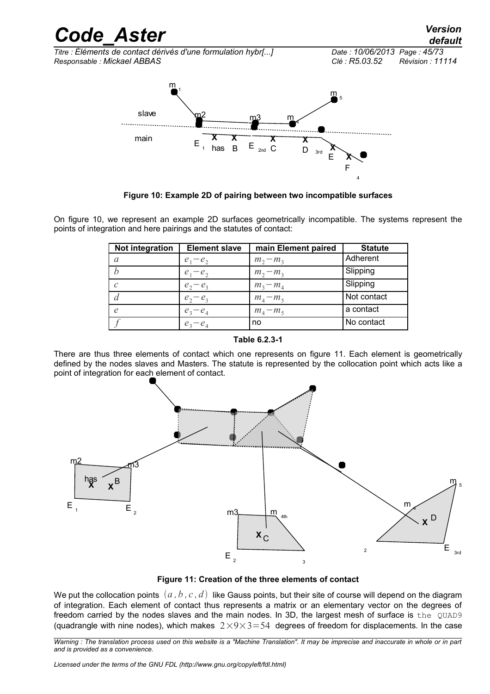*Titre : Éléments de contact dérivés d'une formulation hybr[...] Date : 10/06/2013 Page : 45/73 Responsable : Mickael ABBAS Clé : R5.03.52 Révision : 11114*



<span id="page-44-1"></span>**Figure 10: Example 2D of pairing between two incompatible surfaces**

On figure [10,](#page-44-1) we represent an example 2D surfaces geometrically incompatible. The systems represent the points of integration and here pairings and the statutes of contact:

| Not integration | <b>Element slave</b> | main Element paired | <b>Statute</b> |
|-----------------|----------------------|---------------------|----------------|
| $\alpha$        | $e_1 - e_2$          | $m_2 - m_3$         | Adherent       |
| h               | $e_1-e_2$            | $m_2 - m_3$         | Slipping       |
| $\mathcal{C}$   | $e_2 - e_3$          | $m_3 - m_4$         | Slipping       |
| $\overline{d}$  | $e_2 - e_3$          | $m_4 - m_5$         | Not contact    |
| $\epsilon$      | $e_3 - e_4$          | $m_4 - m_5$         | a contact      |
|                 | $e_3 - e_4$          | no                  | No contact     |

| Table 6.2.3-1 |
|---------------|
|---------------|

There are thus three elements of contact which one represents on figure [11.](#page-44-0) Each element is geometrically defined by the nodes slaves and Masters. The statute is represented by the collocation point which acts like a point of integration for each element of contact.



<span id="page-44-0"></span>**Figure 11: Creation of the three elements of contact**

We put the collocation points  $(a, b, c, d)$  like Gauss points, but their site of course will depend on the diagram of integration. Each element of contact thus represents a matrix or an elementary vector on the degrees of freedom carried by the nodes slaves and the main nodes. In 3D, the largest mesh of surface is the QUAD9 (quadrangle with nine nodes), which makes  $2\times9\times3=54$  degrees of freedom for displacements. In the case

*Warning : The translation process used on this website is a "Machine Translation". It may be imprecise and inaccurate in whole or in part and is provided as a convenience.*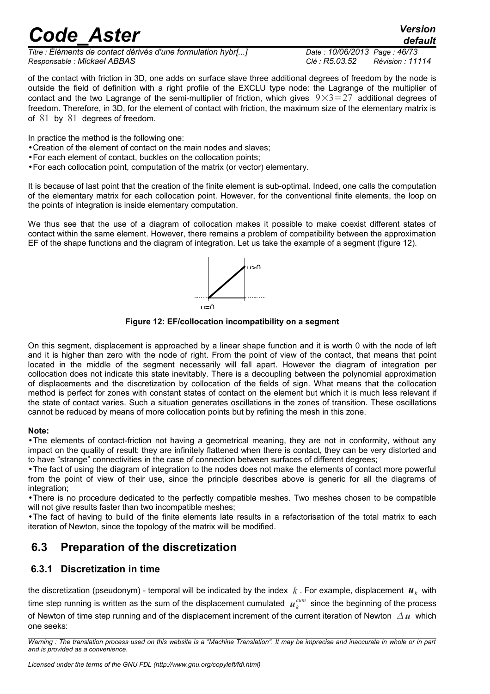*Titre : Éléments de contact dérivés d'une formulation hybr[...] Date : 10/06/2013 Page : 46/73 Responsable : Mickael ABBAS Clé : R5.03.52 Révision : 11114*

*default*

of the contact with friction in 3D, one adds on surface slave three additional degrees of freedom by the node is outside the field of definition with a right profile of the EXCLU type node: the Lagrange of the multiplier of contact and the two Lagrange of the semi-multiplier of friction, which gives  $9 \times 3=27$  additional degrees of freedom. Therefore, in 3D, for the element of contact with friction, the maximum size of the elementary matrix is of 81 by 81 degrees of freedom.

In practice the method is the following one:

- •Creation of the element of contact on the main nodes and slaves;
- •For each element of contact, buckles on the collocation points;
- •For each collocation point, computation of the matrix (or vector) elementary.

It is because of last point that the creation of the finite element is sub-optimal. Indeed, one calls the computation of the elementary matrix for each collocation point. However, for the conventional finite elements, the loop on the points of integration is inside elementary computation.

We thus see that the use of a diagram of collocation makes it possible to make coexist different states of contact within the same element. However, there remains a problem of compatibility between the approximation EF of the shape functions and the diagram of integration. Let us take the example of a segment (figure [12\)](#page-45-0).



<span id="page-45-0"></span>**Figure 12: EF/collocation incompatibility on a segment**

On this segment, displacement is approached by a linear shape function and it is worth 0 with the node of left and it is higher than zero with the node of right. From the point of view of the contact, that means that point located in the middle of the segment necessarily will fall apart. However the diagram of integration per collocation does not indicate this state inevitably. There is a decoupling between the polynomial approximation of displacements and the discretization by collocation of the fields of sign. What means that the collocation method is perfect for zones with constant states of contact on the element but which it is much less relevant if the state of contact varies. Such a situation generates oscillations in the zones of transition. These oscillations cannot be reduced by means of more collocation points but by refining the mesh in this zone.

### **Note:**

•The elements of contact-friction not having a geometrical meaning, they are not in conformity, without any impact on the quality of result: they are infinitely flattened when there is contact, they can be very distorted and to have "strange" connectivities in the case of connection between surfaces of different degrees;

•The fact of using the diagram of integration to the nodes does not make the elements of contact more powerful from the point of view of their use, since the principle describes above is generic for all the diagrams of integration;

•There is no procedure dedicated to the perfectly compatible meshes. Two meshes chosen to be compatible will not give results faster than two incompatible meshes;

•The fact of having to build of the finite elements late results in a refactorisation of the total matrix to each iteration of Newton, since the topology of the matrix will be modified.

## **6.3 Preparation of the discretization**

### <span id="page-45-1"></span> **6.3.1 Discretization in time**

the discretization (pseudonym) - temporal will be indicated by the index  $k$  . For example, displacement  $\bm u_k^+$  with time step running is written as the sum of the displacement cumulated  $\bm{\ u}_k^{cum}$  since the beginning of the process of Newton of time step running and of the displacement increment of the current iteration of Newton  $\Delta u$  which one seeks:

*Warning : The translation process used on this website is a "Machine Translation". It may be imprecise and inaccurate in whole or in part and is provided as a convenience.*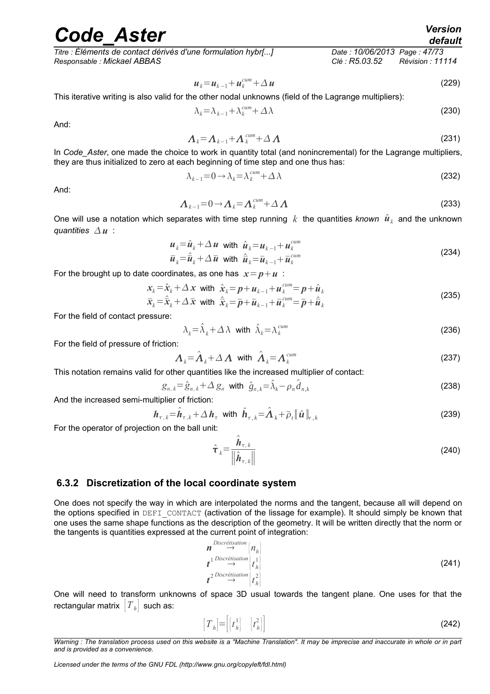*Titre : Éléments de contact dérivés d'une formulation hybr[...] Date : 10/06/2013 Page : 47/73 Responsable : Mickael ABBAS Clé : R5.03.52 Révision : 11114*

$$
u_k = u_{k-1} + u_k^{cum} + \Delta u \tag{229}
$$

This iterative writing is also valid for the other nodal unknowns (field of the Lagrange multipliers):

$$
\lambda_k = \lambda_{k-1} + \lambda_k^{cum} + \Delta \lambda \tag{230}
$$

And:

$$
\Lambda_k = \Lambda_{k-1} + \Lambda_k^{cum} + \Delta \Lambda
$$
\n(231)

In *Code Aster*, one made the choice to work in quantity total (and nonincremental) for the Lagrange multipliers, they are thus initialized to zero at each beginning of time step and one thus has:

$$
\lambda_{k-1} = 0 \to \lambda_k = \lambda_k^{cum} + \Delta \lambda \tag{232}
$$

And:

$$
\Lambda_{k-1} = 0 \to \Lambda_k = \Lambda_k^{cum} + \Delta \Lambda
$$
\n(233)

One will use a notation which separates with time step running  $k$  the quantities *known*  $\hat{\bm{u}}_k$  and the unknown *quantities*  $\Delta$ *u* :

$$
\begin{aligned}\n\overline{\mathbf{u}}_k &= \hat{\mathbf{u}}_k + \Delta \mathbf{u} \quad \text{with} \quad \hat{\mathbf{u}}_k = \mathbf{u}_{k-1} + \mathbf{u}_k^{\text{cum}} \\
\overline{\mathbf{u}}_k &= \hat{\overline{\mathbf{u}}}_k + \Delta \overline{\mathbf{u}} \quad \text{with} \quad \hat{\overline{\mathbf{u}}}_k = \overline{\mathbf{u}}_{k-1} + \overline{\mathbf{u}}_k^{\text{cum}}\n\end{aligned} \tag{234}
$$

For the brought up to date coordinates, as one has  $x = p + u$ :

$$
x_k = \hat{x}_k + \Delta x \text{ with } \hat{x}_k = p + u_{k-1} + u_k^{cum} = p + \hat{u}_k
$$
  
\n
$$
\bar{x}_k = \hat{\bar{x}}_k + \Delta \bar{x} \text{ with } \hat{\bar{x}}_k = \bar{p} + \bar{u}_{k-1} + \bar{u}_k^{cum} = \bar{p} + \hat{\bar{u}}_k
$$
\n(235)

For the field of contact pressure:

$$
\lambda_k = \hat{\lambda}_k + \Delta \lambda \quad \text{with} \quad \hat{\lambda}_k = \lambda_k^{\text{cum}} \tag{236}
$$

For the field of pressure of friction:

$$
\Lambda_k = \hat{\Lambda}_k + \Delta \Lambda \quad \text{with} \quad \hat{\Lambda}_k = \Lambda_k^{\text{cum}} \tag{237}
$$

This notation remains valid for other quantities like the increased multiplier of contact:

$$
g_{n,k} = \hat{g}_{n,k} + \Delta g_n \text{ with } \hat{g}_{n,k} = \hat{\lambda}_k - \rho_n \hat{d}_{n,k}
$$
 (238)

And the increased semi-multiplier of friction:

$$
\boldsymbol{h}_{\tau,k} = \hat{\boldsymbol{h}}_{\tau,k} + \Delta \boldsymbol{h}_{\tau} \quad \text{with} \quad \hat{\boldsymbol{h}}_{\tau,k} = \hat{\boldsymbol{\Lambda}}_k + \overline{\rho}_t \left[ \hat{\boldsymbol{u}} \right]_{\tau,k} \tag{239}
$$

For the operator of projection on the ball unit:

<span id="page-46-2"></span><span id="page-46-1"></span>
$$
\hat{\boldsymbol{\tau}}_{k} = \frac{\hat{\boldsymbol{h}}_{\tau,k}}{\left\| \hat{\boldsymbol{h}}_{\tau,k} \right\|}
$$
\n(240)

#### **6.3.2 Discretization of the local coordinate system**

One does not specify the way in which are interpolated the norms and the tangent, because all will depend on the options specified in DEFI\_CONTACT (activation of the lissage for example). It should simply be known that one uses the same shape functions as the description of the geometry. It will be written directly that the norm or the tangents is quantities expressed at the current point of integration:

$$
\begin{array}{l}\n n \stackrel{Discr\'etisation}{\rightarrow} \left\{ n_h \right\} \\
 t^{1 \stackrel{Discr\'etisation}{\rightarrow} \left\{ t_h^1 \right\}} \\
 t^{2 \stackrel{Discr\'etisation}{\rightarrow} \left\{ t_h^2 \right\}}\n \end{array}
$$
\n(241)

One will need to transform unknowns of space 3D usual towards the tangent plane. One uses for that the rectangular matrix [*Th*] such as:

<span id="page-46-0"></span>
$$
\begin{bmatrix} T_h \end{bmatrix} = \begin{bmatrix} t_h^1 \end{bmatrix} \begin{bmatrix} t_h^2 \end{bmatrix}
$$
 (242)

*Licensed under the terms of the GNU FDL (http://www.gnu.org/copyleft/fdl.html)*

*Warning : The translation process used on this website is a "Machine Translation". It may be imprecise and inaccurate in whole or in part and is provided as a convenience.*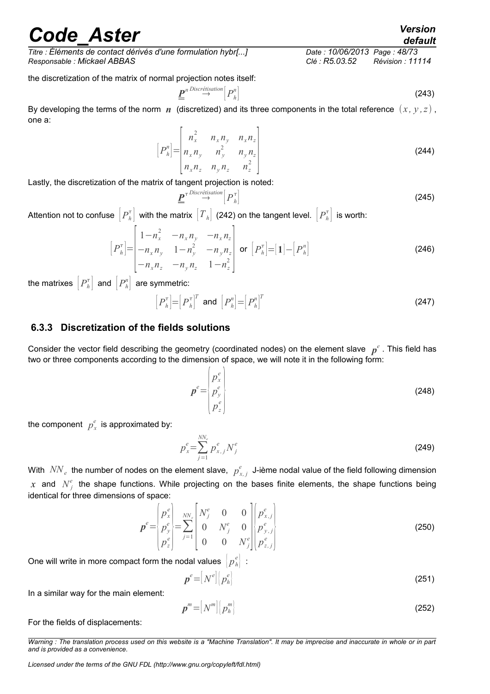*Titre : Éléments de contact dérivés d'une formulation hybr[...] Date : 10/06/2013 Page : 48/73 Responsable : Mickael ABBAS Clé : R5.03.52 Révision : 11114*

the discretization of the matrix of normal projection notes itself:

$$
\underline{\underline{\boldsymbol{P}}}^{n\text{Discr\'etisation}}\Big[P_n^n\Big]
$$
\n(243)

By developing the terms of the norm  $n$  (discretized) and its three components in the total reference  $(x, y, z)$ , one a:

$$
\left[P_n^n\right] = \begin{bmatrix} n_x^2 & n_x n_y & n_x n_z \\ n_x n_y & n_y^2 & n_y n_z \\ n_x n_z & n_y n_z & n_z^2 \end{bmatrix}
$$
 (244)

Lastly, the discretization of the matrix of tangent projection is noted:

$$
\underline{\underline{\boldsymbol{P}}}^{\tau \text{Discr\'etisation}} \Big[ P_h^{\tau} \Big] \tag{245}
$$

Attention not to confuse  $\left|P_h^{\tau}\right|$  with the matrix  $\left|T_{\,h}\right|$  [\(242\)](#page-46-0) on the tangent level.  $\left|P_h^{\tau}\right|$  is worth:

$$
\begin{bmatrix} P_h^{\tau} \end{bmatrix} = \begin{bmatrix} 1 - n_x^2 & -n_x n_y & -n_x n_z \\ -n_x n_y & 1 - n_y^2 & -n_y n_z \\ -n_x n_z & -n_y n_z & 1 - n_z^2 \end{bmatrix} \text{ or } \begin{bmatrix} P_h^{\tau} \end{bmatrix} = \begin{bmatrix} 1 \end{bmatrix} - \begin{bmatrix} P_h^n \end{bmatrix}
$$
 (246)

the matrixes  $\left|P_h^{\tau}\right|$  and  $\left|P_h^{\eta}\right|$  are symmetric:

$$
\left[P_n^{\tau}\right] = \left[P_n^{\tau}\right]^T \text{ and } \left[P_n^n\right] = \left[P_n^n\right]^T \tag{247}
$$

#### **6.3.3 Discretization of the fields solutions**

Consider the vector field describing the geometry (coordinated nodes) on the element slave  $p^e$ . This field has two or three components according to the dimension of space, we will note it in the following form:

> $p^e =$  $\left| \begin{array}{c} \rho \\ n e \end{array} \right|$ *px e*  $p_y^e$  $p_z^e$ (248)

the component  $p_x^e$  is approximated by:

$$
p_x^e = \sum_{j=1}^{NN_e} p_{x,j}^e N_j^e
$$
 (249)

With  $\ket{NN_e}$  the number of nodes on the element slave,  $\ket{p^e_{x,j}}$  J-ième nodal value of the field following dimension  $x$  and  $N_f^e$  the shape functions. While projecting on the bases finite elements, the shape functions being identical for three dimensions of space:

$$
\boldsymbol{p}^{e} = \begin{bmatrix} p_{x}^{e} \\ p_{y}^{e} \\ p_{z}^{e} \end{bmatrix} = \sum_{j=1}^{NN_{e}} \begin{bmatrix} N_{j}^{e} & 0 & 0 \\ 0 & N_{j}^{e} & 0 \\ 0 & 0 & N_{j}^{e} \end{bmatrix} \begin{bmatrix} p_{x,j}^{e} \\ p_{y,j}^{e} \\ p_{z,j}^{e} \end{bmatrix}
$$
(250)

One will write in more compact form the nodal values  $\left|p^e_h\right|$  :

$$
\boldsymbol{p}^e = [N^e][p_h^e]
$$
 (251)

In a similar way for the main element:

$$
p^m = |N^m| \left[ p_n^m \right] \tag{252}
$$

For the fields of displacements:

*Warning : The translation process used on this website is a "Machine Translation". It may be imprecise and inaccurate in whole or in part and is provided as a convenience.*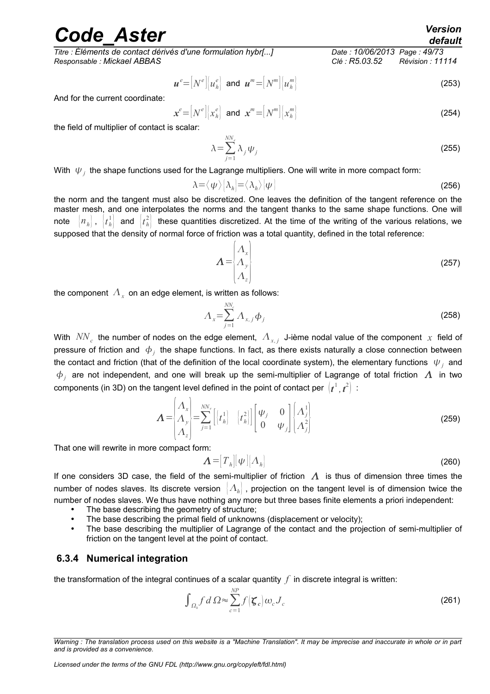*Titre : Éléments de contact dérivés d'une formulation hybr[...] Date : 10/06/2013 Page : 49/73 Responsable : Mickael ABBAS Clé : R5.03.52 Révision : 11114*

$$
\boldsymbol{u}^{e} = [N^e][u^e] \text{ and } \boldsymbol{u}^m = [N^m][u^m] \tag{253}
$$

And for the current coordinate:

$$
\mathbf{x}^{e} = [N^e][x_h^e] \text{ and } \mathbf{x}^m = [N^m][x_h^m]
$$
 (254)

the field of multiplier of contact is scalar:

$$
\lambda = \sum_{j=1}^{N N_e} \lambda_j \psi_j \tag{255}
$$

With  $\ket{\psi_j}$  the shape functions used for the Lagrange multipliers. One will write in more compact form:

$$
\lambda = \langle \psi \rangle [\lambda_h] = \langle \lambda_h \rangle [\psi]
$$
 (256)

the norm and the tangent must also be discretized. One leaves the definition of the tangent reference on the master mesh, and one interpolates the norms and the tangent thanks to the same shape functions. One will note  $\Lambda\setminus\{t_h^1\}$  and  $\Ket{t_h^2}$  these quantities discretized. At the time of the writing of the various relations, we supposed that the density of normal force of friction was a total quantity, defined in the total reference:

$$
\Lambda = \begin{vmatrix} \Lambda_x \\ \Lambda_y \\ \Lambda_z \end{vmatrix}
$$
 (257)

the component  $\,A_{x}\,$  on an edge element, is written as follows:

$$
A_x = \sum_{j=1}^{NN_c} A_{x,j} \phi_j
$$
\n(258)

With  $\ket{NN_c}$  the number of nodes on the edge element,  $\ket{A_{x,j}}$  J-ième nodal value of the component  $\ket{x}$  field of pressure of friction and  $\ket{\phi_j}$  the shape functions. In fact, as there exists naturally a close connection between the contact and friction (that of the definition of the local coordinate system), the elementary functions  $\ket{\psi_j}$  and  $\phi_j$  are not independent, and one will break up the semi-multiplier of Lagrange of total friction  $|\varLambda|$  in two components (in 3D) on the tangent level defined in the point of contact per  $\,left\vert t^{1}\,,t^{2}\right\rangle :$ 

$$
\boldsymbol{\Lambda} = \begin{vmatrix} \Lambda_x \\ \Lambda_y \\ \Lambda_z \end{vmatrix} = \sum_{j=1}^{NN_e} \left[ \begin{bmatrix} t_h^1 \end{bmatrix} \begin{bmatrix} t_h^2 \end{bmatrix} \right] \begin{bmatrix} \boldsymbol{\psi}_j & 0 \\ 0 & \boldsymbol{\psi}_j \end{bmatrix} \begin{bmatrix} \Lambda_j^1 \\ \Lambda_j^2 \end{bmatrix}
$$
(259)

That one will rewrite in more compact form:

$$
\Lambda = [T_h][\psi][\Lambda_h]
$$
 (260)

If one considers 3D case, the field of the semi-multiplier of friction  $\Lambda$  is thus of dimension three times the number of nodes slaves. Its discrete version {*h*} , projection on the tangent level is of dimension twice the number of nodes slaves. We thus have nothing any more but three bases finite elements a priori independent:

- The base describing the geometry of structure;
- The base describing the primal field of unknowns (displacement or velocity);
- The base describing the multiplier of Lagrange of the contact and the projection of semi-multiplier of friction on the tangent level at the point of contact.

#### **6.3.4 Numerical integration**

the transformation of the integral continues of a scalar quantity  $f$  in discrete integral is written:

$$
\int_{\Omega_h} f \, d\Omega \approx \sum_{c=1}^{NP} f \big| \boldsymbol{\zeta}_c \big| \omega_c J_c \tag{261}
$$

<span id="page-48-0"></span>

*Warning : The translation process used on this website is a "Machine Translation". It may be imprecise and inaccurate in whole or in part and is provided as a convenience.*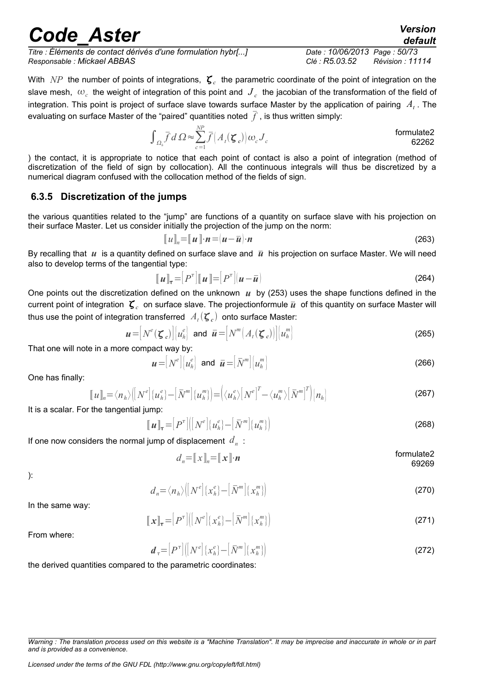| <b>Code Aster</b>                                            | <b>Version</b><br>default          |
|--------------------------------------------------------------|------------------------------------|
| Titre : Éléments de contact dérivés d'une formulation hybr[] | Date: 10/06/2013 Page: 50/73       |
| Responsable : Mickael ABBAS                                  | Clé : R5.03.52<br>Révision : 11114 |

With  $\ NP$  the number of points of integrations,  $\bm{\zeta}_c$  the parametric coordinate of the point of integration on the slave mesh,  $\omega_c$  the weight of integration of this point and  $J_c$  the jacobian of the transformation of the field of integration. This point is project of surface slave towards surface Master by the application of pairing  $|A_t|$ . The evaluating on surface Master of the "paired" quantities noted  $\bar{f}$ , is thus written simply:

$$
\int_{\Omega_{b}} \overline{f} d\Omega \approx \sum_{c=1}^{NP} \overline{f} \Big( A_{t}(\zeta_{c}) \Big) \omega_{c} J_{c}
$$
formulate2  
62262

) the contact, it is appropriate to notice that each point of contact is also a point of integration (method of discretization of the field of sign by collocation). All the continuous integrals will thus be discretized by a numerical diagram confused with the collocation method of the fields of sign.

### **6.3.5 Discretization of the jumps**

the various quantities related to the "jump" are functions of a quantity on surface slave with his projection on their surface Master. Let us consider initially the projection of the jump on the norm:

$$
\llbracket u \rrbracket_n = \llbracket u \rrbracket \cdot n = (u - \overline{u}) \cdot n \tag{263}
$$

By recalling that  $u$  is a quantity defined on surface slave and  $\bar{u}$  his projection on surface Master. We will need also to develop terms of the tangential type:

$$
\llbracket u \rrbracket_{\tau} = \left[ P^{\tau} \right] \llbracket u \rrbracket = \left[ P^{\tau} \right] \llbracket u - \overline{u} \rrbracket \tag{264}
$$

One points out the discretization defined on the unknown *u* by [\(253\)](#page-48-0) uses the shape functions defined in the current point of integration  $\bm{\zeta}_c$  on surface slave. The projectionformule  $\bar u$  of this quantity on surface Master will thus use the point of integration transferred  $\mathcal{A}_t(\boldsymbol{\zeta}_c)$  onto surface Master:

$$
\boldsymbol{u} = [N^e(\boldsymbol{\zeta}_c)] [u_h^e] \text{ and } \boldsymbol{\bar{u}} = [N^m(A_t(\boldsymbol{\zeta}_c))] [u_h^m]
$$
 (265)

That one will note in a more compact way by:

$$
\boldsymbol{u} = [N^e][u_h^e] \text{ and } \boldsymbol{\bar{u}} = [\bar{N}^m][u_h^m]
$$
 (266)

One has finally:

$$
\llbracket u \rrbracket_n = \langle n_h \rangle \llbracket N^e \rrbracket \{ u_h^e \} - \llbracket \overline{N}^m \rrbracket \{ u_h^m \} \rrbracket = \Big| \langle u_h^e \rangle \llbracket N^e \rrbracket^T - \langle u_h^m \rangle \llbracket \overline{N}^m \rrbracket^T \Big| \{ n_h \}
$$
\n(267)

It is a scalar. For the tangential jump:

$$
\llbracket \boldsymbol{u} \rrbracket_{\boldsymbol{\tau}} = \left[ P^{\tau} \right] \left( \left[ N^{e} \right] \left\{ u_{h}^{e} \right\} - \left[ \bar{N}^{m} \right] \left\{ u_{h}^{m} \right\} \right) \tag{268}
$$

If one now considers the normal jump of displacement  $\,d_{n}\,$  :

$$
d_n = [x]_n = [x] \cdot n
$$
 formulate2  
69269

):

$$
d_n = \langle n_h \rangle \Big[ \Big[ N^e \Big] \big[ x_h^e \big] - \Big[ \overline{N}^m \Big] \big[ x_h^m \big] \Big]
$$
 (270)

In the same way:

$$
\llbracket \mathbf{x} \rrbracket_{\boldsymbol{\tau}} = \left[ P^{\tau} \right] \left( \left[ N^e \right] \left\{ \mathbf{x}_h^e \right\} - \left[ \bar{N}^m \right] \left\{ \mathbf{x}_h^m \right\} \right) \tag{271}
$$

From where:

$$
\boldsymbol{d}_{\tau} = \left[P^{\tau}\right] \left(\left[N^{e}\right]\left\{x_{h}^{e}\right\} - \left[\bar{N}^{m}\right]\left\{x_{h}^{m}\right\}\right) \tag{272}
$$

the derived quantities compared to the parametric coordinates:

*Warning : The translation process used on this website is a "Machine Translation". It may be imprecise and inaccurate in whole or in part and is provided as a convenience.*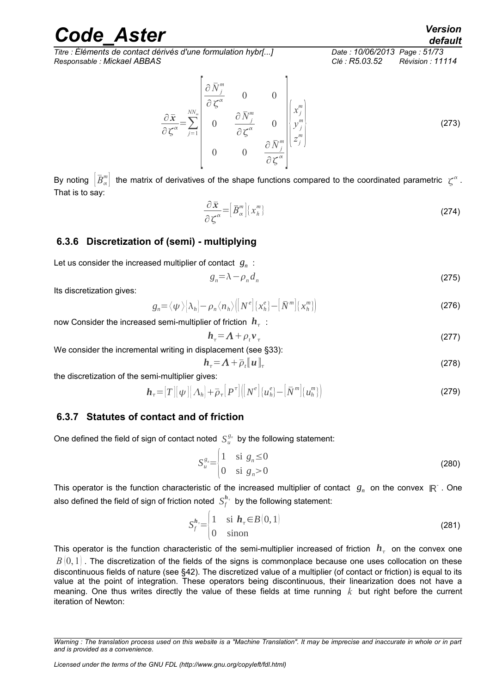*Titre : Éléments de contact dérivés d'une formulation hybr[...] Date : 10/06/2013 Page : 51/73 Responsable : Mickael ABBAS Clé : R5.03.52 Révision : 11114*

$$
\frac{\partial \bar{x}}{\partial \zeta^{\alpha}} = \sum_{j=1}^{NN_m} \begin{bmatrix} \frac{\partial \bar{N}_j^m}{\partial \zeta^{\alpha}} & 0 & 0 \\ 0 & \frac{\partial \bar{N}_j^m}{\partial \zeta^{\alpha}} & 0 \\ 0 & 0 & \frac{\partial \bar{N}_j^m}{\partial \zeta^{\alpha}} \end{bmatrix} \begin{bmatrix} x_j^m \\ y_j^m \\ y_j^m \\ z_j^m \end{bmatrix}
$$
(273)

By noting  $\big|\bar B^m_\alpha\big|$  the matrix of derivatives of the shape functions compared to the coordinated parametric  $\,\zeta^\alpha$  . That is to say:

$$
\frac{\partial \bar{\mathbf{x}}}{\partial \zeta^{\alpha}} = \left[ \bar{B}_{\alpha}^{m} \middle| \{ x_{h}^{m} \} \right]
$$
\n(274)

### **6.3.6 Discretization of (semi) - multiplying**

Let us consider the increased multiplier of contact *g<sup>n</sup>* :

 $g_n = \lambda - \rho_n d_n$ (275)

Its discretization gives:

$$
g_n = \langle \psi \rangle [\lambda_h] - \rho_n \langle n_h \rangle \langle [N^e] \{ x_h^e \} - [\bar{N}^m] \{ x_h^m \} \rangle
$$
 (276)

now Consider the increased semi-multiplier of friction  $\vert\bm{h}_\tau\vert$  :

$$
h_{\tau} = \Lambda + \rho_t v_{\tau} \tag{277}
$$

We consider the incremental writing in displacement (see [§33\)](#page-32-0):

<span id="page-50-0"></span>
$$
h_{\tau} = \Lambda + \bar{\rho}_t \llbracket u \rrbracket_{\tau} \tag{278}
$$

the discretization of the semi-multiplier gives:

$$
\boldsymbol{h}_{\tau} = [T][\boldsymbol{\psi}][\Lambda_h] + \overline{\rho}_{\tau} [P^{\tau}][[N^e][u_h^e] - [\overline{N}^m][u_h^m]] \qquad (279)
$$

### **6.3.7 Statutes of contact and of friction**

One defined the field of sign of contact noted  $S_u^{g_n}$  by the following statement:

$$
S_u^{g_n} = \begin{cases} 1 & \text{si } g_n \le 0 \\ 0 & \text{si } g_n > 0 \end{cases} \tag{280}
$$

This operator is the function characteristic of the increased multiplier of contact  $g_n$  on the convex  $\mathbb{R}^+$ . One also defined the field of sign of friction noted  $\ S^{h_\tau}_f$  by the following statement:

$$
S_f^{h_\tau} = \begin{cases} 1 & \text{si } h_\tau \in B(0,1) \\ 0 & \text{sinon} \end{cases} \tag{281}
$$

This operator is the function characteristic of the semi-multiplier increased of friction  $h_{\tau}$  on the convex one  $B(0,1)$ . The discretization of the fields of the signs is commonplace because one uses collocation on these discontinuous fields of nature (see [§42\)](#page-41-1). The discretized value of a multiplier (of contact or friction) is equal to its value at the point of integration. These operators being discontinuous, their linearization does not have a meaning. One thus writes directly the value of these fields at time running *k* but right before the current iteration of Newton:

*Warning : The translation process used on this website is a "Machine Translation". It may be imprecise and inaccurate in whole or in part and is provided as a convenience.*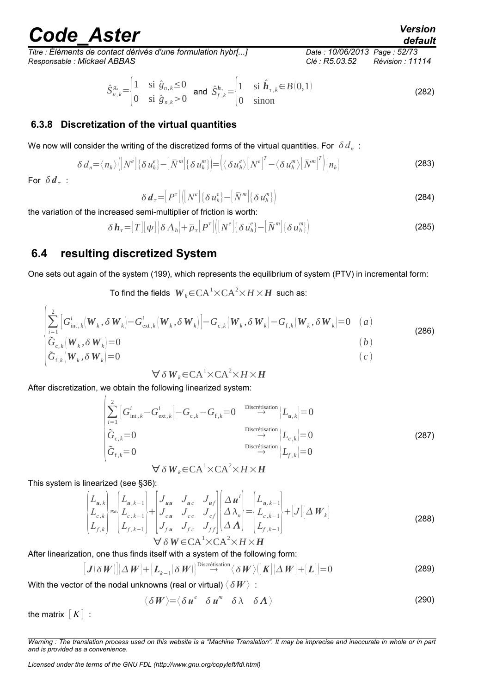*Titre : Éléments de contact dérivés d'une formulation hybr[...] Date : 10/06/2013 Page : 52/73 Responsable : Mickael ABBAS Clé : R5.03.52 Révision : 11114*

$$
\hat{S}_{u,k}^{g_n} = \begin{cases} 1 & \text{si } \hat{g}_{n,k} \le 0 \\ 0 & \text{si } \hat{g}_{n,k} > 0 \end{cases} \text{ and } \hat{S}_{f,k}^{h_\tau} = \begin{cases} 1 & \text{si } \hat{h}_{\tau,k} \in B(0,1) \\ 0 & \text{sinon} \end{cases} \tag{282}
$$

### **6.3.8 Discretization of the virtual quantities**

We now will consider the writing of the discretized forms of the virtual quantities. For  $\,\delta\,d_{_n}\,$  :

$$
\delta d_n = \langle n_h \rangle \left( \left[ N^e \right] \left[ \delta u_h^e \right] - \left[ \overline{N}^m \right] \left[ \delta u_h^m \right] \right) = \left( \langle \delta u_h^e \rangle \left[ N^e \right]^T - \langle \delta u_h^m \rangle \left[ \overline{N}^m \right]^T \right) \left[ n_h \right] \tag{283}
$$

For  $\delta \textit{\textbf{d}}_{\tau}$  :

$$
\delta d_{\tau} = [P^{\tau}][[N^e][\delta u_h^e] - [\bar{N}^m][\delta u_h^m]\big)
$$
\n(284)

the variation of the increased semi-multiplier of friction is worth:

$$
\delta \mathbf{h}_{\tau} = [T][\psi] [\delta \Lambda_h] + \overline{\rho}_{\tau} [P^{\tau}] ([N^e] [\delta u_h^e] - [\overline{N}^m] [\delta u_h^m])
$$
\n(285)

## **6.4 resulting discretized System**

One sets out again of the system [\(199\)](#page-32-1), which represents the equilibrium of system (PTV) in incremental form:

To find the fields  $W_k \in CA^1 \times CA^2 \times H \times H$  such as:

$$
\begin{cases}\n\sum_{i=1}^{2} \left[ G_{\text{int},k}^{i} \left( \boldsymbol{W}_{k}, \delta \boldsymbol{W}_{k} \right) - G_{\text{ext},k}^{i} \left( \boldsymbol{W}_{k}, \delta \boldsymbol{W}_{k} \right) \right] - G_{\text{c},k} \left( \boldsymbol{W}_{k}, \delta \boldsymbol{W}_{k} \right) - G_{\text{f},k} \left( \boldsymbol{W}_{k}, \delta \boldsymbol{W}_{k} \right) = 0 & (a) \\
\tilde{G}_{\text{c},k} \left( \boldsymbol{W}_{k}, \delta \boldsymbol{W}_{k} \right) = 0 & (b) \\
\tilde{G}_{\text{f},k} \left( \boldsymbol{W}_{k}, \delta \boldsymbol{W}_{k} \right) = 0 & (c)\n\end{cases}
$$
\n(286)

<span id="page-51-1"></span> $\forall \delta W_k \in CA^1 \times CA^2 \times H \times H$ 

After discretization, we obtain the following linearized system:

$$
\begin{vmatrix}\n\sum_{i=1}^{2} \left[ G_{\text{int},k}^{i} - G_{\text{ext},k}^{i} \right] - G_{\text{c},k} - G_{\text{f},k} = 0 & \stackrel{\text{Discr\'eitsation}}{\rightarrow} \left[ L_{u,k} \right] = 0 \\
\tilde{G}_{\text{c},k} = 0 & \stackrel{\text{Discr\'eitsation}}{\rightarrow} \left[ L_{c,k} \right] = 0 \\
\tilde{G}_{\text{f},k} = 0 & \stackrel{\text{Discr\'eitsation}}{\rightarrow} \left[ L_{f,k} \right] = 0\n\end{vmatrix}
$$
\n
$$
\forall \delta \mathbf{W}_{k} \in \mathbf{CA}^{1} \times \mathbf{CA}^{2} \times \mathbf{H} \times \mathbf{H}
$$
\n(287)

This system is linearized (see [§36\)](#page-35-0):

$$
\begin{cases}\nL_{u,k}\n\\ L_{c,k}\n\\ L_{f,k}\n\end{cases}\n\approx\n\begin{cases}\nL_{u,k-1}\n\\ L_{c,k-1}\n\\ L_{f,k-1}\n\end{cases} +\n\begin{cases}\nJ_{uu} & J_{uc} & J_{uf} \\
J_{cu} & J_{cc} & J_{cf} \\
J_{fu} & J_{fc} & J_{ff} \\
J_{fu} & J_{fc} & J_{ff} \\
J_{fv} & J_{fv} \\
J_{fv} & J_{fv} \\
J_{fv} & J_{fv}\n\end{cases} =\n\begin{cases}\nL_{u,k-1}\n\\ L_{c,k-1}\n\\ L_{f,k-1}\n\end{cases} +\n[J|\Delta W_k]\n\\
$$
\n
$$
\forall \delta W \in \text{CA}^1 \times \text{CA}^2 \times H \times H\n\end{cases} \tag{288}
$$

After linearization, one thus finds itself with a system of the following form:

$$
[\boldsymbol{J}(\delta \boldsymbol{W})][\Delta \boldsymbol{W}] + [\boldsymbol{L}_{k-1}(\delta \boldsymbol{W})]^{\text{Discrétisation}} \langle \delta \boldsymbol{W} \rangle ([\boldsymbol{K}] \langle \Delta \boldsymbol{W} | + [\boldsymbol{L}] = 0 \tag{289}
$$

With the vector of the nodal unknowns (real or virtual)  $\langle \delta W \rangle$ :

 $\langle \delta W \rangle = \langle \delta u^e \quad \delta u^m \quad \delta \lambda \quad \delta \Lambda \rangle$  (290)

the matrix  $[K]$ :

<span id="page-51-0"></span>

*Warning : The translation process used on this website is a "Machine Translation". It may be imprecise and inaccurate in whole or in part and is provided as a convenience.*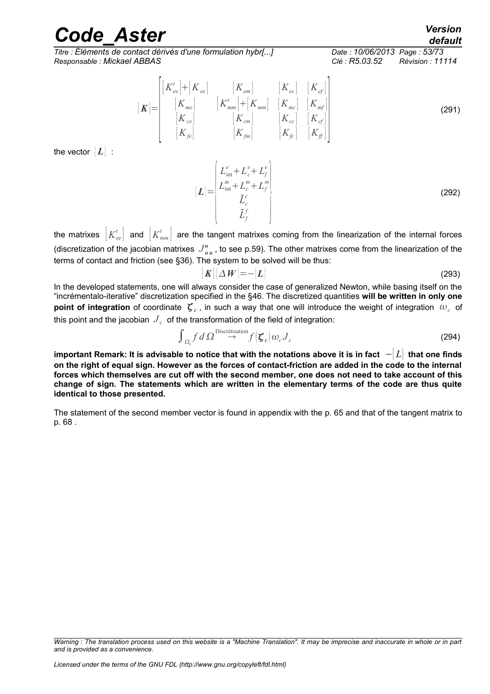*Titre : Éléments de contact dérivés d'une formulation hybr[...] Date : 10/06/2013 Page : 53/73 Responsable : Mickael ABBAS Clé : R5.03.52 Clé : R5.03.52* 

> $| K | =$  $\begin{matrix} \phantom{-} & \phantom{-} & \phantom{-} & \phantom{-} \\ \phantom{-} & \phantom{-} & \phantom{-} & \phantom{-} \\ \phantom{-} & \phantom{-} & \phantom{-} & \phantom{-} \end{matrix}$  $\begin{bmatrix} K_{ee}^t \end{bmatrix} + \begin{bmatrix} K_{ee} \end{bmatrix}$   $\begin{bmatrix} K_{en} \end{bmatrix}$   $\begin{bmatrix} K_{ec} \end{bmatrix}$   $\begin{bmatrix} K_{ef} \end{bmatrix}$  $[K_{me}]$   $[K_{mm}^t]+[K_{mm}^t]$   $[K_{mc}^t]$   $[K_{mf}^t]$  $|K_{ce}|$   $|K_{cm}|$   $|K_{cc}|$   $|K_{cf}|$  $\begin{bmatrix} K_{fe} \ K_{fe} \end{bmatrix}$   $\begin{bmatrix} K_{fn} \ K_{fn} \end{bmatrix}$   $\begin{bmatrix} K_{fc} \ K_{fp} \end{bmatrix}$ (291)

the vector  $|L|$  :

$$
[\boldsymbol{L}] = \begin{pmatrix} L_{int}^{e} + L_{c}^{e} + L_{f}^{e} \\ L_{int}^{m} + L_{c}^{m} + L_{f}^{m} \\ \tilde{L}_{c}^{e} \\ \tilde{L}_{f}^{f} \end{pmatrix}
$$
(292)

the matrixes  $\left|K_{ee}^t\right|$  and  $\left|K_{mm}^t\right|$  are the tangent matrixes coming from the linearization of the internal forces (discretization of the jacobian matrixes  $J_{uu}^u$ , to see p[.59\)](#page-58-1). The other matrixes come from the linearization of the terms of contact and friction (see [§36\)](#page-35-0). The system to be solved will be thus:

$$
|K||\Delta W| = -|L| \tag{293}
$$

In the developed statements, one will always consider the case of generalized Newton, while basing itself on the "incrémentalo-iterative" discretization specified in the [§46.](#page-45-1) The discretized quantities **will be written in only one** point of integration of coordinate  $\zeta_c$ , in such a way that one will introduce the weight of integration  $\omega_c$  of this point and the jacobian  $\, J_{\,c} \,$  of the transformation of the field of integration:

$$
\int_{\Omega_{\hbar}} f \, d\Omega^{\text{Discr\'etisation}} f(\zeta_c) \omega_c J_c \tag{294}
$$

**important Remark: It is advisable to notice that with the notations above it is in fact** −[ *L*] **that one finds on the right of equal sign. However as the forces of contact-friction are added in the code to the internal forces which themselves are cut off with the second member, one does not need to take account of this change of sign. The statements which are written in the elementary terms of the code are thus quite identical to those presented.**

The statement of the second member vector is found in appendix with the p. [65](#page-64-0) and that of the tangent matrix to p. [68](#page-67-0) .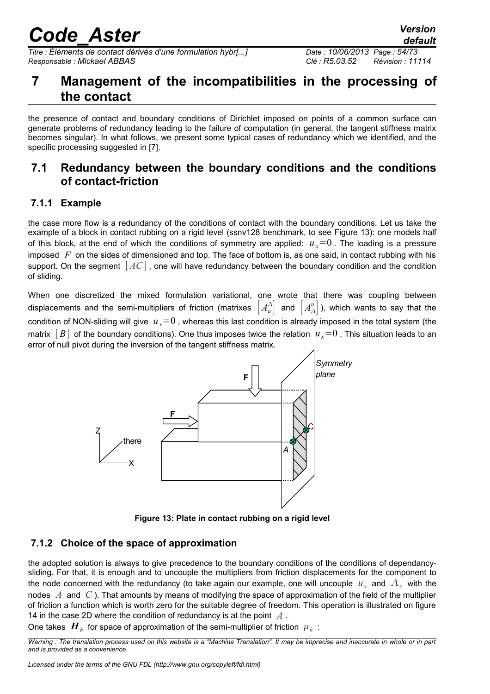*Titre : Éléments de contact dérivés d'une formulation hybr[...] Date : 10/06/2013 Page : 54/73 Responsable : Mickael ABBAS Clé : R5.03.52 Révision : 11114*

## **7 Management of the incompatibilities in the processing of the contact**

the presence of contact and boundary conditions of Dirichlet imposed on points of a common surface can generate problems of redundancy leading to the failure of computation (in general, the tangent stiffness matrix becomes singular). In what follows, we present some typical cases of redundancy which we identified, and the specific processing suggested in [\[7\]](#page-56-0).

## **7.1 Redundancy between the boundary conditions and the conditions of contact-friction**

## **7.1.1 Example**

the case more flow is a redundancy of the conditions of contact with the boundary conditions. Let us take the example of a block in contact rubbing on a rigid level (ssnv128 benchmark, to see [Figure 13\)](#page-53-0): one models half of this block, at the end of which the conditions of symmetry are applied:  $u_x=0$ . The loading is a pressure imposed *F* on the sides of dimensioned and top. The face of bottom is, as one said, in contact rubbing with his support. On the segment [ *AC*] , one will have redundancy between the boundary condition and the condition of sliding.

When one discretized the mixed formulation variational, one wrote that there was coupling between displacements and the semi-multipliers of friction (matrixes  $\left|A_\mu^A\right|$  and  $\left|A_\Lambda^\mu\right|$ ), which wants to say that the condition of NON-sliding will give  $u_x=0$ , whereas this last condition is already imposed in the total system (the matrix  $[B]$  of the boundary conditions). One thus imposes twice the relation  $u_x=0$ . This situation leads to an error of null pivot during the inversion of the tangent stiffness matrix.



<span id="page-53-0"></span>**Figure 13: Plate in contact rubbing on a rigid level**

## **7.1.2 Choice of the space of approximation**

the adopted solution is always to give precedence to the boundary conditions of the conditions of dependancysliding. For that, it is enough and to uncouple the multipliers from friction displacements for the component to the node concerned with the redundancy (to take again our example, one will uncouple  $u_x$  and  $\varLambda_x$  with the nodes *A* and *C* ). That amounts by means of modifying the space of approximation of the field of the multiplier of friction a function which is worth zero for the suitable degree of freedom. This operation is illustrated on figure [14](#page-54-0) in the case 2D where the condition of redundancy is at the point *A* .

One takes  $\left| \bm{H}_{h} \right|$  for space of approximation of the semi-multiplier of friction  $\left| \mu_h \right|$ :

*Warning : The translation process used on this website is a "Machine Translation". It may be imprecise and inaccurate in whole or in part and is provided as a convenience.*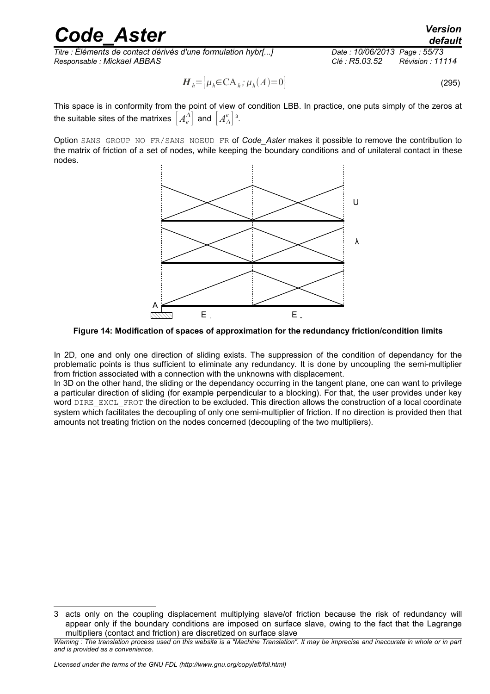*Titre : Éléments de contact dérivés d'une formulation hybr[...] Date : 10/06/2013 Page : 55/73 Responsable : Mickael ABBAS Clé : R5.03.52 Révision : 11114*

$$
H_{h} = \left[ \mu_{h} \in \text{CA}_{h}; \mu_{h}(A) = 0 \right] \tag{295}
$$

This space is in conformity from the point of view of condition LBB. In practice, one puts simply of the zeros at the suitable sites of the matrixes  $\left| \,A^{\varLambda}_{e}\right|$  and  $\left| \,A^e_{\varLambda}\right|$   $^{3}.$  $^{3}.$  $^{3}.$ 

Option SANS\_GROUP\_NO\_FR/SANS\_NOEUD\_FR of *Code\_Aster* makes it possible to remove the contribution to the matrix of friction of a set of nodes, while keeping the boundary conditions and of unilateral contact in these nodes.



<span id="page-54-0"></span>**Figure 14: Modification of spaces of approximation for the redundancy friction/condition limits**

In 2D, one and only one direction of sliding exists. The suppression of the condition of dependancy for the problematic points is thus sufficient to eliminate any redundancy. It is done by uncoupling the semi-multiplier from friction associated with a connection with the unknowns with displacement.

In 3D on the other hand, the sliding or the dependancy occurring in the tangent plane, one can want to privilege a particular direction of sliding (for example perpendicular to a blocking). For that, the user provides under key word DIRE\_EXCL\_FROT the direction to be excluded. This direction allows the construction of a local coordinate system which facilitates the decoupling of only one semi-multiplier of friction. If no direction is provided then that amounts not treating friction on the nodes concerned (decoupling of the two multipliers).

<span id="page-54-1"></span><sup>3</sup> acts only on the coupling displacement multiplying slave/of friction because the risk of redundancy will appear only if the boundary conditions are imposed on surface slave, owing to the fact that the Lagrange multipliers (contact and friction) are discretized on surface slave

*Warning : The translation process used on this website is a "Machine Translation". It may be imprecise and inaccurate in whole or in part and is provided as a convenience.*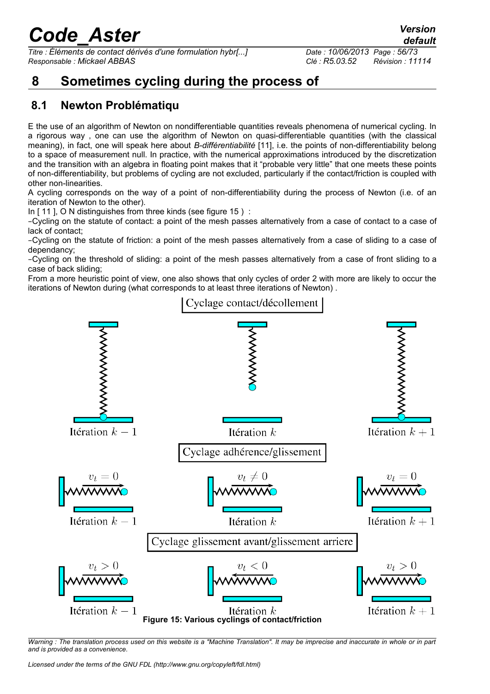*Titre : Éléments de contact dérivés d'une formulation hybr[...] Date : 10/06/2013 Page : 56/73 Responsable : Mickael ABBAS Clé : R5.03.52 Révision : 11114*

## **8 Sometimes cycling during the process of**

## **8.1 Newton Problématiqu**

E the use of an algorithm of Newton on nondifferentiable quantities reveals phenomena of numerical cycling. In a rigorous way , one can use the algorithm of Newton on quasi-differentiable quantities (with the classical meaning), in fact, one will speak here about *B-différentiabilité* [\[11\]](#page-57-0), i.e. the points of non-differentiability belong to a space of measurement null. In practice, with the numerical approximations introduced by the discretization and the transition with an algebra in floating point makes that it "probable very little" that one meets these points of non-differentiability, but problems of cycling are not excluded, particularly if the contact/friction is coupled with other non-linearities.

A cycling corresponds on the way of a point of non-differentiability during the process of Newton (i.e. of an iteration of Newton to the other).

In [ [11](#page-57-0) ], O N distinguishes from three kinds (see figure [15](#page-55-0) ) :

–Cycling on the statute of contact: a point of the mesh passes alternatively from a case of contact to a case of lack of contact;

–Cycling on the statute of friction: a point of the mesh passes alternatively from a case of sliding to a case of dependancy;

–Cycling on the threshold of sliding: a point of the mesh passes alternatively from a case of front sliding to a case of back sliding;

From a more heuristic point of view, one also shows that only cycles of order 2 with more are likely to occur the iterations of Newton during (what corresponds to at least three iterations of Newton) .



<span id="page-55-0"></span>*Warning : The translation process used on this website is a "Machine Translation". It may be imprecise and inaccurate in whole or in part and is provided as a convenience.*

*Licensed under the terms of the GNU FDL (http://www.gnu.org/copyleft/fdl.html)*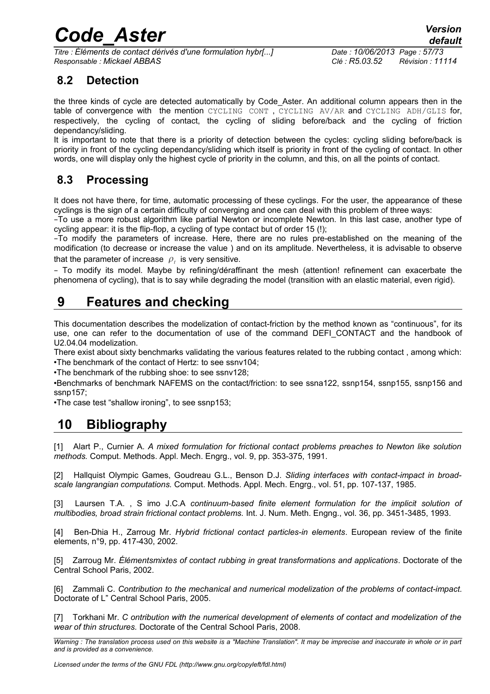*Titre : Éléments de contact dérivés d'une formulation hybr[...] Date : 10/06/2013 Page : 57/73 Responsable : Mickael ABBAS Clé : R5.03.52 Révision : 11114*

## **8.2 Detection**

the three kinds of cycle are detected automatically by Code\_Aster. An additional column appears then in the table of convergence with the mention CYCLING CONT , CYCLING AV/AR and CYCLING ADH/GLIS for, respectively, the cycling of contact, the cycling of sliding before/back and the cycling of friction dependancy/sliding.

It is important to note that there is a priority of detection between the cycles: cycling sliding before/back is priority in front of the cycling dependancy/sliding which itself is priority in front of the cycling of contact. In other words, one will display only the highest cycle of priority in the column, and this, on all the points of contact.

## **8.3 Processing**

It does not have there, for time, automatic processing of these cyclings. For the user, the appearance of these cyclings is the sign of a certain difficulty of converging and one can deal with this problem of three ways:

–To use a more robust algorithm like partial Newton or incomplete Newton. In this last case, another type of cycling appear: it is the flip-flop, a cycling of type contact but of order 15 (!);

–To modify the parameters of increase. Here, there are no rules pre-established on the meaning of the modification (to decrease or increase the value ) and on its amplitude. Nevertheless, it is advisable to observe that the parameter of increase  $\rho_{t}$  is very sensitive.

– To modify its model. Maybe by refining/déraffinant the mesh (attention! refinement can exacerbate the phenomena of cycling), that is to say while degrading the model (transition with an elastic material, even rigid).

## **9 Features and checking**

This documentation describes the modelization of contact-friction by the method known as "continuous", for its use, one can refer to the documentation of use of the command DEFI CONTACT and the handbook of U2.04.04 modelization.

There exist about sixty benchmarks validating the various features related to the rubbing contact , among which: •The benchmark of the contact of Hertz: to see ssnv104;

•The benchmark of the rubbing shoe: to see ssnv128;

•Benchmarks of benchmark NAFEMS on the contact/friction: to see ssna122, ssnp154, ssnp155, ssnp156 and ssnp157;

•The case test "shallow ironing", to see ssnp153;

## **10 Bibliography**

[1] Alart P., Curnier A. *A mixed formulation for frictional contact problems preaches to Newton like solution methods.* Comput. Methods. Appl. Mech. Engrg., vol. 9, pp. 353-375, 1991.

[2] Hallquist Olympic Games, Goudreau G.L., Benson D.J. *Sliding interfaces with contact-impact in broadscale langrangian computations.* Comput. Methods. Appl. Mech. Engrg., vol. 51, pp. 107-137, 1985.

[3] Laursen T.A. , S imo J.C.A *continuum-based finite element formulation for the implicit solution of multibodies, broad strain frictional contact problems.* Int. J. Num. Meth. Engng., vol. 36, pp. 3451-3485, 1993.

[4] Ben-Dhia H., Zarroug Mr. *Hybrid frictional contact particles-in elements*. European review of the finite elements, n°9, pp. 417-430, 2002.

[5] Zarroug Mr. *Élémentsmixtes of contact rubbing in great transformations and applications*. Doctorate of the Central School Paris, 2002.

[6] Zammali C. *Contribution to the mechanical and numerical modelization of the problems of contact-impact.* Doctorate of L" Central School Paris, 2005.

<span id="page-56-0"></span>[7] Torkhani Mr. *C ontribution with the numerical development of elements of contact and modelization of the wear of thin structures.* Doctorate of the Central School Paris, 2008.

*Warning : The translation process used on this website is a "Machine Translation". It may be imprecise and inaccurate in whole or in part and is provided as a convenience.*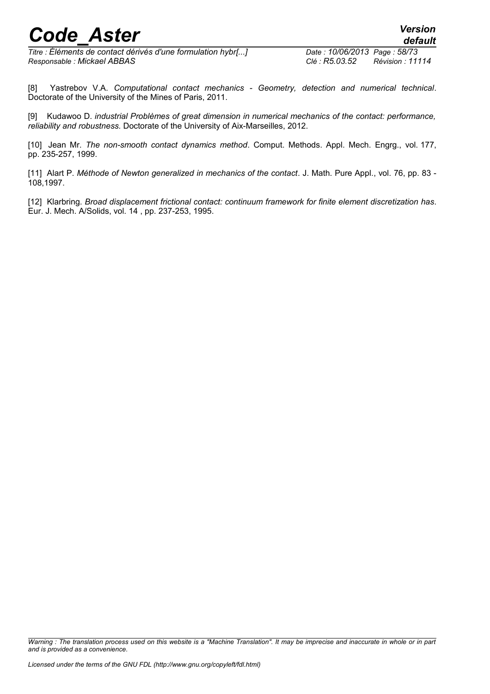*Titre : Éléments de contact dérivés d'une formulation hybr[...] Date : 10/06/2013 Page : 58/73 Responsable : Mickael ABBAS Clé : R5.03.52 Révision : 11114*

[8] Yastrebov V.A. *Computational contact mechanics - Geometry, detection and numerical technical*. Doctorate of the University of the Mines of Paris, 2011.

[9] Kudawoo D. *industrial Problèmes of great dimension in numerical mechanics of the contact: performance, reliability and robustness.* Doctorate of the University of Aix-Marseilles, 2012.

[10] Jean Mr. *The non-smooth contact dynamics method*. Comput. Methods. Appl. Mech. Engrg., vol. 177, pp. 235-257, 1999.

<span id="page-57-0"></span>[11] Alart P. *Méthode of Newton generalized in mechanics of the contact*. J. Math. Pure Appl., vol. 76, pp. 83 - 108,1997.

[12] Klarbring. *Broad displacement frictional contact: continuum framework for finite element discretization has*. Eur. J. Mech. A/Solids, vol. 14 , pp. 237-253, 1995.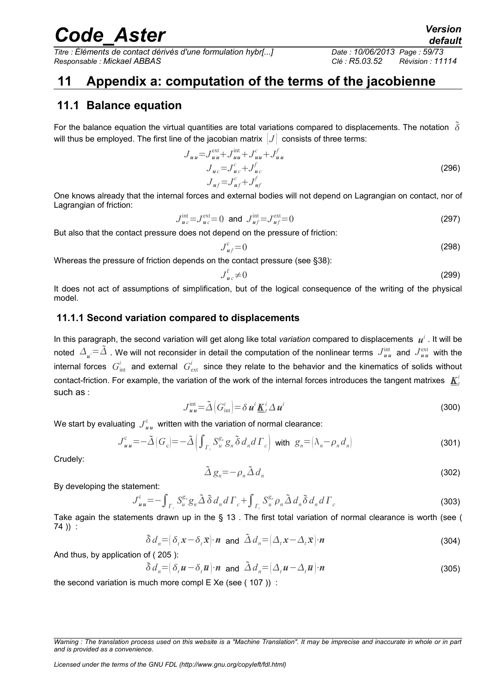*Titre : Éléments de contact dérivés d'une formulation hybr[...] Date : 10/06/2013 Page : 59/73 Responsable : Mickael ABBAS Clé : R5.03.52 Révision : 11114*

## <span id="page-58-0"></span> **11 Appendix a: computation of the terms of the jacobienne**

## **11.1 Balance equation**

For the balance equation the virtual quantities are total variations compared to displacements. The notation  $\delta$ will thus be employed. The first line of the jacobian matrix  $|J|$  consists of three terms:

$$
J_{uu} = J_{uu}^{\text{ext}} + J_{uu}^{\text{int}} + J_{uu}^c + J_{uu}^f
$$
  
\n
$$
J_{uc} = J_{uc}^c + J_{uc}^f
$$
  
\n
$$
J_{uf} = J_{uf}^c + J_{uf}^f
$$
\n(296)

One knows already that the internal forces and external bodies will not depend on Lagrangian on contact, nor of Lagrangian of friction:

$$
J_{u}^{\text{int}} = J_{u}^{\text{ext}} = 0 \text{ and } J_{u}^{\text{int}} = J_{u}^{\text{ext}} = 0
$$
 (297)

But also that the contact pressure does not depend on the pressure of friction:

$$
J_{uf}^c = 0 \tag{298}
$$

Whereas the pressure of friction depends on the contact pressure (see [§38\)](#page-37-0):

$$
J_{u}^{\text{f}} \neq 0 \tag{299}
$$

It does not act of assumptions of simplification, but of the logical consequence of the writing of the physical model.

#### <span id="page-58-1"></span> **11.1.1 Second variation compared to displacements**

In this paragraph, the second variation will get along like total *variation* compared to displacements  $u^i$  . It will be noted  $\varDelta_{u}=\tilde{\varDelta}$  . We will not reconsider in detail the computation of the nonlinear terms  $J_{uu}^{\rm int}$  and  $J_{uu}^{\rm ext}$  with the internal forces  $G^i_{\rm int}$  and external  $G^i_{\rm ext}$  since they relate to the behavior and the kinematics of solids without contact-friction. For example, the variation of the work of the internal forces introduces the tangent matrixes  $\underline{K}^i_l$ such as :

$$
J_{uu}^{\text{int}} = \tilde{\Delta} \left( G_{\text{int}}^i \right) = \delta u^i \underline{\mathbf{K}}_t^i \Delta u^i \tag{300}
$$

We start by evaluating  $\left. J_{u\,u}^{\mathrm{c}}\right.$  written with the variation of normal clearance:

$$
J_{uu}^c = -\tilde{\Delta} \left( G_c \right) = -\tilde{\Delta} \left( \int_{\Gamma_c} S_u^{g_n} g_n \, \tilde{\delta} \, d_n d \, \Gamma_c \right) \text{ with } g_n = \left( \lambda_n - \rho_n d_n \right) \tag{301}
$$

Crudely:

<span id="page-58-2"></span>
$$
\tilde{\Delta} g_n = -\rho_n \tilde{\Delta} d_n \tag{302}
$$

By developing the statement:

$$
J_{uu}^c = -\int_{\Gamma_c} S_u^{g_n} g_n \tilde{\Delta} \, \tilde{\delta} \, d_n d\Gamma_c + \int_{\Gamma_c} S_u^{g_n} \rho_n \tilde{\Delta} \, d_n \tilde{\delta} \, d_n d\Gamma_c \tag{303}
$$

Take again the statements drawn up in the § [13](#page-12-0) . The first total variation of normal clearance is worth (see ( [74](#page-14-0) )) :

$$
\tilde{\delta} d_n = \left( \delta_t x - \delta_t \overline{x} \right) \cdot \mathbf{n} \text{ and } \tilde{\Delta} d_n = \left( \Delta_t x - \Delta_t \overline{x} \right) \cdot \mathbf{n}
$$
\n(304)

And thus, by application of ( [205](#page-35-1) ):

$$
\tilde{\delta} d_n = \left( \delta_t \mathbf{u} - \delta_t \overline{\mathbf{u}} \right) \cdot \mathbf{n} \text{ and } \tilde{\Delta} d_n = \left( \Delta_t \mathbf{u} - \Delta_t \overline{\mathbf{u}} \right) \cdot \mathbf{n}
$$
\n(305)

the second variation is much more compl E Xe (see ( [107](#page-17-0) )) :

*Warning : The translation process used on this website is a "Machine Translation". It may be imprecise and inaccurate in whole or in part and is provided as a convenience.*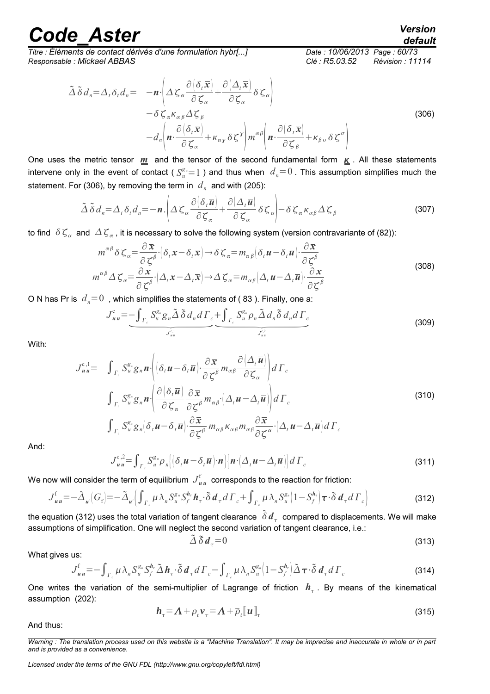*Titre : Éléments de contact dérivés d'une formulation hybr[...] Date : 10/06/2013 Page : 60/73 Responsable : Mickael ABBAS Clé : R5.03.52 Révision : 11114*

<span id="page-59-2"></span>

$$
\tilde{\Delta}\tilde{\delta}d_{n} = \Delta_{t}\delta_{t}d_{n} = -n \cdot \left(\Delta \zeta_{\alpha} \frac{\partial (\delta_{t}\overline{x})}{\partial \zeta_{\alpha}} + \frac{\partial (\Delta_{t}\overline{x})}{\partial \zeta_{\alpha}} \delta \zeta_{\alpha}\right) \n- \delta \zeta_{\alpha} \kappa_{\alpha\beta} \Delta \zeta_{\beta} \n- d_{n} \left(n \cdot \frac{\partial (\delta_{t}\overline{x})}{\partial \zeta_{\alpha}} + \kappa_{\alpha\gamma} \delta \zeta^{\gamma}\right) m^{\alpha\beta} \left(n \cdot \frac{\partial (\delta_{t}\overline{x})}{\partial \zeta_{\beta}} + \kappa_{\beta\sigma} \delta \zeta^{\sigma}\right)
$$
\n(306)

One uses the metric tensor  $m$  and the tensor of the second fundamental form  $K$ . All these statements intervene only in the event of contact (  $S_u^{g_n}=1$  ) and thus when  $d_n=0$  . This assumption simplifies much the statement. For [\(306\)](#page-59-2), by removing the term in  $\ d_{_n}$  and with [\(205\)](#page-35-1):

$$
\tilde{\Delta}\,\tilde{\delta}\,d_{n} = \Delta_{t}\,\delta_{t}d_{n} = -n.\left(\Delta\,\zeta_{\alpha}\frac{\partial(\delta_{t}\overline{u})}{\partial\,\zeta_{\alpha}} + \frac{\partial(\Delta_{t}\overline{u})}{\partial\,\zeta_{\alpha}}\,\delta\,\zeta_{\alpha}\right) - \delta\,\zeta_{\alpha}\,\kappa_{\alpha\beta}\,\Delta\,\zeta_{\beta} \tag{307}
$$

to find  $\,\delta\,\zeta_\alpha\,$  and  $\,\Delta\,\zeta_\alpha$  , it is necessary to solve the following system (version contravariante of [\(82\)](#page-15-1)):

$$
m^{\alpha\beta} \delta \zeta_{\alpha} = \frac{\partial \bar{x}}{\partial \zeta^{\beta}} \cdot (\delta_{t} x - \delta_{t} \bar{x}) \rightarrow \delta \zeta_{\alpha} = m_{\alpha\beta} (\delta_{t} u - \delta_{t} \bar{u}) \cdot \frac{\partial \bar{x}}{\partial \zeta^{\beta}}
$$
  
\n
$$
m^{\alpha\beta} \Delta \zeta_{\alpha} = \frac{\partial \bar{x}}{\partial \zeta^{\beta}} \cdot (\Delta_{t} x - \Delta_{t} \bar{x}) \rightarrow \Delta \zeta_{\alpha} = m_{\alpha\beta} (\Delta_{t} u - \Delta_{t} \bar{u}) \cdot \frac{\partial \bar{x}}{\partial \zeta^{\beta}}
$$
  
\n= 0 , which simplifies the statements of (83). Finally, one a:  
\n
$$
J_{uu}^{c} = -\int_{\Gamma_{c}} S_{u}^{s_{u}} g_{n} \tilde{\Delta} \tilde{\delta} d_{n} d \Gamma_{c} + \int_{\Gamma_{c}} S_{u}^{s_{n}} \rho_{n} \tilde{\Delta} d_{n} \tilde{\delta} d_{n} d \Gamma_{c}
$$
  
\n
$$
J_{uu}^{c,1}
$$
 (309)

O N has Pr is  $\,d_{\rm n}^{}\text{=}0\,$  , which simplifies the statements of ( 83 ). Finally, one a:

$$
J_{uu}^c = \underbrace{-\int_{\Gamma_c} S_u^{g_n} g_n \tilde{\Delta} \, \tilde{\delta} \, d_n d \, \Gamma_c}_{J_{uu}^c} + \underbrace{\int_{\Gamma_c} S_u^{g_n} \rho_n \tilde{\Delta} \, d_n \tilde{\delta} \, d_n d \, \Gamma_c}_{J_{uu}^c}
$$
(309)

With:

$$
J_{uu}^{c,1} = \int_{\Gamma_c} S_u^{g_n} g_n \boldsymbol{n} \cdot \left( (\delta_t \boldsymbol{u} - \delta_t \overline{\boldsymbol{u}}) \cdot \frac{\partial \overline{x}}{\partial \zeta^{\beta}} m_{\alpha \beta} \frac{\partial (\Delta_t \overline{\boldsymbol{u}})}{\partial \zeta_{\alpha}} \right) d\Gamma_c
$$
  

$$
\int_{\Gamma_c} S_u^{g_n} g_n \boldsymbol{n} \cdot \left( \frac{\partial (\delta_t \overline{\boldsymbol{u}})}{\partial \zeta_{\alpha}} \frac{\partial \overline{x}}{\partial \zeta^{\beta}} m_{\alpha \beta} \cdot (\Delta_t \boldsymbol{u} - \Delta_t \overline{\boldsymbol{u}}) \right) d\Gamma_c
$$
  

$$
\int_{\Gamma_c} S_u^{g_n} g_n (\delta_t \boldsymbol{u} - \delta_t \overline{\boldsymbol{u}}) \cdot \frac{\partial \overline{x}}{\partial \zeta^{\beta}} m_{\alpha \beta} \kappa_{\alpha \beta} m_{\alpha \beta} \frac{\partial \overline{x}}{\partial \zeta^{\alpha}} \cdot (\Delta_t \boldsymbol{u} - \Delta_t \overline{\boldsymbol{u}}) d\Gamma_c
$$
 (310)

And:

$$
J_{uu}^{c,2} = \int_{\Gamma_c} S_u^{g_n} \rho_n \Big( \Big| \delta_t u - \delta_t \overline{u} \Big| \cdot n \Big| \Big\{ n \cdot \Big( \Delta_t u - \Delta_t \overline{u} \Big) \Big| d \Gamma_c \tag{311}
$$

We now will consider the term of equilibrium  ${\,J}_{u\,u}^{\rm f} \,$  corresponds to the reaction for friction:

$$
J_{uu}^{\rm f} = -\tilde{\Delta}_{u'}(G_{\rm f}) = -\tilde{\Delta}_{u'}\left(\int_{\Gamma_c} \mu \,\lambda_n S_u^{g_n} S_f^{h_r} h_\tau \cdot \tilde{\delta} \,d_\tau d\,\Gamma_c + \int_{\Gamma_c} \mu \,\lambda_n S_u^{g_n} \left(1 - S_f^{h_r}\right) \tau \cdot \tilde{\delta} \,d_\tau d\,\Gamma_c\right) \tag{312}
$$

the equation [\(312\)](#page-59-1) uses the total variation of tangent clearance  $\,\,\tilde{\delta}\,d_{_{\,{\sf \!{\scriptscriptstyle{T}}}}}$  compared to displacements. We will make assumptions of simplification. One will neglect the second variation of tangent clearance, i.e.:

<span id="page-59-4"></span><span id="page-59-3"></span><span id="page-59-1"></span><span id="page-59-0"></span>
$$
\tilde{\Delta}\,\tilde{\delta}\,d_{\tau}=0\tag{313}
$$

What gives us:

$$
J_{uu}^{\rm f} = -\int_{\Gamma_c} \mu \,\lambda_n S_u^{\rm g} S_f^{\rm h} \tilde{\Delta} \, h_{\tau} \cdot \tilde{\delta} \, d_{\tau} \, d \, \Gamma_c - \int_{\Gamma_c} \mu \,\lambda_n S_u^{\rm g} \left( 1 - S_f^{\rm h} \right) \tilde{\Delta} \, \tau \cdot \tilde{\delta} \, d_{\tau} \, d \, \Gamma_c \tag{314}
$$

One writes the variation of the semi-multiplier of Lagrange of friction *h* . By means of the kinematical assumption [\(202\)](#page-33-0):

$$
\boldsymbol{h}_{\tau} = \boldsymbol{\Lambda} + \rho_t \boldsymbol{v}_{\tau} = \boldsymbol{\Lambda} + \overline{\rho}_t [\![\boldsymbol{u}]\!]_{\tau}
$$
\n(315)

And thus:

*Warning : The translation process used on this website is a "Machine Translation". It may be imprecise and inaccurate in whole or in part and is provided as a convenience.*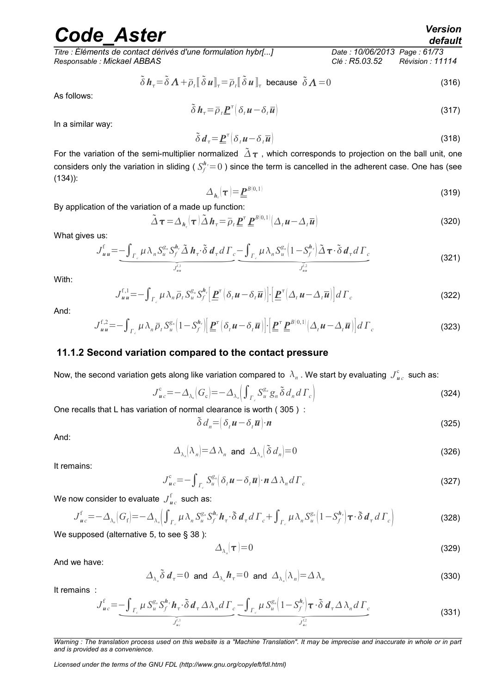*Titre : Éléments de contact dérivés d'une formulation hybr[...] Date : 10/06/2013 Page : 61/73 Responsable : Mickael ABBAS Clé : R5.03.52 Révision : 11114*

$$
\tilde{\delta} \, h_{\tau} = \tilde{\delta} \, A + \bar{\rho}_t \left[ \tilde{\delta} \, u \right]_{\tau} = \bar{\rho}_t \left[ \tilde{\delta} \, u \right]_{\tau} \text{ because } \tilde{\delta} \, A = 0 \tag{316}
$$

As follows:

$$
\tilde{\delta} \, h_{\tau} = \bar{\rho}_t \underline{P}^{\tau} \big( \delta_t u - \delta_t \overline{u} \big) \tag{317}
$$

In a similar way:

$$
\tilde{\delta} d_{\tau} = \underline{\mathbf{P}}^{\tau} \big( \delta_{\tau} u - \delta_{\tau} \overline{u} \big) \tag{318}
$$

For the variation of the semi-multiplier normalized  $\tilde{\Delta} \tau$ , which corresponds to projection on the ball unit, one [\(134\)](#page-22-0)):

<span id="page-60-3"></span>
$$
\Delta_{h_r}(\tau) = \underline{\underline{P}}^{B(0,1)} \tag{319}
$$

By application of the variation of a made up function:

$$
\tilde{\Delta}\tau = \Delta_{h_{\tau}}(\tau)\tilde{\Delta}h_{\tau} = \bar{\rho}_{t}\underline{\boldsymbol{P}}^{\tau}\underline{\boldsymbol{P}}^{B(0,1)}(\Delta_{t}\boldsymbol{u}-\Delta_{t}\overline{\boldsymbol{u}})
$$
\n(320)

What gives us:

considers only the variation in sliding (
$$
S_f^{h_{\tau}} = 0
$$
) since the term is cancelled in the adherent case. One has (see  
\n(134)):  
\n
$$
\Delta_{h_{\tau}}|\tau) = \underline{\underline{P}}^{B(0,1)}
$$
\n(319)  
\nBy application of the variation of a made up function:  
\n
$$
\tilde{\Delta}\tau = \Delta_{h_{\tau}}|\tau) \tilde{\Delta} h_{\tau} = \overline{\rho}_t \underline{\underline{P}}^{\tau} \underline{\underline{P}}^{B(0,1)} \Big| \Delta_t u - \Delta_t \overline{u} \Big|
$$
\n(320)  
\nWhat gives us:  
\n
$$
J_{u}^f = -\int_{\Gamma_c} \mu \lambda_n S_u^{g_n} S_f^{h_r} \tilde{\Delta} h_{\tau} \cdot \tilde{\delta} d_{\tau} d\Gamma_c - \int_{\Gamma_c} \mu \lambda_n S_u^{g_n} \Big(1 - S_f^{h_{\tau}}\Big) \tilde{\Delta} \tau \cdot \tilde{\delta} d_{\tau} d\Gamma_c
$$
\n(321)  
\nWith:

With:

$$
J_{uu}^{\mathbf{f},1} = -\int_{\Gamma_c} \mu \,\lambda_n \,\overline{\rho}_t \, S_u^{\mathbf{g}_n} S_f^{\mathbf{h}_r} \Big[ \underline{\boldsymbol{P}}^{\mathbf{\tau}} \Big[ \delta_t \boldsymbol{u} - \delta_t \overline{\boldsymbol{u}} \Big] \Big] \cdot \Big[ \underline{\boldsymbol{P}}^{\mathbf{\tau}} \Big( \Delta_t \boldsymbol{u} - \Delta_t \overline{\boldsymbol{u}} \Big) \Big] d \Gamma_c \tag{322}
$$

And:

$$
J_{uu}^{f,2} = -\int_{\Gamma_c} \mu \,\lambda_n \,\overline{\rho}_t \, S_u^{g_n} \Big(1 - S_f^{h_n}\Big) \Big[ \underline{\underline{\pmb{P}}}^{\tau} \Big(\delta_t \underline{\pmb{u}} - \delta_t \overline{\underline{\pmb{u}}}\Big) \Big] \cdot \Big[ \underline{\underline{\pmb{P}}}^{\tau} \underline{\underline{\pmb{P}}}^{B(0,1)} \Big(\Delta_t \underline{\pmb{u}} - \Delta_t \overline{\underline{\pmb{u}}}\Big) \Big] d\Gamma_c
$$
\n(323)

#### **11.1.2 Second variation compared to the contact pressure**

Now, the second variation gets along like variation compared to  $|\lambda_n|$ . We start by evaluating  $|J^\text{c}_{uc}|$  such as:

$$
J_{uc}^c = -\Delta_{\lambda_n} (G_c) = -\Delta_{\lambda_n} \left( \int_{\Gamma_c} S_u^{g_n} g_n \, \tilde{\delta} \, d_n d \, \Gamma_c \right) \tag{324}
$$

One recalls that L has variation of normal clearance is worth ( [305](#page-58-2) ) :

<span id="page-60-2"></span>
$$
\tilde{\delta} d_n = \left(\delta_t u - \delta_t \overline{u}\right) \cdot n \tag{325}
$$

And:

$$
\Delta_{\lambda_n}[\lambda_n] = \Delta \lambda_n \text{ and } \Delta_{\lambda_n}[\tilde{\delta} d_n] = 0 \tag{326}
$$

It remains:

$$
J_{uc}^{c} = -\int_{\Gamma_c} S_{u}^{g_n} \left( \delta_t \mathbf{u} - \delta_t \overline{\mathbf{u}} \right) \cdot \mathbf{n} \, \Delta \, \lambda_n d \Gamma_c \tag{327}
$$

We now consider to evaluate  $\left. J_{u\,c}^{\mathrm{f}}\right.$  such as:

$$
J_{uc}^{\rm f} = -\Delta_{\lambda_n} \left( G_{\rm f} \right) = -\Delta_{\lambda_n} \left( \int_{\Gamma_c} \mu \, \lambda_n \, S_u^{\rm g} \, S_f^{h} \, h_{\tau} \cdot \tilde{\delta} \, d_{\tau} \, d \, \Gamma_c + \int_{\Gamma_c} \mu \, \lambda_n \, S_u^{\rm g} \left( 1 - S_f^{h_{\tau}} \right) \tau \cdot \tilde{\delta} \, d_{\tau} \, d \, \Gamma_c \right) \tag{328}
$$

We supposed (alternative 5, to see § 38 ):

<span id="page-60-4"></span><span id="page-60-1"></span>
$$
\Delta_{\lambda_n}(\tau) = 0 \tag{329}
$$

And we have:

$$
\Delta_{\lambda_n} \tilde{\delta} \, d_{\tau} = 0 \text{ and } \Delta_{\lambda_n} h_{\tau} = 0 \text{ and } \Delta_{\lambda_n} (\lambda_n) = \Delta \lambda_n \tag{330}
$$

It remains :

$$
-\Delta_{\lambda_n} (G_f) = -\Delta_{\lambda_n} \Big( \int_{\Gamma_c} \mu \lambda_n S_u^{g_n} S_f^{h_n} h_{\tau} \cdot \tilde{\delta} d_{\tau} d\Gamma_c + \int_{\Gamma_c} \mu \lambda_n S_u^{g_n} \Big( 1 - S_f^{h_{\tau}} \Big) \tau \cdot \tilde{\delta} d_{\tau} d\Gamma_c \Big)
$$
(328)  
ed (alternative 5, to see § 38):  

$$
\Delta_{\lambda_n} \tilde{\sigma} d_{\tau} = 0 \text{ and } \Delta_{\lambda_n} h_{\tau} = 0 \text{ and } \Delta_{\lambda_n} (\lambda_n) = \Delta \lambda_n
$$
  

$$
\vdots
$$

$$
J_{uc}^f = -\int_{\Gamma_c} \mu S_u^{g_n} S_f^{h_{\tau}} h_{\tau} \cdot \tilde{\delta} d_{\tau} \Delta \lambda_n d\Gamma_c - \int_{\Gamma_c} \mu S_u^{g_n} \Big( 1 - S_f^{h_n} \Big) \tau \cdot \tilde{\delta} d_{\tau} \Delta \lambda_n d\Gamma_c
$$
(331)

*Warning : The translation process used on this website is a "Machine Translation". It may be imprecise and inaccurate in whole or in part and is provided as a convenience.*

*Licensed under the terms of the GNU FDL (http://www.gnu.org/copyleft/fdl.html)*

<span id="page-60-0"></span>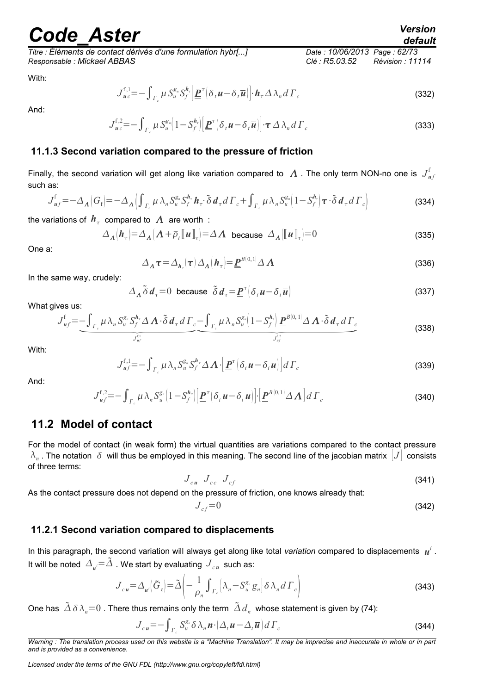*Titre : Éléments de contact dérivés d'une formulation hybr[...] Date : 10/06/2013 Page : 62/73 Responsable : Mickael ABBAS Clé : R5.03.52 Révision : 11114*

With:

$$
J_{uc}^{f,1} = -\int_{\Gamma_c} \mu \, S_u^{g_n} S_f^{h_r} \left[ \underline{\underline{\boldsymbol{P}}}^{\tau} \left( \delta_t \boldsymbol{u} - \delta_t \overline{\boldsymbol{u}} \right) \right] \cdot \boldsymbol{h}_{\tau} \Delta \, \lambda_n d \, \Gamma_c \tag{332}
$$

And:

$$
J_{uc}^{f,2} = -\int_{\Gamma_c} \mu S_{u}^{g_n} \Big(1 - S_{f}^{h_r}\Big) \Big[ \underline{\underline{P}}^{\tau} \Big(\delta_t u - \delta_t \overline{u}\Big) \Big] \cdot \tau \Delta \lambda_n d\Gamma_c \tag{333}
$$

#### **11.1.3 Second variation compared to the pressure of friction**

Finally, the second variation will get along like variation compared to  $\Lambda$  . The only term NON-no one is  $J_{u}^{\text{f}}$ such as:

$$
J_{uf}^{\rm f} = -\Delta_{\Lambda} \left( G_{\rm f} \right) = -\Delta_{\Lambda} \left( \int_{\Gamma_c} \mu \, \lambda_n S_u^{\rm g} S_f^{\rm h} \, \mathbf{h}_\tau \cdot \tilde{\delta} \, \mathbf{d}_\tau \, d \, \Gamma_c + \int_{\Gamma_c} \mu \, \lambda_n S_u^{\rm g} \left( 1 - S_f^{\rm h} \right) \tau \cdot \tilde{\delta} \, \mathbf{d}_\tau \, d \, \Gamma_c \right) \tag{334}
$$

the variations of  $\,h_\tau^{}\,$  compared to  $\,A\,$  are worth  $\,$  :

$$
\Delta_{\Lambda}[\boldsymbol{h}_{\tau}] = \Delta_{\Lambda}[\Lambda + \overline{\rho}_{t}[\![\boldsymbol{u}]\!]_{\tau}] = \Delta \Lambda \text{ because } \Delta_{\Lambda}([\![\boldsymbol{u}]\!]_{\tau}) = 0 \tag{335}
$$

One a:

$$
\Delta_{\Lambda} \tau = \Delta_{h_{\tau}}(\tau) \Delta_{\Lambda} \left( h_{\tau} \right) = \underline{\underline{P}}^{B(0,1)} \Delta \Lambda \tag{336}
$$

In the same way, crudely:

$$
\Delta_{\Lambda} \tilde{\delta} d_{\tau} = 0 \text{ because } \tilde{\delta} d_{\tau} = \underline{\mathbf{P}}^{\tau} \big[ \delta_{\tau} u - \delta_{\tau} \overline{u} \big] \tag{337}
$$

What gives us:

lations of 
$$
h_{\tau}
$$
 compared to  $\Lambda$  are worth :  
\n
$$
\Delta_{\Lambda}[h_{\tau}] = \Delta_{\Lambda}(\Lambda + \overline{\rho}_{t}[\![u]\!]_{\tau}) = \Delta \Lambda
$$
 because  $\Delta_{\Lambda}([\![u]\!]_{\tau}) = 0$  (335)  
\n
$$
\Delta_{\Lambda} \tau = \Delta_{h_{\tau}}(\tau) \Delta_{\Lambda}[h_{\tau}] = \underline{P}^{B(0,1)} \Delta \Lambda
$$
 (336)  
\nsame way, crudely:  $\Delta_{\Lambda} \delta d_{\tau} = 0$  because  $\delta d_{\tau} = \underline{P}^{\tau}[\delta_{t}u - \delta_{t}\overline{u}]$  (337)  
\njives us:  $J_{u_{f}}^{\tau} = -\int_{\Gamma_{c}} \mu \lambda_{n} S_{u}^{g_{n}} S_{f}^{h_{n}} \Delta \Lambda \cdot \delta d_{\tau} d\Gamma_{c} - \int_{\Gamma_{c}} \mu \lambda_{n} S_{u}^{g_{n}} [1 - S_{f}^{h_{n}}] \underline{P}^{B(0,1)} \Delta \Lambda \cdot \delta d_{\tau} d\Gamma_{c}$  (338)

With:

$$
J_{uf}^{f,1} = -\int_{\Gamma_c} \mu \,\lambda_n S_u^{g_n} S_f^{h_r} \Delta \Lambda \cdot \left[ \underline{\boldsymbol{P}}^{\tau} \left( \delta_t \boldsymbol{u} - \delta_t \overline{\boldsymbol{u}} \right) \right] d \Gamma_c \tag{339}
$$

And:

$$
J_{uf}^{f,2} = -\int_{\Gamma_c} \mu \lambda_n S_u^{g_n} \left(1 - S_f^{h_r}\right) \left[\underline{\underline{\pmb{P}}^{\tau}} \left(\delta_t \underline{\pmb{u}} - \delta_t \overline{\underline{\pmb{u}}}\right)\right] \cdot \left[\underline{\underline{\pmb{P}}^{B(0,1)} \Delta \Lambda} \right] d\Gamma_c
$$
\n(340)

## **11.2 Model of contact**

For the model of contact (in weak form) the virtual quantities are variations compared to the contact pressure  $\lambda_n$  . The notation  $\,\delta\,$  will thus be employed in this meaning. The second line of the jacobian matrix  $\,[J]\,$  consists of three terms:

<span id="page-61-3"></span>
$$
J_{cu} \quad J_{cc} \quad J_{cf} \tag{341}
$$

As the contact pressure does not depend on the pressure of friction, one knows already that:

<span id="page-61-6"></span>
$$
J_{cf} = 0 \tag{342}
$$

#### **11.2.1 Second variation compared to displacements**

In this paragraph, the second variation will always get along like total *variation* compared to displacements *u i* . It will be noted  $| \Delta_{\overline u^i} \!\!=\! \tilde\Delta$  . We start by evaluating  $| J_{\overline c u}|$  such as:

$$
J_{cu} = \Delta_{u'}(\tilde{G}_c) = \tilde{\Delta} \left( -\frac{1}{\rho_n} \int_{\Gamma_c} \left[ \lambda_n - S_u^{g_n} g_n \right] \delta \lambda_n d\Gamma_c \right)
$$
(343)

One has  $\tilde{\varDelta}\,\delta\,\lambda_n{=}0$  . There thus remains only the term  $\tilde{\varDelta}\,d_n$  whose statement is given by [\(74\)](#page-14-0):

$$
J_{cu} = -\int_{\Gamma_c} S_u^{g_n} \delta \lambda_n \boldsymbol{n} \cdot (\Delta_t \boldsymbol{u} - \Delta_t \overline{\boldsymbol{u}}) d\Gamma_c
$$
 (344)

*Warning : The translation process used on this website is a "Machine Translation". It may be imprecise and inaccurate in whole or in part and is provided as a convenience.*

*Licensed under the terms of the GNU FDL (http://www.gnu.org/copyleft/fdl.html)*

<span id="page-61-5"></span><span id="page-61-4"></span><span id="page-61-2"></span><span id="page-61-1"></span><span id="page-61-0"></span>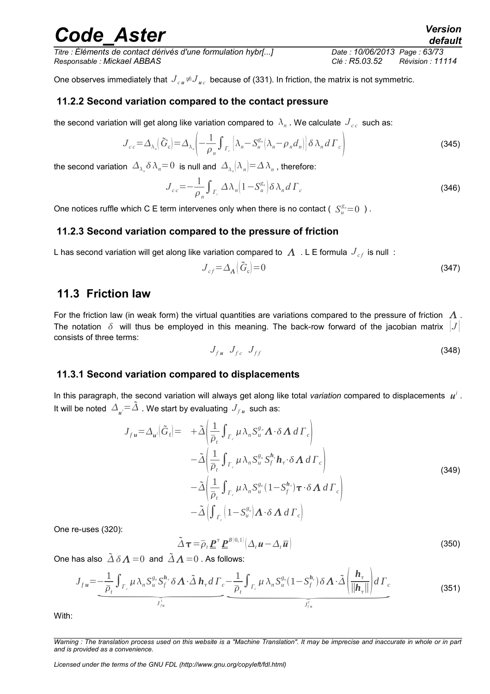*Titre : Éléments de contact dérivés d'une formulation hybr[...] Date : 10/06/2013 Page : 63/73 Responsable : Mickael ABBAS Clé : R5.03.52 Révision : 11114*

<span id="page-62-0"></span>

One observes immediately that  $J_{cu} \neq J_{uc}$  because of [\(331\)](#page-60-1). In friction, the matrix is not symmetric.

#### **11.2.2 Second variation compared to the contact pressure**

the second variation will get along like variation compared to  $\ \lambda_n$  . We calculate  $\ J_{\,c\,c}\,$  such as:

$$
J_{cc} = \Delta_{\lambda_n} \left( \tilde{G}_c \right) = \Delta_{\lambda_n} \left( -\frac{1}{\rho_n} \int_{\Gamma_c} \left[ \lambda_n - S_u^{g_n} \left( \lambda_n - \rho_n d_n \right) \right] \delta \lambda_n d \Gamma_c \right)
$$
(345)

the second variation  $\varDelta_{\lambda_n}\delta\,\lambda_n{=}0\,$  is null and  $\varDelta_{\lambda_n}[\lambda_n]{=}\varDelta\,\lambda_n$  , therefore:

$$
J_{cc} = -\frac{1}{\rho_n} \int_{\Gamma_c} \Delta \lambda_n \left( 1 - S_u^{\mathcal{S}_n} \right) \delta \lambda_n d\Gamma_c \tag{346}
$$

One notices ruffle which C E term intervenes only when there is no contact (  $S_u^{\mathcal{S}_n}=0$  ).

#### **11.2.3 Second variation compared to the pressure of friction**

L has second variation will get along like variation compared to  $\varLambda\,$  . L E formula  $\,J_{\,cf}$  is null  $\,$ :

$$
J_{cf} = \Delta_{\mathbf{A}} \left( \tilde{G}_{c} \right) = 0 \tag{347}
$$

### **11.3 Friction law**

For the friction law (in weak form) the virtual quantities are variations compared to the pressure of friction  $\Lambda$ . The notation  $\delta$  will thus be employed in this meaning. The back-row forward of the jacobian matrix  $|J|$ consists of three terms:

$$
J_{fu} \quad J_{fc} \quad J_{ff} \tag{348}
$$

#### **11.3.1 Second variation compared to displacements**

In this paragraph, the second variation will always get along like total *variation* compared to displacements *u i* . It will be noted  $\varDelta_{_{\boldsymbol{u}^i}}{=}\tilde{\varDelta}$  . We start by evaluating  $J_{_{f\boldsymbol{u}}}$  such as:

$$
J_{fu} = \Delta_{u'}(\tilde{G}_{t}) = + \tilde{\Delta} \left( \frac{1}{\overline{\rho}_{t}} \int_{\Gamma_{c}} \mu \lambda_{n} S_{u}^{g_{n}} \Lambda \cdot \delta \Lambda d\Gamma_{c} \right)
$$
  
\n
$$
- \tilde{\Delta} \left( \frac{1}{\overline{\rho}_{t}} \int_{\Gamma_{c}} \mu \lambda_{n} S_{u}^{g_{n}} S_{f}^{h_{r}} h_{\tau} \cdot \delta \Lambda d\Gamma_{c} \right)
$$
  
\n
$$
- \tilde{\Delta} \left( \frac{1}{\overline{\rho}_{t}} \int_{\Gamma_{c}} \mu \lambda_{n} S_{u}^{g_{n}} (1 - S_{f}^{h_{r}}) \tau \cdot \delta \Lambda d\Gamma_{c} \right)
$$
  
\n
$$
- \tilde{\Delta} \left( \int_{\Gamma_{c}} \left( 1 - S_{u}^{g_{n}} \right) \Lambda \cdot \delta \Lambda d\Gamma_{c} \right)
$$
  
\n
$$
\tilde{\Delta} \tau = \overline{\rho}_{t} \underline{P}^{\tau} \underline{P}^{g_{(0,1)}} \left( \Delta_{t} u - \Delta_{t} \overline{u} \right)
$$
  
\n
$$
\Delta = 0 \text{ and } \tilde{\Delta} \Lambda = 0. \text{ As follows:}
$$
  
\n
$$
\frac{\Gamma_{c}}{\Gamma_{c}} \mu \lambda_{n} S_{u}^{g_{n}} S_{f}^{h_{r}} \delta \Lambda \cdot \tilde{\Delta} h_{\tau} d\Gamma_{c} - \frac{1}{\overline{\rho}_{t}} \int_{\Gamma_{c}} \mu \lambda_{n} S_{u}^{g_{n}} (1 - S_{f}^{h_{r}}) \delta \Lambda \cdot \tilde{\Delta} \left( \frac{h_{\tau}}{\|h_{\tau}\|} \right) d\Gamma_{c}} \qquad (350)
$$

One re-uses (320):

$$
\tilde{\Delta}\tau = \bar{\rho}_t \underline{\boldsymbol{P}}^{\tau} \underline{\boldsymbol{P}}^{B(0,1)} \big(\Delta_t \boldsymbol{u} - \Delta_t \overline{\boldsymbol{u}}\big)
$$
\n(350)

One has also  $\tilde{\Delta} \delta \Lambda = 0$  and  $\tilde{\Delta} \Lambda = 0$ . As follows:

$$
- \tilde{\Delta} \left( \int_{\Gamma_c} f_t \left( 1 - S_u^{g_n} \right) \Lambda \cdot \delta \Lambda \, d \Gamma_c \right)
$$
\nis also

\n
$$
\tilde{\Delta} \sigma = \overline{\rho}_t \underline{P}^{\tau} \underline{P}^{B(0,1)} \left( \Delta_t \underline{u} - \Delta_t \overline{u} \right)
$$
\nis also

\n
$$
\tilde{\Delta} \delta \Lambda = 0 \text{ and } \tilde{\Delta} \Lambda = 0. \text{ As follows:}
$$
\n
$$
J_{fu} = -\frac{1}{\overline{\rho}_t} \int_{\Gamma_c} \mu \lambda_n S_u^{g_n} S_f^{h_r} \delta \Lambda \cdot \tilde{\Delta} h_r d \Gamma_c - \frac{1}{\overline{\rho}_t} \int_{\Gamma_c} \mu \lambda_n S_u^{g_n} (1 - S_f^{h_r}) \delta \Lambda \cdot \tilde{\Delta} \left( \frac{h_\tau}{\| h_\tau \|} \right) d \Gamma_c
$$
\n(351)

With:

*Warning : The translation process used on this website is a "Machine Translation". It may be imprecise and inaccurate in whole or in part and is provided as a convenience.*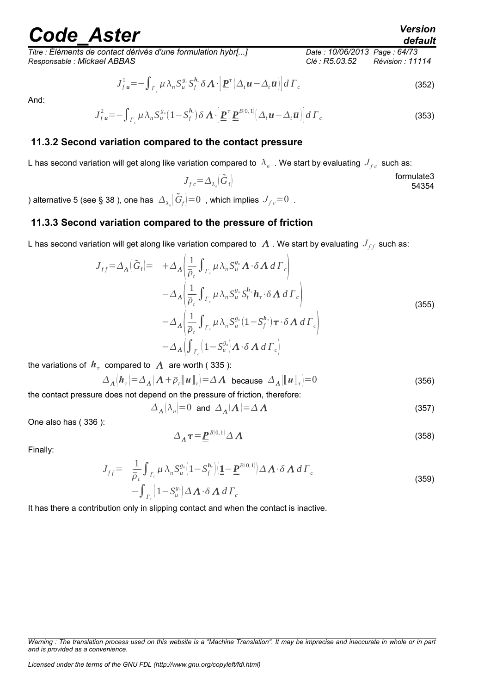*Titre : Éléments de contact dérivés d'une formulation hybr[...] Date : 10/06/2013 Page : 64/73 Responsable : Mickael ABBAS Clé : R5.03.52 Révision : 11114*

$$
J_{fu}^{1} = -\int_{\Gamma_c} \mu \,\lambda_n S_u^{g_n} S_f^{h_r} \delta \Lambda \cdot \left[ \underline{\mathbf{P}}^{\tau} \left( \Delta_t \mathbf{u} - \Delta_t \overline{\mathbf{u}} \right) \right] d \Gamma_c \tag{352}
$$

And:

$$
J_{fu}^2 = -\int_{\Gamma_c} \mu \,\lambda_n S_u^{g_n} (1 - S_f^{h_n}) \delta \Lambda \cdot \left[ \underline{\underline{\mathbf{P}}}^{\tau} \underline{\underline{\mathbf{P}}}^{B[0,1]} \left( \Delta_t \underline{\mathbf{u}} - \Delta_t \overline{\underline{\mathbf{u}}} \right) \right] d \Gamma_c \tag{353}
$$

#### **11.3.2 Second variation compared to the contact pressure**

L has second variation will get along like variation compared to  $\,\lambda_n\,$  . We start by evaluating  $\,J_{fc}\,$  such as:

<span id="page-63-1"></span><span id="page-63-0"></span> $J_{fc} = \Delta_{\lambda_n}(\tilde{G}_f)$ formulate3 54354

) alternative 5 (see § [38](#page-37-0) ), one has  $\ket{\Delta_{\lambda_a}}\!(\widetilde{G}_f)\!=\!0\,$  , which implies  $\ket{J_{fc}\!=\!0}$  .

### **11.3.3 Second variation compared to the pressure of friction**

L has second variation will get along like variation compared to  $~\Lambda$  . We start by evaluating  $~J_{ff}$  such as:

$$
J_{ff} = \Delta_{\Lambda} \Big( \tilde{G}_{f} \Big) = + \Delta_{\Lambda} \Big( \frac{1}{\bar{\rho}_{t}} \int_{\Gamma_{c}} \mu \lambda_{n} S_{u}^{g_{n}} \Lambda \cdot \delta \Lambda \, d\Gamma_{c} \Big) - \Delta_{\Lambda} \Big( \frac{1}{\bar{\rho}_{t}} \int_{\Gamma_{c}} \mu \lambda_{n} S_{u}^{g_{n}} S_{f}^{h_{\tau}} \mathbf{h}_{\tau} \cdot \delta \Lambda \, d\Gamma_{c} \Big) - \Delta_{\Lambda} \Big( \frac{1}{\bar{\rho}_{t}} \int_{\Gamma_{c}} \mu \lambda_{n} S_{u}^{g_{n}} (1 - S_{f}^{h_{\tau}}) \tau \cdot \delta \Lambda \, d\Gamma_{c} \Big) - \Delta_{\Lambda} \Big( \int_{\Gamma_{c}} \Big( 1 - S_{u}^{g_{n}} \Big) \Lambda \cdot \delta \Lambda \, d\Gamma_{c} \Big)
$$
(355)

the variations of  $\,h_{_{\tau}}\,$  compared to  $\,A\,$  are worth ( [335](#page-61-1) ):

$$
\Delta_{\Lambda}(\boldsymbol{h}_{\tau}) = \Delta_{\Lambda}(\Lambda + \overline{\rho}_{t}[\![\boldsymbol{u}]\!]_{\tau}) = \Delta \Lambda \quad \text{because} \quad \Delta_{\Lambda}([\![\boldsymbol{u}]\!]_{\tau}) = 0 \tag{356}
$$

the contact pressure does not depend on the pressure of friction, therefore:

$$
\Delta_{\Lambda}[\lambda_n] = 0 \text{ and } \Delta_{\Lambda}(\Lambda) = \Delta \Lambda \tag{357}
$$

One also has ( [336](#page-61-0) ):

<span id="page-63-2"></span>
$$
\Delta_{\Lambda} \tau = \underline{P}^{B(0,1)} \Delta \Lambda \tag{358}
$$

Finally:

$$
J_{ff} = \frac{1}{\bar{\rho}_t} \int_{\Gamma_c} \mu \, \lambda_n S_u^{g_n} \left( 1 - S_f^{h_r} \right) \left( \underline{\mathbf{1}} - \underline{\underline{P}}^{B(0,1)} \right) \Delta \Lambda \cdot \delta \Lambda \, d\Gamma_c
$$
\n
$$
- \int_{\Gamma_c} \left( 1 - S_u^{g_n} \right) \Delta \Lambda \cdot \delta \Lambda \, d\Gamma_c
$$
\n(359)

It has there a contribution only in slipping contact and when the contact is inactive.

*Warning : The translation process used on this website is a "Machine Translation". It may be imprecise and inaccurate in whole or in part and is provided as a convenience.*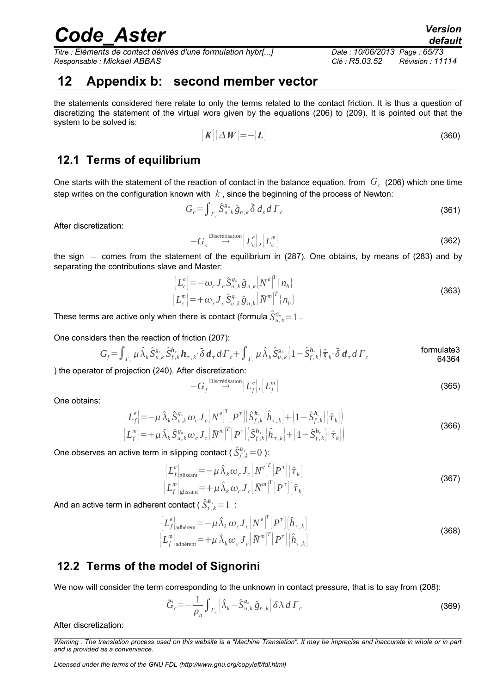*Titre : Éléments de contact dérivés d'une formulation hybr[...] Date : 10/06/2013 Page : 65/73 Responsable : Mickael ABBAS Clé : R5.03.52 Révision : 11114*

## <span id="page-64-0"></span> **12 Appendix b: second member vector**

the statements considered here relate to only the terms related to the contact friction. It is thus a question of discretizing the statement of the virtual wors given by the equations [\(206\)](#page-35-3) to [\(209\)](#page-36-1). It is pointed out that the system to be solved is:

$$
[K][\Delta W] = -[L] \tag{360}
$$

## **12.1 Terms of equilibrium**

One starts with the statement of the reaction of contact in the balance equation, from  $G_c$  [\(206\)](#page-35-3) which one time step writes on the configuration known with *k* , since the beginning of the process of Newton:

$$
G_c = \int_{\Gamma_c} \hat{S}^{g_n}_{u,k} \hat{g}_{n,k} \tilde{\delta} \, d_n d\Gamma_c \tag{361}
$$

After discretization:

$$
-G_c \stackrel{\text{Discrétisation}}{\longrightarrow} \left[L_c^e\right], \left[L_c^m\right] \tag{362}
$$

the sign *–* comes from the statement of the equilibrium in [\(287\)](#page-51-1). One obtains, by means of [\(283\)](#page-51-0) and by separating the contributions slave and Master:

$$
\begin{aligned}\n\left[L_c^e\right] &= -\omega_c J_c \hat{S}_{u,k}^{g_n} \hat{g}_{n,k} \left[N^e\right]^T \{n_h\} \\
\left[L_c^m\right] &= +\omega_c J_c \hat{S}_{u,k}^{g_n} \hat{g}_{n,k} \left[\bar{N}^m\right]^T \{n_h\}\n\end{aligned}\n\tag{363}
$$

These terms are active only when there is contact (formula  $\hat{S}^{g_s}_{u,\,k} \! = \! 1$  .

One considers then the reaction of friction [\(207\)](#page-35-2):

$$
G_f = \int_{\Gamma_c} \mu \,\hat{\lambda}_k \hat{S}_{u,k}^{g_s} \hat{S}_{f,k}^{h_{\tau}} \mathbf{h}_{\tau,k} \cdot \tilde{\delta} \, \mathbf{d}_{\tau} \, d\Gamma_c + \int_{\Gamma_c} \mu \,\hat{\lambda}_k \hat{S}_{u,k}^{g_s} \left(1 - \hat{S}_{f,k}^{h_{\tau}}\right) \hat{\tau}_k \cdot \tilde{\delta} \, \mathbf{d}_{\tau} \, d\Gamma_c
$$
 formulate3

) the operator of projection [\(240\)](#page-46-1). After discretization:

$$
-G_f \stackrel{\text{Discr\'eitsation}}{\longrightarrow} [L_f^e], [L_f^m]
$$
 (365)

One obtains:

$$
\begin{aligned}\n\left[L_f^e\right] &= -\mu \,\hat{\lambda}_k \hat{S}_{u,k}^{g_n} \omega_c J_c \left[N^e\right]^T \left[P^\tau\right] \left(\hat{S}_{f,k}^{h_\tau} \left(\hat{h}_{\tau,k}\right) + \left(1 - \hat{S}_{f,k}^{h_\tau}\right) \left(\hat{\tau}_k\right)\right] \\
\left[L_f^m\right] &= +\mu \,\hat{\lambda}_k \hat{S}_{u,k}^{g_n} \omega_c J_c \left[\bar{N}^m\right]^T \left[P^\tau\right] \left(\hat{S}_{f,k}^{h_\tau} \left(\hat{h}_{\tau,k}\right) + \left(1 - \hat{S}_{f,k}^{h_\tau}\right) \left(\hat{\tau}_k\right)\right]\n\end{aligned}\n\tag{366}
$$

One observes an active term in slipping contact (  $\hat{S}_{f,k}^{h_\tau}\!\!=\!0$  ):

$$
\begin{aligned}\n\left\{ L_f^e \right\}_{\text{glissant}} &= -\mu \,\hat{\lambda}_k \omega_c J_c \left[ N^e \right]^T \left[ P^\tau \right] \left( \hat{\tau}_k \right) \\
\left\{ L_f^m \right\}_{\text{glissant}} &= +\mu \,\hat{\lambda}_k \omega_c J_c \left[ \bar{N}^m \right]^T \left[ P^\tau \right] \left( \hat{\tau}_k \right)\n\end{aligned}
$$
\n(367)

And an active term in adherent contact (  $\hat{S}_{f,k}^{h}\!=\!1\;$  :

$$
\begin{aligned}\n\left[L_{f}^{e}\right]_{\text{adhérent}} &= -\mu \,\hat{\lambda}_{k} \,\omega_{c} J_{c} \left[N^{e}\right]^{T} \left[P^{\tau}\right] \left(\hat{h}_{\tau,k}\right) \\
\left[L_{f}^{m}\right]_{\text{adhérent}} &= +\mu \,\hat{\lambda}_{k} \,\omega_{c} J_{c} \left[\,\overline{N}^{m}\right]^{T} \left[P^{\tau}\right] \left(\hat{h}_{\tau,k}\right)\n\end{aligned} \tag{368}
$$

## **12.2 Terms of the model of Signorini**

We now will consider the term corresponding to the unknown in contact pressure, that is to say from [\(208\)](#page-36-0):

$$
\tilde{G}_c = -\frac{1}{\rho_n} \int_{\Gamma_c} \left[ \hat{\lambda}_k - \hat{S}_{u,k}^{g_n} \hat{g}_{n,k} \right] \delta \lambda \, d\,\Gamma_c \tag{369}
$$

After discretization:

*Warning : The translation process used on this website is a "Machine Translation". It may be imprecise and inaccurate in whole or in part and is provided as a convenience.*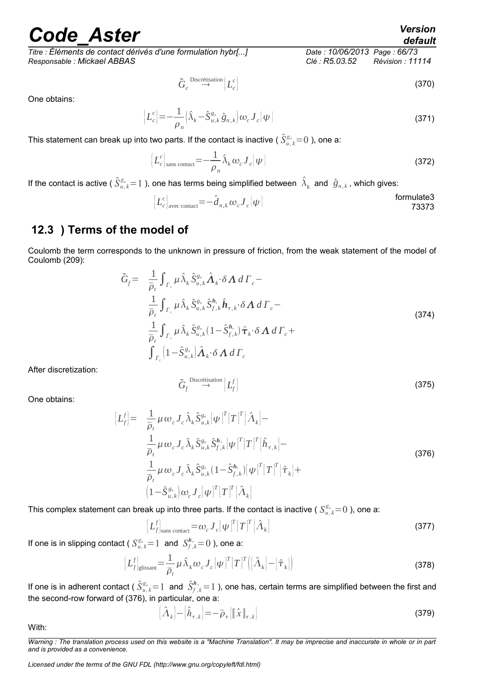*Titre : Éléments de contact dérivés d'une formulation hybr[...] Date : 10/06/2013 Page : 66/73 Responsable : Mickael ABBAS Clé : R5.03.52 Révision : 11114*

$$
\tilde{G}_c \stackrel{\text{Discrétisation}}{\longrightarrow} \Big[ L_c^c \Big] \tag{370}
$$

One obtains:

$$
\left[L_c^c\right] = -\frac{1}{\rho_n} \left(\hat{\lambda}_k - \hat{S}_{u,k}^{g_n} \hat{g}_{n,k}\right) \omega_c J_c[\psi]
$$
\n(371)

This statement can break up into two parts. If the contact is inactive (  $\hat{S}^{g_s}_{u,k}{=}0$  ), one a:

$$
\left[L_c^c\right]_{\text{sans contact}} = -\frac{1}{\rho_n} \hat{\lambda}_k \omega_c J_c[\psi]
$$
\n(372)

If the contact is active (  $\hat{S}^{g_s}_{u,k}$   $=$   $1$  ), one has terms being simplified between  $\;\hat{\lambda}_k\;$  and  $\;\hat{g}_{n,k}$  , which gives:

$$
\left[L_c^c\right]_{\text{avec contact}} = -\hat{d}_{n,k} \omega_c J_c \left[\psi\right]
$$
formulate3

## **12.3 ) Terms of the model of**

Coulomb the term corresponds to the unknown in pressure of friction, from the weak statement of the model of Coulomb [\(209\)](#page-36-1):

$$
\tilde{G}_{f} = \frac{1}{\overline{\rho}_{t}} \int_{\Gamma_{c}} \mu \hat{\lambda}_{k} \hat{S}_{u,k}^{g_{n}} \hat{\Lambda}_{k} \cdot \delta \Lambda d\Gamma_{c} -
$$
\n
$$
\frac{1}{\overline{\rho}_{t}} \int_{\Gamma_{c}} \mu \hat{\lambda}_{k} \hat{S}_{u,k}^{g_{n}} \hat{S}_{f,k}^{h_{r}} \hat{h}_{\tau,k} \cdot \delta \Lambda d\Gamma_{c} -
$$
\n
$$
\frac{1}{\overline{\rho}_{t}} \int_{\Gamma_{c}} \mu \hat{\lambda}_{k} \hat{S}_{u,k}^{g_{n}} (1 - \hat{S}_{f,k}^{h_{r}}) \hat{\tau}_{k} \cdot \delta \Lambda d\Gamma_{c} +
$$
\n
$$
\int_{\Gamma_{c}} (1 - \hat{S}_{u,k}^{g_{n}}) \hat{\Lambda}_{k} \cdot \delta \Lambda d\Gamma_{c}
$$
\n(374)

After discretization:

<span id="page-65-0"></span>
$$
\tilde{G}_f \stackrel{\text{Discrétisation}}{\longrightarrow} \left[ L_f^f \right] \tag{375}
$$

One obtains:

$$
\begin{split}\n[L_{f}^{f}] &= \frac{1}{\bar{\rho}_{t}} \mu \omega_{c} J_{c} \hat{\lambda}_{k} \hat{S}_{u,k}^{g_{n}} [\psi]^{T} [T]^{T} [\hat{\Lambda}_{k}] - \\
&\frac{1}{\bar{\rho}_{t}} \mu \omega_{c} J_{c} \hat{\lambda}_{k} \hat{S}_{u,k}^{g_{n}} \hat{S}_{f,k}^{h} [\psi]^{T} [T]^{T} [\hat{h}_{\tau,k}] - \\
&\frac{1}{\bar{\rho}_{t}} \mu \omega_{c} J_{c} \hat{\lambda}_{k} \hat{S}_{u,k}^{g_{n}} (1 - \hat{S}_{f,k}^{h}) [\psi]^{T} [T]^{T} [\hat{\tau}_{k}] + \\
&\left(1 - \hat{S}_{u,k}^{g_{n}} \right) \omega_{c} J_{c} [\psi]^{T} [T]^{T} [\hat{\Lambda}_{k}]\n\end{split}
$$
\n(376)

This complex statement can break up into three parts. If the contact is inactive (  $S^{g_s}_{u,k}$  = 0 ), one a:

$$
\left[L_f^f\right]_{\text{sans contact}} = \omega_c J_c[\psi]^T [T]^T [\hat{\Lambda}_k]
$$
\n(377)

If one is in slipping contact (  $S^{g_n}_{u,k}$  = 1 and  $S^{h_\tau}_{f,k}$  = 0 ), one a:

$$
\left[L_f^f\right]_{\text{glissant}} = \frac{1}{\bar{\rho}_t} \mu \,\hat{\lambda}_k \omega_c J_c[\psi]^T [T]^T \left( \left[\hat{\lambda}_k\right] - \left[\hat{\tau}_k\right] \right) \tag{378}
$$

If one is in adherent contact (  $\hat{S}^{g_n}_{u,k}$   $=$   $1$   $\,$  and  $\,$   $\hat{S}^{h_\tau}_{f,k}$   $=$   $1$  ), one has, certain terms are simplified between the first and the second-row forward of [\(376\)](#page-65-0), in particular, one a:

$$
\left[\hat{\Lambda}_k\right] - \left[\hat{h}_{\tau,k}\right] = -\bar{\rho}_\tau\left[\left[\hat{x}\right]\right]_{\tau,k}\right\} \tag{379}
$$

With:

*Warning : The translation process used on this website is a "Machine Translation". It may be imprecise and inaccurate in whole or in part and is provided as a convenience.*

*Licensed under the terms of the GNU FDL (http://www.gnu.org/copyleft/fdl.html)*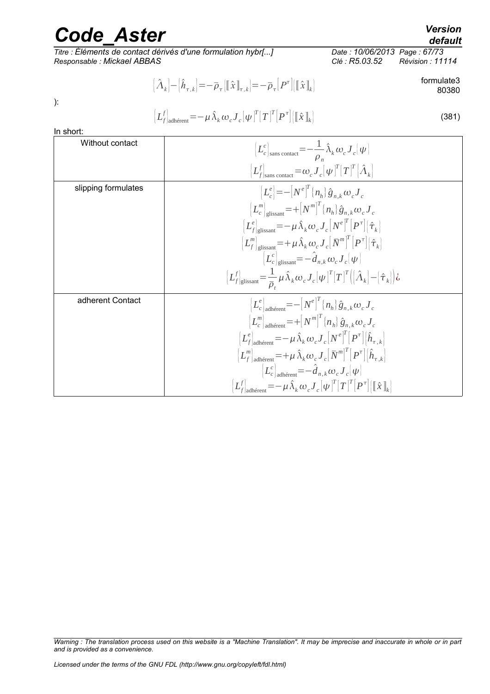*Titre : Éléments de contact dérivés d'une formulation hybr[...] Date : 10/06/2013 Page : 67/73 Responsable : Mickael ABBAS Clé : R5.03.52 Révision : 11114*

*Warning : The translation process used on this website is a "Machine Translation". It may be imprecise and inaccurate in whole or in part and is provided as a convenience.*

$$
\left[L_{f}^{f}\right]_{\text{adhérent}} = -\mu \,\hat{\lambda}_{k} \,\omega_{c} J_{c} [\psi]^{T} [T]^{T} [P^{\tau}] \left\{ [\hat{x}]\right\}_{k} \right]
$$
\n(381)

In short:

):

| III SHOLL           |                                                                                                                                                                                                                                                                                                                                                                                                                                                                                                                                                                                                                                                                                                                                                                                                                                                                                 |
|---------------------|---------------------------------------------------------------------------------------------------------------------------------------------------------------------------------------------------------------------------------------------------------------------------------------------------------------------------------------------------------------------------------------------------------------------------------------------------------------------------------------------------------------------------------------------------------------------------------------------------------------------------------------------------------------------------------------------------------------------------------------------------------------------------------------------------------------------------------------------------------------------------------|
| Without contact     | $\left\{L_c^c\right\}_{\text{sans contact}} = -\frac{1}{\rho_n} \hat{\lambda}_k \omega_c J_c \left\{\psi\right\}$<br>$\left[L_{f}^{f}\right]_{\text{sans contact}} = \omega_{c} J_{c}[\psi]^{T} [T]^T \big[\hat{A}_{k}\big]$                                                                                                                                                                                                                                                                                                                                                                                                                                                                                                                                                                                                                                                    |
| slipping formulates | $\left\{L_{c}^{e}\right\} = -\left[N^{e}\right]^{T}\left\{n_{h}\right\}\hat{g}_{n,k}\omega_{c}J_{c}$<br>$\left\{L_c^m\right\}_{\text{glassant}} = + \left[N^m\right]^T\left\{n_h\right\}\hat{g}_{n,k}\omega_c J_c$<br>$\left\{L_{f \text{disstant}}^{e}\!=\!-\mu\,\hat{\lambda}_{k}\omega_{c}J_{c}\right[N^{e}]^{T}\!\left[P^{\tau}\right]\!\left[\hat{\boldsymbol{\tau}}_{k}\right]$<br>$\left\{L_{f}^{m}\right\}_{\rm dissant} = +\mu\,\hat{\lambda}^{}_{k}\,\omega^{}_{c} J^{}_{c} \big[\,\bar{N}^{m}\big]^{T}\big[P^{\tau}\big]\big[\hat{\boldsymbol{\tau}}^{}_{k}\big]$<br>$\left\{L_c^c\right\}_{\text{disstant}} = -\hat{d}_{n,k} \omega_c J_c[\psi]$<br>$\left[L_{f}^{f}\right]_{\text{glissant}} = \frac{1}{\overline{\rho}} \mu \hat{\lambda}_{k} \omega_{c} J_{c}[\psi]^{T} [T]^{T} (\left[\hat{\Lambda}_{k}\right] - \left[\hat{\tau}_{k}\right]) \hat{\omega}_{c}$ |
| adherent Contact    | $\left[L_c^e\right]_{\text{adhérent}} = -\left[N^e\right]^T\left\{n_h\right\}\hat{g}_{n,k}\omega_c J_c$<br>$\left\{L_c^m\right\}_{\text{adhérent}} = +\left[N^m\right]^T\{n_h\}\hat{g}_{n,k}\omega_c J_c$<br>$\left\{L_f^e\right\}_{\mathrm{adi}\acute{e} \mathrm{ent}}\!=\!-\mu\,\hat{\lambda}_{k}\,\omega_{c}J_{\,c}\big[N^{\,e}\big]^{\!T}\big[P^{\tau}\big]\!\big[\hat{h}_{\tau_{\,\cdot\,k}}\big]$<br>$\left\{L_{f}^{m}\right\}_{\mathrm{adhérent}}\!=\!+\mu\,\hat{\lambda}_{k}\omega_{c}\,J_{c}\big[\,\bar{N}^{m}\big]^{T}\big[P^{\tau}\big]\!\big[\hat{h}_{\tau,k}\big]$<br>$\left L_c^c\right _{\text{adhérent}} = -\hat{\pmb{d}}_{n,k} \omega_c \boldsymbol{J}_c[\psi]$<br>$\left\lceil L_f^f \right\rceil_{\text{subfront}} = - \mu \, \hat{\lambda}_k \, \omega_c J_c [\psi]^T [\, T \,]^T \bigl[ P^\tau \bigr] \{\llbracket \hat{\chi} \rrbracket_k \rrbracket \}$  |

# *default*

formulate3 80380

$$
\left[ \hat{\boldsymbol{\Lambda}}_k \right] \hspace{-0.05cm} - \hspace{-0.05cm} \left[ \hat{\boldsymbol{\Lambda}}_{\tau, k} \right] \hspace{-0.05cm} = \hspace{-0.05cm} - \hspace{-0.05cm} \overline{\rho}_\tau \hspace{-0.05cm} \left[ \mathbb{I} \, \hat{\boldsymbol{x}} \, \mathbb{I}_{\pi, k} \right] \hspace{-0.05cm} = \hspace{-0.05cm} - \hspace{-0.05cm} \overline{\rho}_\tau \hspace{-0.05cm} \left[ \boldsymbol{P}^\tau \right] \hspace{-0.05cm} \left[ \mathbb{I} \, \hat{\boldsymbol{x}} \, \mathbb{I}_{k} \right]
$$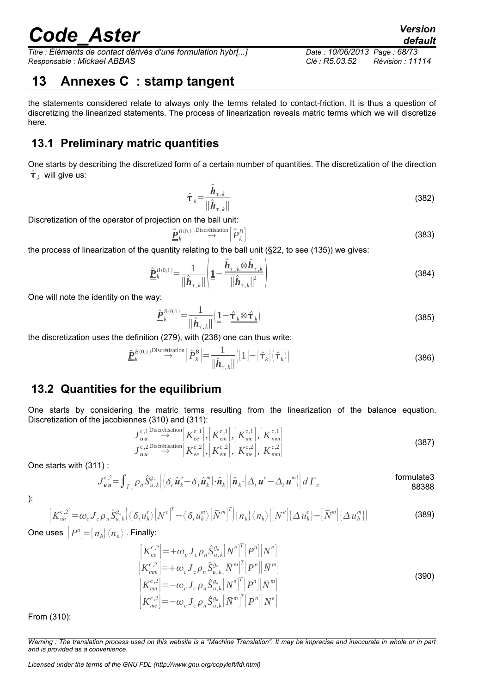*Titre : Éléments de contact dérivés d'une formulation hybr[...] Date : 10/06/2013 Page : 68/73 Responsable : Mickael ABBAS Clé : R5.03.52 Révision : 11114*

## <span id="page-67-0"></span> **13 Annexes C : stamp tangent**

the statements considered relate to always only the terms related to contact-friction. It is thus a question of discretizing the linearized statements. The process of linearization reveals matric terms which we will discretize here.

## **13.1 Preliminary matric quantities**

One starts by describing the discretized form of a certain number of quantities. The discretization of the direction  $\hat{\boldsymbol{\tau}}_k$  will give us:

$$
\hat{\tau}_{k} = \frac{\hat{\boldsymbol{h}}_{\tau,k}}{\|\hat{\boldsymbol{h}}_{\tau,k}\|}
$$
\n(382)

Discretization of the operator of projection on the ball unit:

$$
\underline{\hat{\mathbf{P}}}_{k}^{B(0,1)} \stackrel{\text{Discr\'eitsation}}{\rightarrow} \left[ \hat{P}_{k}^{B} \right]
$$
\n(383)

the process of linearization of the quantity relating to the ball unit ([§22,](#page-21-0) to see [\(135\)](#page-22-1)) we gives:

$$
\hat{\underline{\mathbf{P}}}_{k}^{B(0,1)} = \frac{1}{\|\hat{\mathbf{h}}_{\tau,k}\|} \left( 1 - \frac{\hat{\underline{\mathbf{h}}}_{\tau,k} \otimes \hat{\underline{\mathbf{h}}}_{\tau,k}}{\|\hat{\underline{\mathbf{h}}}_{\tau,k}\|^2} \right)
$$
(384)

One will note the identity on the way:

<span id="page-67-1"></span>
$$
\underline{\hat{\mathbf{P}}}_{k}^{B(0,1)} = \frac{1}{\|\hat{\mathbf{h}}_{\tau,k}\|} \Big| \frac{1 - \hat{\tau}_k \otimes \hat{\tau}_k}{\| \hat{\mathbf{h}}_{\tau,k} \|} \tag{385}
$$

the discretization uses the definition [\(279\)](#page-50-0), with [\(238\)](#page-46-2) one can thus write:

$$
\hat{\mathbf{P}}_{k}^{B(0,1)\text{Discr\'etisation}}\left[\hat{\mathbf{P}}_{k}^{B}\right]=\frac{1}{\|\hat{\mathbf{h}}_{\tau,k}\|}\left[\left[1-\left|\hat{\boldsymbol{\tau}}_{k}\right|\left\langle \hat{\boldsymbol{\tau}}_{k}\right\rangle\right]\right]
$$
(386)

## **13.2 Quantities for the equilibrium**

*P*

One starts by considering the matric terms resulting from the linearization of the balance equation. Discretization of the jacobiennes [\(310\)](#page-59-3) and [\(311\)](#page-59-4):

$$
J_{uu}^{c,1} \stackrel{\text{Discr\'eitsation}}{\rightarrow} \left[K_{ee}^{c,1}\right], \left[K_{em}^{c,1}\right], \left[K_{me}^{c,1}\right], \left[K_{mm}^{c,1}\right] \tag{387}
$$
\n
$$
J_{uu}^{c,2} \stackrel{\text{Discr\'eitsation}}{\rightarrow} \left[K_{ee}^{c,2}\right], \left[K_{em}^{c,2}\right], \left[K_{me}^{c,2}\right], \left[K_{mm}^{c,2}\right]
$$

One starts with [\(311\)](#page-59-4) :

$$
J_{\boldsymbol{u}\boldsymbol{u}}^{c,2} = \int_{\Gamma_c} \rho_n \hat{S}_{\boldsymbol{u},k}^{g_n} \left\{ \left[ \delta_t \hat{\boldsymbol{u}}_k^e - \delta_t \hat{\boldsymbol{u}}_k^m \right] \cdot \hat{\boldsymbol{n}}_k \right\} \left[ \hat{\boldsymbol{n}}_k \cdot \left( \Delta_t \, \boldsymbol{u}^e - \Delta_t \, \boldsymbol{u}^m \right) \right] d \, \Gamma_c
$$
 formulate38388

):

$$
\left[K_{uu}^{c,2}\right]=\omega_c J_c \rho_n \hat{S}_{u,k}^{g_n}\left(\langle \delta_t u_h^e \rangle \left[N^e\right]^T - \langle \delta_t u_h^m \rangle \left[\bar{N}^m\right]^T\right)\left\{n_h\right\}\langle n_h \rangle \left(\left[N^e\right]\left\{\Delta u_h^e\right\} - \left[\bar{N}^m\right]\left\{\Delta u_h^m\right\}\right) \tag{389}
$$

One uses  $\left[ \left. P^{n} \right| =\right\{ n_{\textit{h}} \right\} \left\langle n_{\textit{h}} \right\rangle$  . Finally:

$$
\begin{aligned}\n\left[K_{ee}^{c,2}\right] &= +\omega_c J_c \rho_n \hat{S}_{u,k}^{g_n} \left[N^e\right]^T \left[P^n\right] \left[N^e\right] \\
\left[K_{mm}^{c,2}\right] &= +\omega_c J_c \rho_n \hat{S}_{u,k}^{g_n} \left[\bar{N}^m\right]^T \left[P^n\right] \left[\bar{N}^m\right] \\
\left[K_{em}^{c,2}\right] &= -\omega_c J_c \rho_n \hat{S}_{u,k}^{g_n} \left[N^e\right]^T \left[P^n\right] \left[\bar{N}^m\right] \\
\left[K_{me}^{c,2}\right] &= -\omega_c J_c \rho_n \hat{S}_{u,k}^{g_n} \left[\bar{N}^m\right]^T \left[P^n\right] \left[N^e\right]\n\end{aligned}\n\tag{390}
$$

From [\(310\)](#page-59-3):

*Warning : The translation process used on this website is a "Machine Translation". It may be imprecise and inaccurate in whole or in part and is provided as a convenience.*

*Licensed under the terms of the GNU FDL (http://www.gnu.org/copyleft/fdl.html)*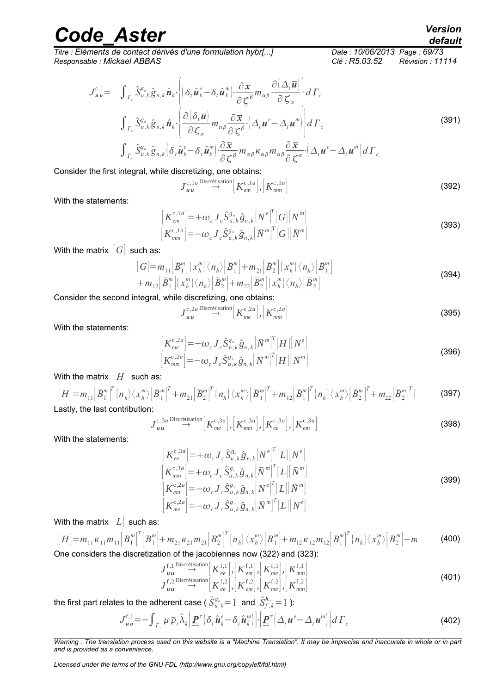*Titre : Éléments de contact dérivés d'une formulation hybr[...] Date : 10/06/2013 Page : 69/73 Responsable : Mickael ABBAS Clé : R5.03.52 Révision : 11114*

$$
J_{uu}^{c,1} = \int_{\Gamma_c} \hat{S}_{u,k}^{g_n} \hat{g}_{n,k} \hat{n}_k \cdot \left\{ \left( \delta_t \hat{u}_k^e - \delta_t \hat{u}_k^m \right) \cdot \frac{\partial \overline{x}}{\partial \zeta^\beta} m_{\alpha\beta} \frac{\partial (\Delta_t \overline{u})}{\partial \zeta_\alpha} \right\} d\Gamma_c
$$
\n
$$
\int_{\Gamma_c} \hat{S}_{u,k}^{g_n} \hat{g}_{n,k} \hat{n}_k \cdot \left\{ \frac{\partial (\delta_t \overline{u})}{\partial \zeta_\alpha} m_{\alpha\beta} \frac{\partial \overline{x}}{\partial \zeta^\beta} \cdot (\Delta_t u^e - \Delta_t u^m) \right\} d\Gamma_c
$$
\n
$$
\int_{\Gamma_c} \hat{S}_{u,k}^{g_n} \hat{g}_{n,k} \left( \delta_t \hat{u}_k^e - \delta_t \hat{u}_k^m \right) \cdot \frac{\partial \overline{x}}{\partial \zeta^\beta} m_{\alpha\beta} \kappa_{\alpha\beta} m_{\alpha\beta} \frac{\partial \overline{x}}{\partial \zeta^\alpha} \cdot (\Delta_t u^e - \Delta_t u^m) d\Gamma_c
$$
\n(391)

Consider the first integral, while discretizing, one obtains:

$$
J_{uu}^{c,1a \text{Discr\'eitsation}} \left[ K_{em}^{c,1a} \right], \left[ K_{mm}^{c,1a} \right] \tag{392}
$$

With the statements:

$$
\begin{aligned}\n&\left[K_{em}^{c,1a}\right] = +\omega_c J_c \hat{S}_{u,k}^{g_n} \hat{g}_{n,k} \left[N^e\right]^T[G][\bar{N}^m] \\
&\left[K_{mm}^{c,1a}\right] = -\omega_c J_c \hat{S}_{u,k}^{g_n} \hat{g}_{n,k} [\bar{N}^m]^T[G][\bar{N}^m]\n\end{aligned} \tag{393}
$$

With the matrix  $[G]$  such as:

$$
[G] = m_{11} [\overline{B}_1^m] \{x_h^m\} \langle n_h \rangle [\overline{B}_1^m] + m_{21} [\overline{B}_2^m] \{x_h^m\} \langle n_h \rangle [\overline{B}_1^m] + m_{12} [\overline{B}_1^m] \{x_h^m\} \langle n_h \rangle [\overline{B}_2^m] + m_{22} [\overline{B}_2^m] \{x_h^m\} \langle n_h \rangle [\overline{B}_2^m]
$$
(394)

Consider the second integral, while discretizing, one obtains:

$$
J_{uu}^{c,2a \text{Discr\'eitsation}} \left[ K_{me}^{c,2a} \right], \left[ K_{mm}^{c,2a} \right] \tag{395}
$$

With the statements:

$$
\begin{aligned}\n&\left[K_{me}^{c,2a}\right] = +\omega_c J_c \hat{S}_{u,k}^{g_n} \hat{g}_{n,k} \left[\bar{N}^m\right]^T \left[H\right] \left[N^e\right] \\
&\left[K_{mm}^{c,2a}\right] = -\omega_c J_c \hat{S}_{u,k}^{g_n} \hat{g}_{n,k} \left[\bar{N}^m\right]^T \left[H\right] \left[\bar{N}^m\right]\n\end{aligned} \tag{396}
$$

With the matrix  $[H]$  such as:

$$
[H] = m_{11} \left[ B_1^m \right]^T \left\{ n_h \right\} \left\langle x_h^m \right\rangle \left[ B_1^m \right]^T + m_{21} \left[ B_2^m \right]^T \left\{ n_h \right\} \left\langle x_h^m \right\rangle \left[ B_1^m \right]^T + m_{12} \left[ B_1^m \right]^T \left\{ n_h \right\} \left\langle x_h^m \right\rangle \left[ B_2^m \right]^T + m_{22} \left[ B_2^m \right]^T \left\{ \right. \tag{397}
$$
\nLastly, the last contribution:

$$
J_{uu}^{c,3a \text{Discr\'eitsation}} \left[ K_{me}^{c,3a} \right], \left[ K_{mm}^{c,3a} \right], \left[ K_{ee}^{c,3a} \right], \left[ K_{em}^{c,3a} \right] \tag{398}
$$

With the statements:

$$
\begin{aligned}\n&\left[K_{ee}^{c,3a}\right] = +\omega_c J_c \hat{S}_{u,k}^{g_n} \hat{g}_{n,k} \left[N^e\right]^T [L] \left[N^e\right] \\
&\left[K_{mm}^{c,3a}\right] = +\omega_c J_c \hat{S}_{u,k}^{g_n} \hat{g}_{n,k} \left[\bar{N}^m\right]^T [L] \left[\bar{N}^m\right] \\
&\left[K_{em}^{c,2a}\right] = -\omega_c J_c \hat{S}_{u,k}^{g_n} \hat{g}_{n,k} \left[N^e\right]^T [L] \left[N^m\right] \\
&\left[K_{me}^{c,2a}\right] = -\omega_c J_c \hat{S}_{u,k}^{g_n} \hat{g}_{n,k} \left[\bar{N}^m\right]^T [L] \left[N^e\right]\n\end{aligned}
$$
\n(399)

With the matrix  $[L]$  such as:

$$
[H] = m_{11} \kappa_{11} m_{11} [B_1^m]^T [B_1^m] + m_{21} \kappa_{21} m_{21} [B_2^m]^T [n_h] \langle x_h^m \rangle [B_1^m] + m_{12} \kappa_{12} m_{12} [B_1^m]^T [n_h] \langle x_h^m \rangle [B_2^m] + m
$$
 (400)  
One considers the discretization of the jacobianness now (322) and (323):

$$
\begin{array}{c} \boldsymbol{J}^{\mathrm{f,1\,Discr\acute{e}tisation}}_{\boldsymbol{uu}} \left[\boldsymbol{K}^{\mathrm{f,1}}_{ee}\right] , \left[\boldsymbol{K}^{\mathrm{f,1}}_{em}\right] , \left[\boldsymbol{K}^{\mathrm{f,1}}_{me}\right] , \left[\boldsymbol{K}^{\mathrm{f,1}}_{mm}\right] \\ \boldsymbol{J}^{\mathrm{f,2\,Discr\acute{e}tisation}}_{\boldsymbol{uu}} \left[\boldsymbol{K}^{\mathrm{f,2}}_{ee}\right] , \left[\boldsymbol{K}^{\mathrm{f,2}}_{em}\right] , \left[\boldsymbol{K}^{\mathrm{f,2}}_{me}\right] , \left[\boldsymbol{K}^{\mathrm{f,2}}_{mm}\right] \end{array}
$$

the first part relates to the adherent case (  $\hat{S}^{g_{n}}_{u,\,k}$   $\!=$   $1$   $\,$  and  $\, \hat{S}^{h_{\tau}}_{f,\,k}$   $\!=$   $\!1$   $\,$   $\!:$ 

$$
J_{uu}^{\mathrm{f},1} = -\int_{\Gamma_c} \mu \, \overline{\rho}_t \hat{\lambda}_k \Big[ \underline{\underline{\mathbf{P}}}^{\mathrm{T}} \Big[ \delta_t \hat{\underline{\mathbf{u}}}^e_k - \delta_t \hat{\underline{\mathbf{u}}}^m_k \Big] \Big] \cdot \Big[ \underline{\underline{\mathbf{P}}}^{\mathrm{T}} \Big( \Delta_t \underline{\mathbf{u}}^e - \Delta_t \underline{\mathbf{u}}^m \Big) \Big] d \Gamma_c \tag{402}
$$

*Warning : The translation process used on this website is a "Machine Translation". It may be imprecise and inaccurate in whole or in part and is provided as a convenience.*

*Licensed under the terms of the GNU FDL (http://www.gnu.org/copyleft/fdl.html)*

(401)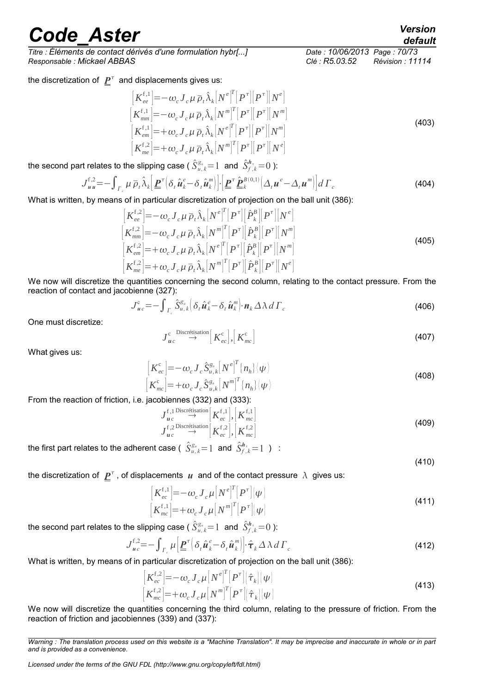*Titre : Éléments de contact dérivés d'une formulation hybr[...] Date : 10/06/2013 Page : 70/73 Responsable : Mickael ABBAS Clé : R5.03.52 Révision : 11114*

the discretization of  $\underline{\bm{P}}^{\tau}$  and displacements gives us:

$$
\begin{aligned}\n\left[K_{ee}^{f,1}\right] &= -\omega_c J_c \mu \, \bar{\rho}_t \hat{\lambda}_k \left[N^e\right]^T \left[P^\tau\right] \left[N^e\right] \\
\left[K_{mm}^{f,1}\right] &= -\omega_c J_c \mu \, \bar{\rho}_t \hat{\lambda}_k \left[N^m\right]^T \left[P^\tau\right] \left[N^m\right] \\
\left[K_{em}^{f,1}\right] &= +\omega_c J_c \mu \, \bar{\rho}_t \hat{\lambda}_k \left[N^e\right]^T \left[P^\tau\right] \left[N^m\right] \\
\left[K_{me}^{f,2}\right] &= +\omega_c J_c \mu \, \bar{\rho}_t \hat{\lambda}_k \left[N^m\right]^T \left[P^\tau\right] \left[N^e\right]\n\end{aligned}\n\tag{403}
$$

the second part relates to the slipping case (  $\hat{S}^{g_{n}}_{u,\,k} {=} 1\;$  and  $\hat{S}^{h_{\tau}}_{f,\,k} {=} 0$  ):

$$
J_{uu}^{f,2} = -\int_{\Gamma_c} \mu \, \overline{\rho}_t \, \widehat{\lambda}_k \Big[ \underline{\underline{\boldsymbol{P}}}^{\tau} \Big( \delta_t \, \widehat{\boldsymbol{u}}_k^e - \delta_t \widehat{\boldsymbol{u}}_k^m \Big) \Big] \cdot \Big[ \underline{\underline{\boldsymbol{P}}}^{\tau} \, \underline{\widehat{\boldsymbol{P}}}^{B(0,1)} \Big( \Delta_t \, \boldsymbol{u}^e - \Delta_t \, \boldsymbol{u}^m \Big) \Big] d \, \Gamma_c \tag{404}
$$

What is written, by means of in particular discretization of projection on the ball unit [\(386\)](#page-67-1):

$$
\begin{aligned}\n\left[K_{ee}^{f,2}\right] &= -\omega_c J_c \mu \, \overline{\rho}_t \hat{\lambda}_k \left[N^e\right]^T \left[P^{\tau}\right] \left[\hat{P}_k^B\right] \left[P^{\tau}\right] \left[N^e\right] \\
\left[K_{mm}^{f,2}\right] &= -\omega_c J_c \mu \, \overline{\rho}_t \hat{\lambda}_k \left[N^m\right]^T \left[P^{\tau}\right] \left[\hat{P}_k^B\right] \left[P^{\tau}\right] \left[N^m\right] \\
\left[K_{em}^{f,2}\right] &= +\omega_c J_c \mu \, \overline{\rho}_t \hat{\lambda}_k \left[N^e\right]^T \left[P^{\tau}\right] \left[\hat{P}_k^B\right] \left[P^{\tau}\right] \left[N^m\right] \\
\left[K_{me}^{f,2}\right] &= +\omega_c J_c \mu \, \overline{\rho}_t \hat{\lambda}_k \left[N^m\right]^T \left[P^{\tau}\right] \left[\hat{P}_k^B\right] \left[P^{\tau}\right] \left[N^e\right]\n\end{aligned} \tag{405}
$$

We now will discretize the quantities concerning the second column, relating to the contact pressure. From the reaction of contact and jacobienne [\(327\)](#page-60-4):

$$
J_{uc}^c = -\int_{\Gamma_c} \hat{S}_{u,\,k}^{g_n} \Big( \delta_t \hat{\boldsymbol{u}}_k^e - \delta_t \hat{\boldsymbol{u}}_k^m \Big) \cdot \boldsymbol{n}_k \, \Delta \lambda \, d \, \Gamma_c \tag{406}
$$

One must discretize:

$$
J_{uc}^c \stackrel{\text{Discretisation}}{\longrightarrow} \left[K_{ec}^c\right], \left[K_{mc}^c\right] \tag{407}
$$

What gives us:

$$
\begin{aligned}\n\left[K_{ec}^c\right] &= -\omega_c J_c \hat{S}_{u,k}^{g_n} \left[N^e\right]^T \left\{n_h\right\} \langle\psi\rangle \\
\left[K_{mc}^c\right] &= +\omega_c J_c \hat{S}_{u,k}^{g_n} \left[N^m\right]^T \left\{n_h\right\} \langle\psi\rangle\n\end{aligned}\n\tag{408}
$$

From the reaction of friction, i.e. jacobiennes [\(332\)](#page-61-5) and [\(333\)](#page-61-4):

$$
J_{uc}^{f,1} \stackrel{\text{Discr\'eitsation}}{\longrightarrow} \left[K_{ec}^{f,1}\right], \left[K_{mc}^{f,1}\right] \\
 J_{uc}^{f,2} \stackrel{\text{Discr\'eitsation}}{\longrightarrow} \left[K_{ec}^{f,2}\right], \left[K_{mc}^{f,2}\right] \tag{409}
$$

the first part relates to the adherent case (  $\hat{S}^{g_s}_{u,k}$   $=$   $1$  and  $\hat{S}^{h_\tau}_{f,k}$   $=$   $1$   $\,$   $)$   $\,$  :

(410)

the discretization of  $\underline{\bm{P}}^\tau$  , of displacements  $\bm{\,\bm{u}}\,$  and of the contact pressure  $\,\lambda\,$  gives us:

$$
\begin{aligned}\n\left[K_{ec}^{f,1}\right] &= -\omega_c J_c \mu \left[N^e\right]^T \left[P^\tau\right] \left(\psi\right] \\
\left[K_{mc}^{f,1}\right] &= +\omega_c J_c \mu \left[N^m\right]^T \left[P^\tau\right] \left(\psi\right)\n\end{aligned} \tag{411}
$$

the second part relates to the slipping case (  $\hat{S}^{g_{n}}_{u,\,k} {=} 1\;$  and  $\hat{S}^{h_{\tau}}_{f,\,k} {=} 0$  ):

$$
J_{uc}^{\mathrm{f},2} = -\int_{\Gamma_c} \mu \Big[ \underline{\underline{\boldsymbol{P}}}^{\mathrm{T}} \Big( \delta_t \hat{\boldsymbol{u}}_k^e - \delta_t \hat{\boldsymbol{u}}_k^m \Big) \Big] \cdot \hat{\boldsymbol{\tau}}_k \Delta \lambda \, d \, \Gamma_c \tag{412}
$$

What is written, by means of in particular discretization of projection on the ball unit [\(386\)](#page-67-1):

$$
\begin{aligned}\n\left[K_{ec}^{f,2}\right] &= -\omega_c J_c \mu \left[N^e\right]^T \left[P^\tau\right] \left(\hat{\tau}_k\right] \left(\psi\right) \\
\left[K_{mc}^{f,2}\right] &= +\omega_c J_c \mu \left[N^m\right]^T \left[P^\tau\right] \left(\hat{\tau}_k\right] \left(\psi\right)\n\end{aligned} \tag{413}
$$

We now will discretize the quantities concerning the third column, relating to the pressure of friction. From the reaction of friction and jacobiennes [\(339\)](#page-61-3) and [\(337\)](#page-61-2):

*Licensed under the terms of the GNU FDL (http://www.gnu.org/copyleft/fdl.html)*

*Warning : The translation process used on this website is a "Machine Translation". It may be imprecise and inaccurate in whole or in part and is provided as a convenience.*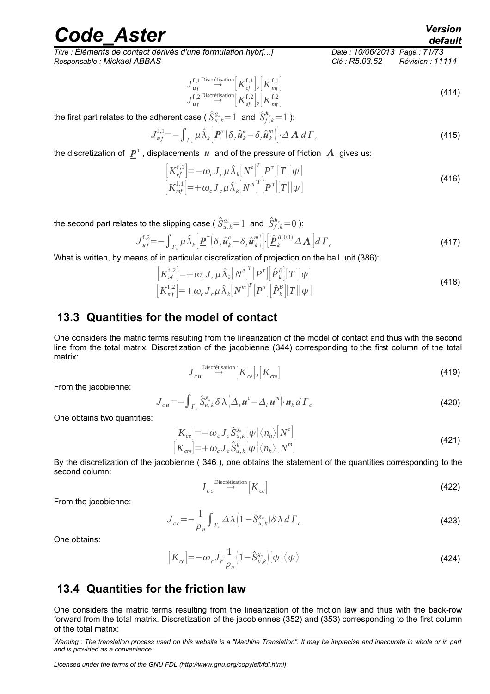*Titre : Éléments de contact dérivés d'une formulation hybr[...] Date : 10/06/2013 Page : 71/73 Responsable : Mickael ABBAS Clé : R5.03.52 Révision : 11114*

> $J_{uf}^{\mathrm{f},1}$  Discrétisation $\left[K_{ef}^{\mathrm{f},1}\right],\left[K_{mf}^{\mathrm{f},1}\right]$  $J_{uf}^{\mathrm{f},2}\rightarrow\hspace{-0.7cm}\stackrel{\mathrm{Discr\acute{e}t}~\mathrm{station}}{\rightarrow}\hspace{-0.7cm}\left[K_{ef}^{\mathrm{f},2}\right]\hspace{-0.7cm},\left[K_{mf}^{\mathrm{f},2}\right]$ (414)

the first part relates to the adherent case (  $\hat{S}^{g_{n}}_{u,\,k}$   $\!=$   $1$   $\,$  and  $\, \hat{S}^{h_{\tau}}_{f,\,k}$   $\!=$   $\!1$   $\,$   $\!:$ 

$$
J_{uf}^{\mathrm{f},1} = -\int_{\Gamma_c} \mu \,\hat{\lambda}_k \Big[ \underline{\underline{\boldsymbol{P}}}^{\mathrm{T}} \Big| \delta_t \hat{\boldsymbol{u}}_k^e - \delta_t \hat{\boldsymbol{u}}_k^m \Big] \cdot \Delta \,\Lambda \, d \,\Gamma_c \tag{415}
$$

the discretization of  $\mathbf{\underline{P}}^{\tau}$  , displacements  $\,$   $\,$  and of the pressure of friction  $\,$   $\Lambda\,$  gives us:

$$
\begin{aligned}\n\left[K_{ef}^{f,1}\right] &= -\omega_c J_c \mu \hat{\lambda}_k \big[N^e\big]^T \big[P^\tau\big][T\big][\psi] \\
\left[K_{mf}^{f,1}\right] &= +\omega_c J_c \mu \hat{\lambda}_k \big[N^m\big]^T \big[P^\tau\big][T\big][\psi]\n\end{aligned} \tag{416}
$$

the second part relates to the slipping case (  $\hat{S}^{g_{n}}_{u,\,k} {=} 1\,$  and  $\,\hat{S}^{h_{\tau}}_{f,\,k} {=} 0$  ):

$$
J_{uf}^{f,2} = -\int_{\Gamma_c} \mu \,\hat{\lambda}_k \Big[\underline{\underline{\boldsymbol{P}}}^{\tau} \Big(\delta_t \hat{\boldsymbol{u}}_k^e - \delta_t \hat{\boldsymbol{u}}_k^m\Big)\Big] \cdot \Big[\underline{\hat{\underline{\boldsymbol{P}}}^{B(0,1)}_{k}} \Delta \Lambda \Big] d\,\Gamma_c
$$
\n(417)

What is written, by means of in particular discretization of projection on the ball unit [\(386\)](#page-67-1):

$$
\begin{aligned}\n\left[\mathbf{K}_{ef}^{t,2}\right] &= -\omega_c \, \mathbf{J}_c \, \mu \, \hat{\lambda}_k \big[\mathbf{N}^e\big]^T \big[\mathbf{P}^\tau\big] \big[\hat{\mathbf{P}}_k^B\big] \big[\mathbf{T}\big] \big[\psi\big] \\
\left[\mathbf{K}_{mf}^{t,2}\right] &= +\omega_c \, \mathbf{J}_c \, \mu \, \hat{\lambda}_k \big[\mathbf{N}^m\big]^T \big[\mathbf{P}^\tau\big] \big[\hat{\mathbf{P}}_k^B\big] \big[\mathbf{T}\big] \big[\psi\big]\n\end{aligned}\n\tag{418}
$$

## **13.3 Quantities for the model of contact**

One considers the matric terms resulting from the linearization of the model of contact and thus with the second line from the total matrix. Discretization of the jacobienne [\(344\)](#page-61-6) corresponding to the first column of the total matrix:

$$
J_{cu} \stackrel{\text{Discr\'eitsation}}{\longrightarrow} [K_{ce}], [K_{cm}]
$$
\n(419)

From the jacobienne:

$$
J_{cu} = -\int_{\Gamma_c} \hat{S}_{u,k}^{g_n} \delta \lambda \left( \Delta_t \boldsymbol{u}^e - \Delta_t \boldsymbol{u}^m \right) \boldsymbol{\cdot} \boldsymbol{n}_k d \Gamma_c
$$
 (420)

One obtains two quantities:

$$
\begin{aligned}\n\left[K_{ce}\right] &= -\omega_c J_c \hat{S}_{u,k}^{g_n} \left[\psi\right] \langle n_h \rangle \left[N^e\right] \\
\left[K_{cm}\right] &= +\omega_c J_c \hat{S}_{u,k}^{g_n} \left[\psi\right] \langle n_h \rangle \left[N^m\right]\n\end{aligned} \tag{421}
$$

By the discretization of the jacobienne ( [346](#page-62-0) ), one obtains the statement of the quantities corresponding to the second column:

$$
J_{cc} \stackrel{\text{Discrétisation}}{\longrightarrow} \left[K_{cc}\right] \tag{422}
$$

From the jacobienne:

$$
J_{cc} = -\frac{1}{\rho_n} \int_{\Gamma_c} \Delta \lambda \left( 1 - \hat{S}_{u,k}^{g_n} \right) \delta \lambda \, d\,\Gamma_c \tag{423}
$$

One obtains:

$$
[K_{cc}] = -\omega_c J_c \frac{1}{\rho_n} (1 - \hat{S}_{u,k}^{g_n}) [\psi] \langle \psi \rangle
$$
\n(424)

### **13.4 Quantities for the friction law**

One considers the matric terms resulting from the linearization of the friction law and thus with the back-row forward from the total matrix. Discretization of the jacobiennes [\(352\)](#page-63-1) and [\(353\)](#page-63-0) corresponding to the first column of the total matrix:

*Warning : The translation process used on this website is a "Machine Translation". It may be imprecise and inaccurate in whole or in part and is provided as a convenience.*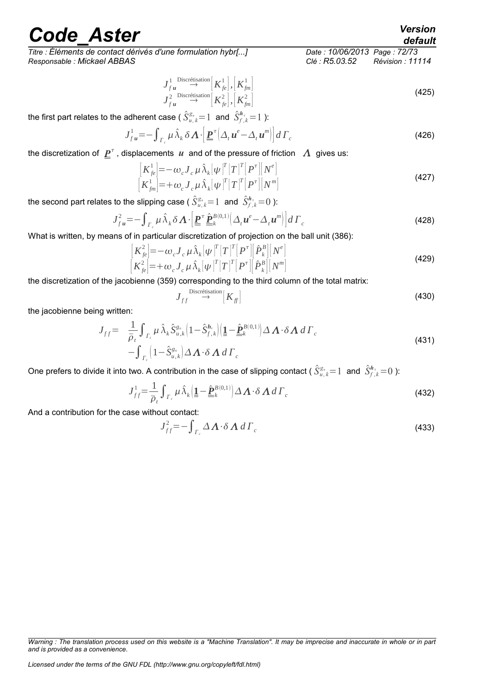*Titre : Éléments de contact dérivés d'une formulation hybr[...] Date : 10/06/2013 Page : 72/73 Responsable : Mickael ABBAS Clé : R5.03.52 Révision : 11114*

$$
J_{fu}^{1} \stackrel{\text{Discr\'eitsation}}{\rightarrow} [K_{fe}^{1}], [K_{fm}^{1}]
$$
  
\n
$$
J_{fu}^{2} \stackrel{\text{Discr\'eitsation}}{\rightarrow} [K_{fe}^{2}], [K_{fm}^{2}]
$$
 (425)

the first part relates to the adherent case (  $\hat{S}^{g_{n}}_{u,\,k}$   $\!=$   $1$   $\,$  and  $\, \hat{S}^{h_{\tau}}_{f,\,k}$   $\!=$   $\,$   $\!1$   $\,$   $\!$   $\!$ 

$$
J_{fu}^{1} = -\int_{\Gamma_c} \mu \,\hat{\lambda}_k \,\delta \,\Lambda \cdot \left[ \underline{\mathbf{P}}^{\tau} \left( \Delta_t \, \mathbf{u}^e - \Delta_t \, \mathbf{u}^m \right) \right] d \,\Gamma_c \tag{426}
$$

the discretization of  $\underline{\pmb{P}}^\tau$  , displacements  $\pmb{u}$  and of the pressure of friction  $\|\pmb{\Lambda}\|$  gives us:

 $\left[ K^1_{fe} \middle| = -\omega_c J_c \, \mu \, \hat{\lambda}_k [\psi]^T [T]^T \middle| P^\tau \middle| \right] N^e \right]$  $\left[ K^1_{\text{fm}} \right] = + \omega_c J_c \mu \hat{\lambda}_k [\psi]^T [T]^T [P^{\tau}] [N^m]$ (427)

the second part relates to the slipping case (  $\hat{S}^{g_{n}}_{u,\,k} {=} 1\;$  and  $\hat{S}^{h_{\tau}}_{f,\,k} {=} 0$  ):

$$
J_{fu}^2 = -\int_{\Gamma_c} \mu \,\hat{\lambda}_k \delta \Lambda \cdot \left[ \underline{\underline{\mathbf{P}}}^{\tau} \, \underline{\hat{\underline{\mathbf{P}}}^{B(0,1)}} \Big| \Delta_t \underline{\mathbf{u}}^e - \Delta_t \underline{\mathbf{u}}^m \Big| \right] d \Gamma_c \tag{428}
$$

What is written, by means of in particular discretization of projection on the ball unit [\(386\)](#page-67-1):

$$
\begin{aligned}\n\left[K_{fe}^{2}\right] &= -\omega_{c}J_{c}\,\mu\,\hat{\lambda}_{k}[\psi\,]^{T}\left[T\right]^{T}\left[P^{*}\right]\left[\hat{P}_{k}^{B}\right]\left[N^{e}\right] \\
\left[K_{fe}^{2}\right] &= +\omega_{c}J_{c}\,\mu\,\hat{\lambda}_{k}[\psi\,]^{T}\left[T\right]^{T}\left[P^{*}\right]\left[\hat{P}_{k}^{B}\right]\left[N^{m}\right]\n\end{aligned} \tag{429}
$$

the discretization of the jacobienne [\(359\)](#page-63-2) corresponding to the third column of the total matrix:

$$
J_{ff} \stackrel{\text{Discr\'eitsation}}{\longrightarrow} [K_{ff}] \tag{430}
$$

the jacobienne being written:

$$
J_{ff} = \frac{1}{\bar{\rho}_t} \int_{\Gamma_c} \mu \,\hat{\lambda}_k \hat{S}_{u,k}^{g_n} \left(1 - \hat{S}_{f,k}^{h_r}\right) \left(\underline{\mathbf{1}} - \underline{\hat{P}}_k^{B(0,1)}\right) \Delta \Lambda \cdot \delta \Lambda \, d\Gamma_c
$$
\n
$$
- \int_{\Gamma_c} \left(1 - \hat{S}_{u,k}^{g_n}\right) \Delta \Lambda \cdot \delta \Lambda \, d\Gamma_c
$$
\n(431)

One prefers to divide it into two. A contribution in the case of slipping contact (  $\hat{S}_{u,k}^{g_u}=1\,$  and  $\,\hat{S}_{f,k}^{h_\tau}=0$  ):

$$
J_{ff}^{1} = \frac{1}{\bar{\rho}_{t}} \int_{\Gamma_{c}} \mu \,\hat{\lambda}_{k} \left( \underline{\mathbf{1}} - \underline{\hat{\mathbf{P}}}_{k}^{B(0,1)} \right) \Delta \Lambda \cdot \delta \Lambda \, d\,\Gamma_{c}
$$
\n(432)

And a contribution for the case without contact:

$$
J_{ff}^2 = -\int_{\Gamma_c} \Delta \Lambda \cdot \delta \Lambda \, d\Gamma_c \tag{433}
$$

*Warning : The translation process used on this website is a "Machine Translation". It may be imprecise and inaccurate in whole or in part and is provided as a convenience.*